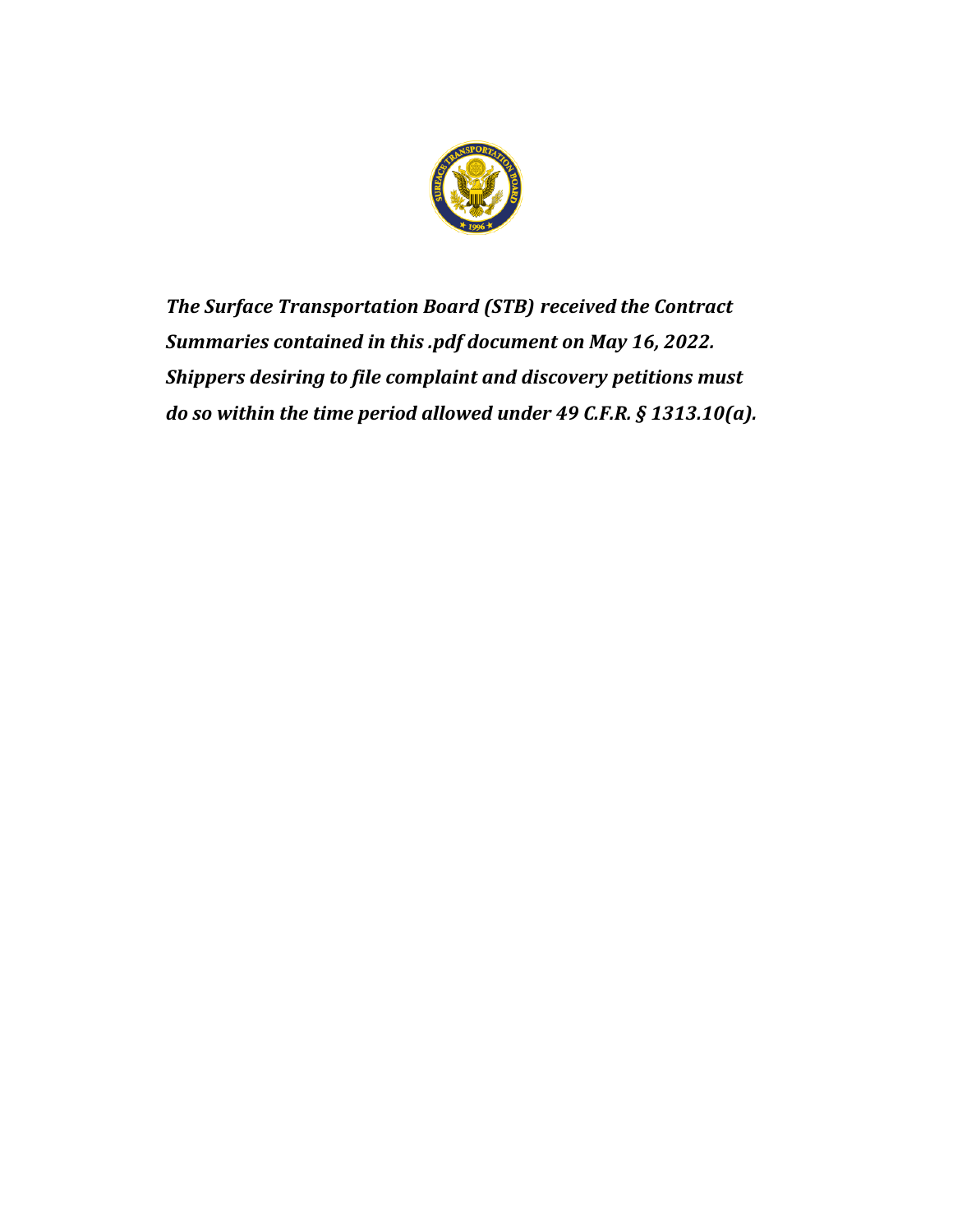

*The Surface Transportation Board (STB) received the Contract Summaries contained in this .pdf document on May 16, 2022. Shippers desiring to file complaint and discovery petitions must do so within the time period allowed under 49 C.F.R. § 1313.10(a).*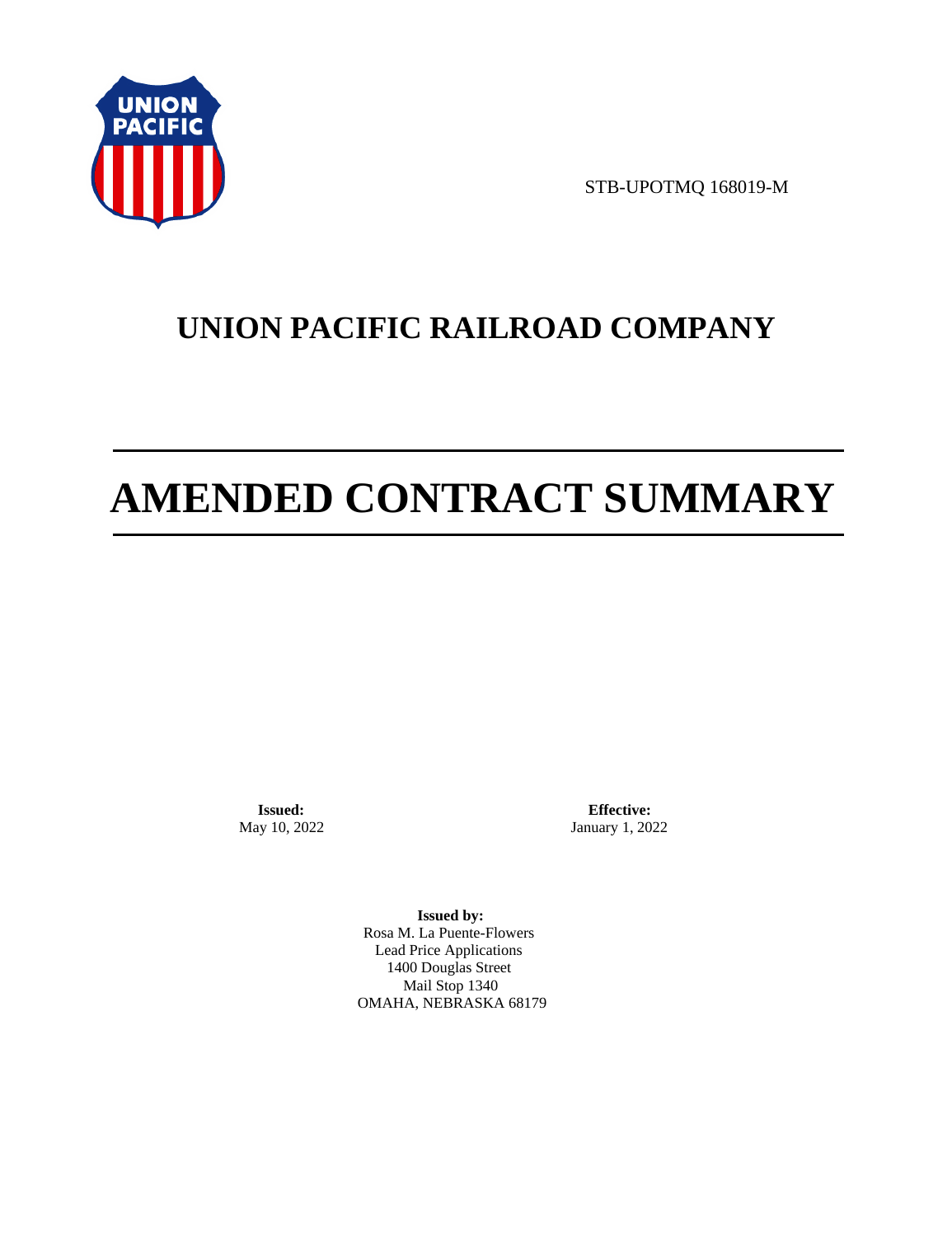

STB-UPOTMQ 168019-M

# **UNION PACIFIC RAILROAD COMPANY**

# **AMENDED CONTRACT SUMMARY**

**Issued:**  May 10, 2022

**Effective:** January 1, 2022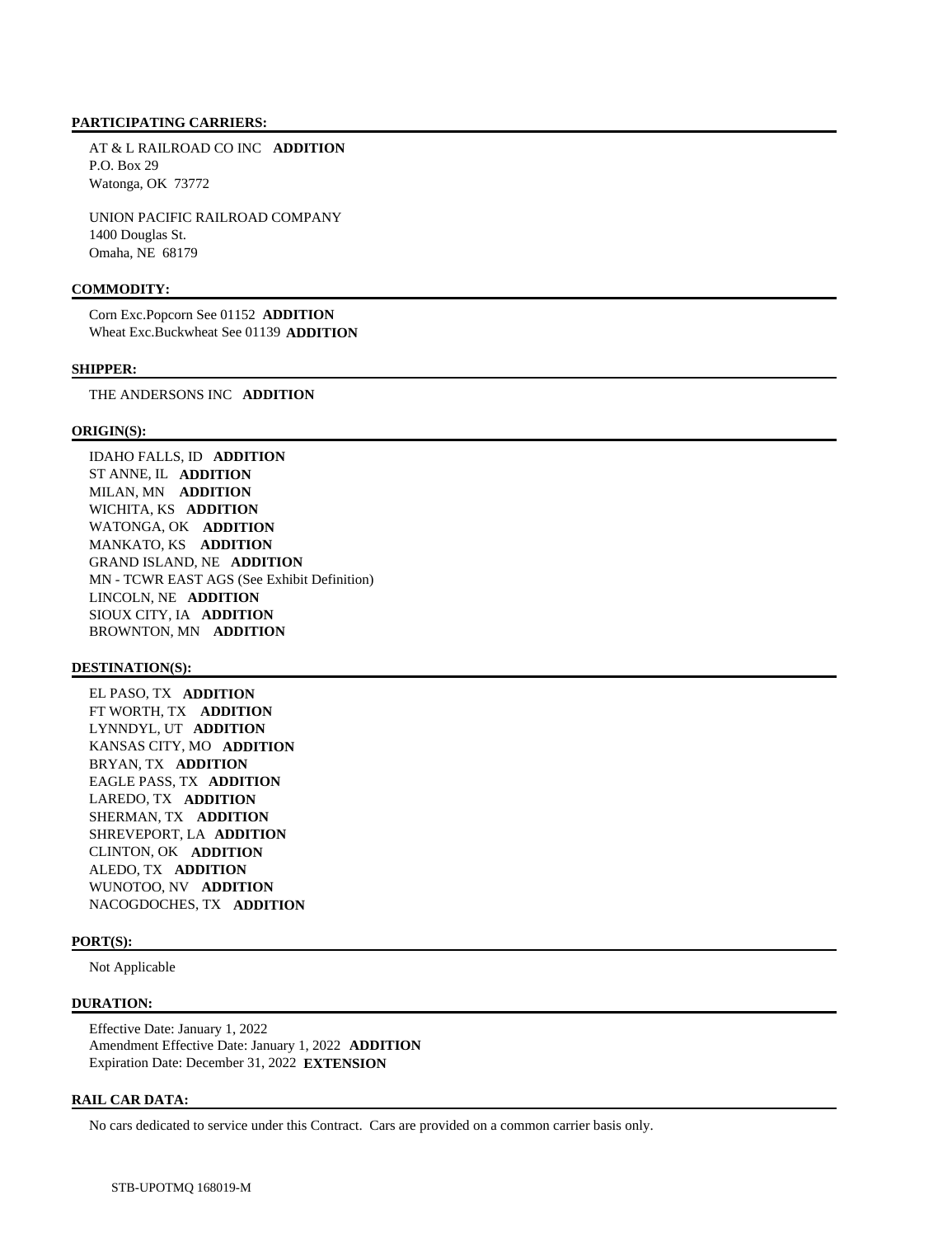AT & L RAILROAD CO INC **ADDITION**  P.O. Box 29 Watonga, OK 73772

 UNION PACIFIC RAILROAD COMPANY 1400 Douglas St. Omaha, NE 68179

# **COMMODITY:**

 Corn Exc.Popcorn See 01152 **ADDITION**  Wheat Exc.Buckwheat See 01139 **ADDITION** 

#### **SHIPPER:**

THE ANDERSONS INC **ADDITION** 

### **ORIGIN(S):**

 IDAHO FALLS, ID **ADDITION**  ST ANNE, IL **ADDITION**  MILAN, MN **ADDITION**  WICHITA, KS **ADDITION**  WATONGA, OK **ADDITION**  MANKATO, KS **ADDITION**  GRAND ISLAND, NE **ADDITION**  MN - TCWR EAST AGS (See Exhibit Definition) LINCOLN, NE **ADDITION**  SIOUX CITY, IA **ADDITION**  BROWNTON, MN **ADDITION** 

### **DESTINATION(S):**

 EL PASO, TX **ADDITION**  FT WORTH, TX **ADDITION**  LYNNDYL, UT **ADDITION**  KANSAS CITY, MO **ADDITION**  BRYAN, TX **ADDITION**  EAGLE PASS, TX **ADDITION**  LAREDO, TX **ADDITION**  SHERMAN, TX **ADDITION**  SHREVEPORT, LA **ADDITION**  CLINTON, OK **ADDITION**  ALEDO, TX **ADDITION**  WUNOTOO, NV **ADDITION**  NACOGDOCHES, TX **ADDITION** 

# **PORT(S):**

Not Applicable

### **DURATION:**

 Effective Date: January 1, 2022 Amendment Effective Date: January 1, 2022 **ADDITION**  Expiration Date: December 31, 2022 **EXTENSION** 

### **RAIL CAR DATA:**

No cars dedicated to service under this Contract. Cars are provided on a common carrier basis only.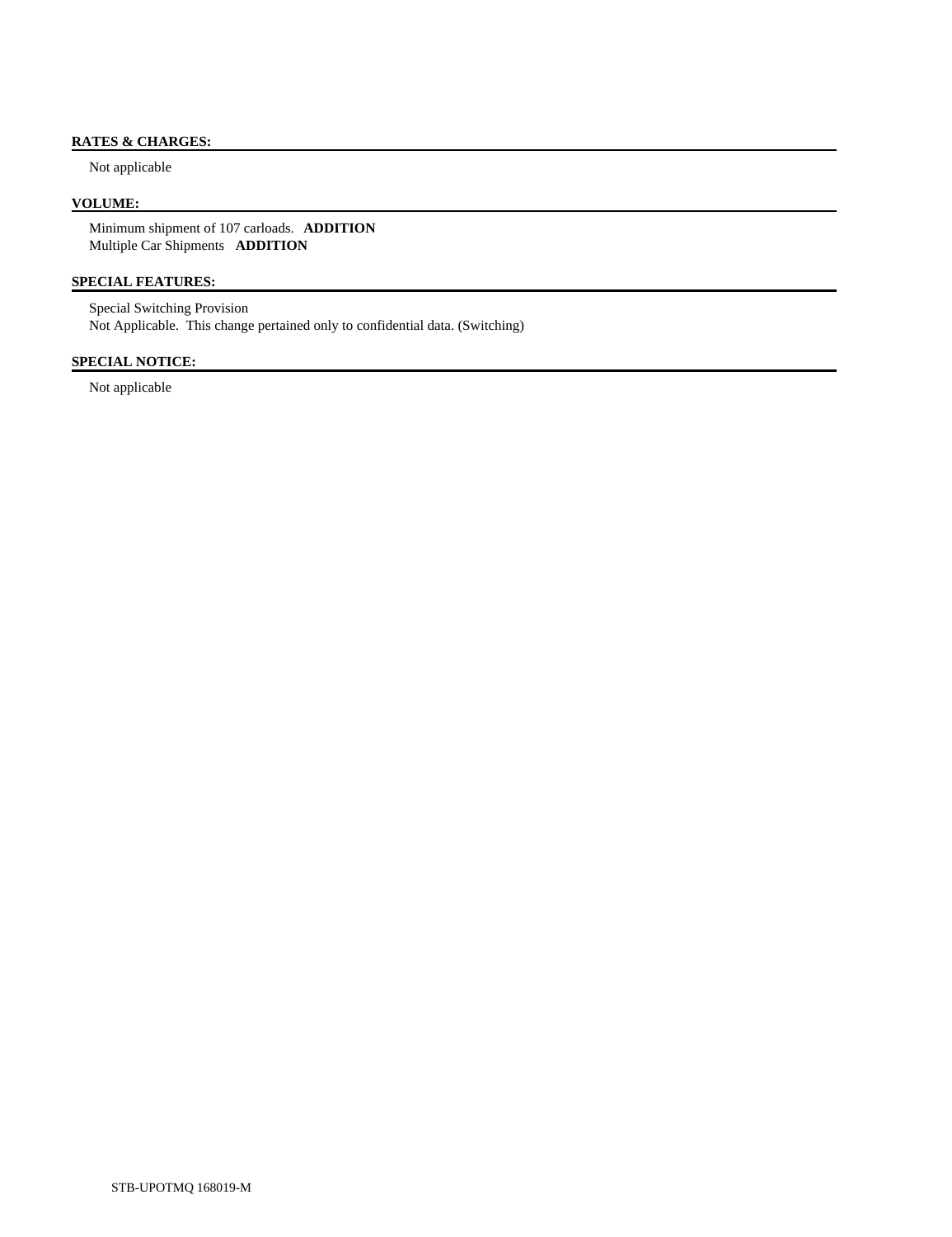# **RATES & CHARGES:**

Not applicable

# **VOLUME:**

 Minimum shipment of 107 carloads. **ADDITION**  Multiple Car Shipments **ADDITION** 

# **SPECIAL FEATURES:**

 Special Switching Provision Not Applicable. This change pertained only to confidential data. (Switching)

# **SPECIAL NOTICE:**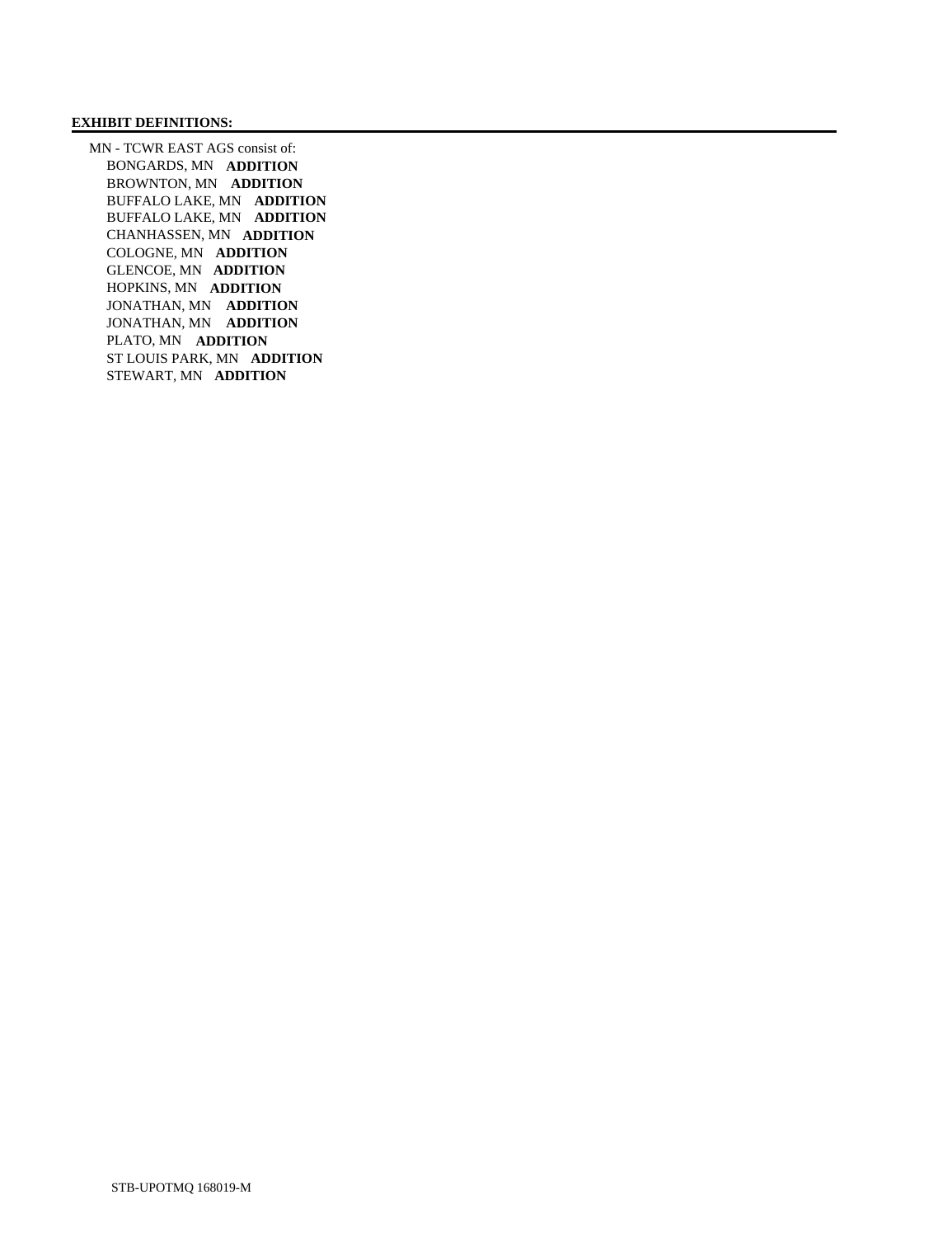### **EXHIBIT DEFINITIONS:**

 MN - TCWR EAST AGS consist of: BONGARDS, MN **ADDITION**  BROWNTON, MN **ADDITION**  BUFFALO LAKE, MN **ADDITION**  BUFFALO LAKE, MN **ADDITION**  CHANHASSEN, MN **ADDITION**  COLOGNE, MN **ADDITION**  GLENCOE, MN **ADDITION**  HOPKINS, MN **ADDITION**  JONATHAN, MN **ADDITION**  JONATHAN, MN **ADDITION**  PLATO, MN **ADDITION**  ST LOUIS PARK, MN **ADDITION**  STEWART, MN **ADDITION**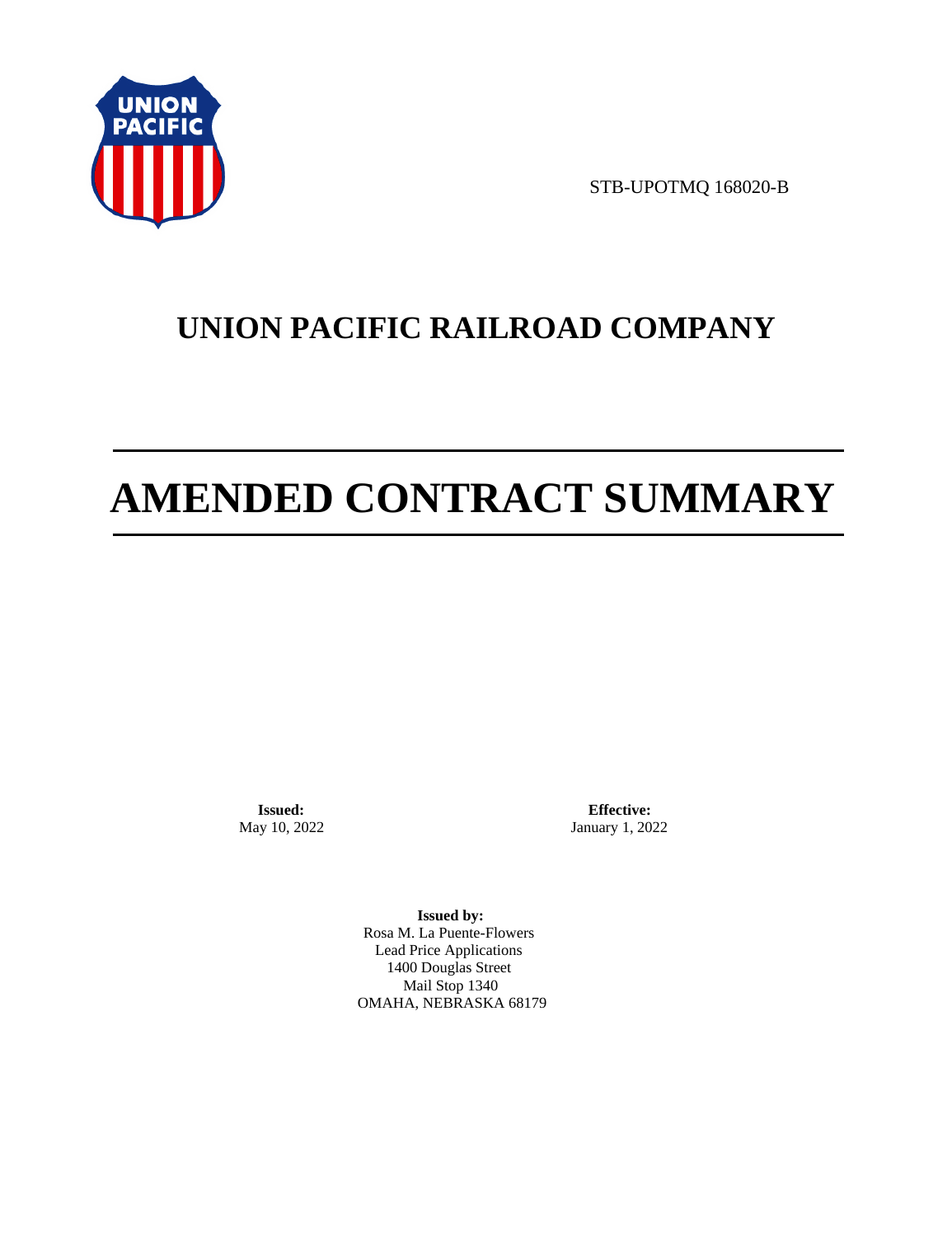

STB-UPOTMQ 168020-B

# **UNION PACIFIC RAILROAD COMPANY**

# **AMENDED CONTRACT SUMMARY**

**Issued:**  May 10, 2022

**Effective:** January 1, 2022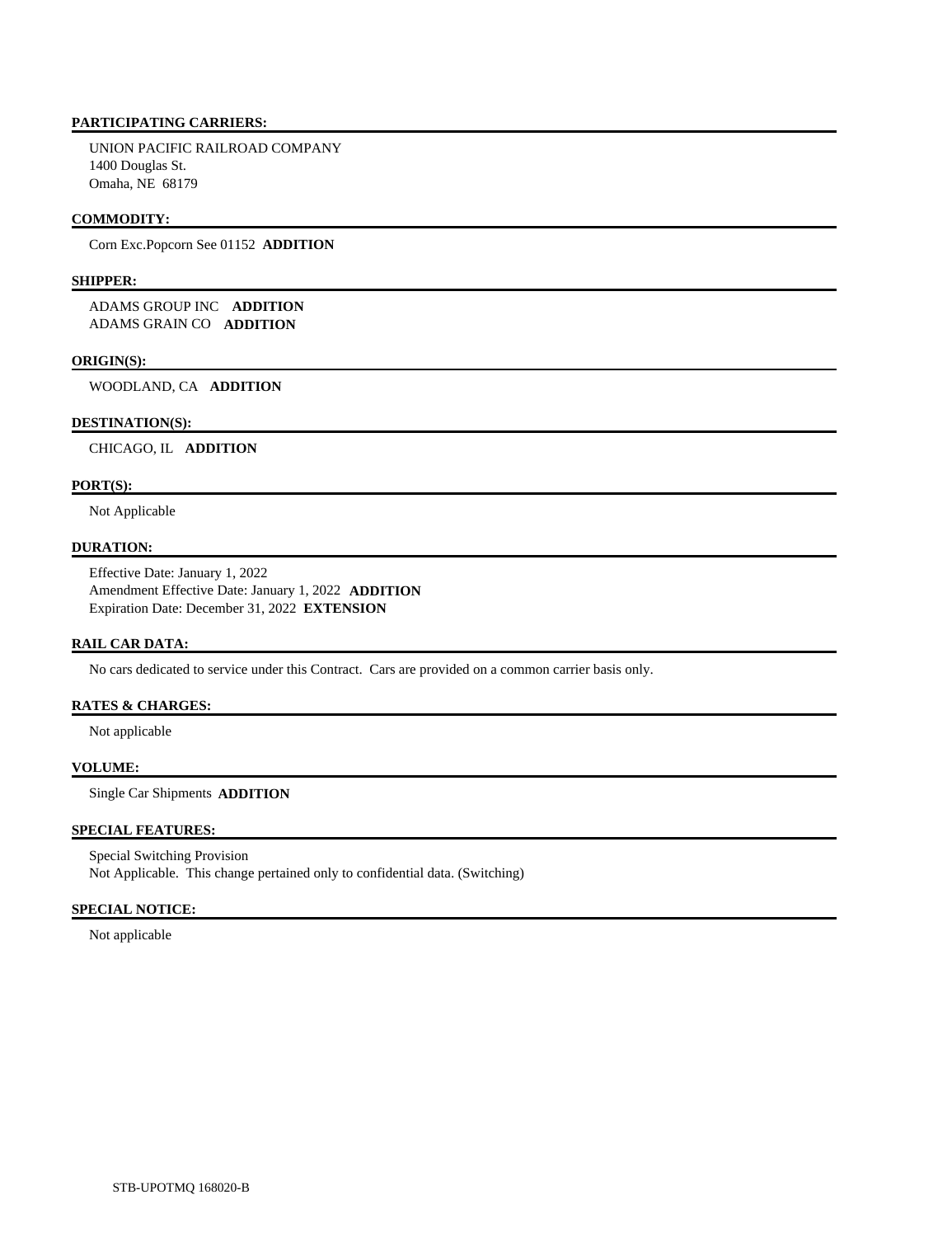UNION PACIFIC RAILROAD COMPANY 1400 Douglas St. Omaha, NE 68179

# **COMMODITY:**

Corn Exc.Popcorn See 01152 **ADDITION** 

# **SHIPPER:**

 ADAMS GROUP INC **ADDITION**  ADAMS GRAIN CO **ADDITION** 

### **ORIGIN(S):**

WOODLAND, CA **ADDITION** 

### **DESTINATION(S):**

CHICAGO, IL **ADDITION** 

### **PORT(S):**

Not Applicable

## **DURATION:**

 Effective Date: January 1, 2022 Amendment Effective Date: January 1, 2022 **ADDITION**  Expiration Date: December 31, 2022 **EXTENSION** 

### **RAIL CAR DATA:**

No cars dedicated to service under this Contract. Cars are provided on a common carrier basis only.

# **RATES & CHARGES:**

Not applicable

# **VOLUME:**

Single Car Shipments **ADDITION** 

### **SPECIAL FEATURES:**

 Special Switching Provision Not Applicable. This change pertained only to confidential data. (Switching)

### **SPECIAL NOTICE:**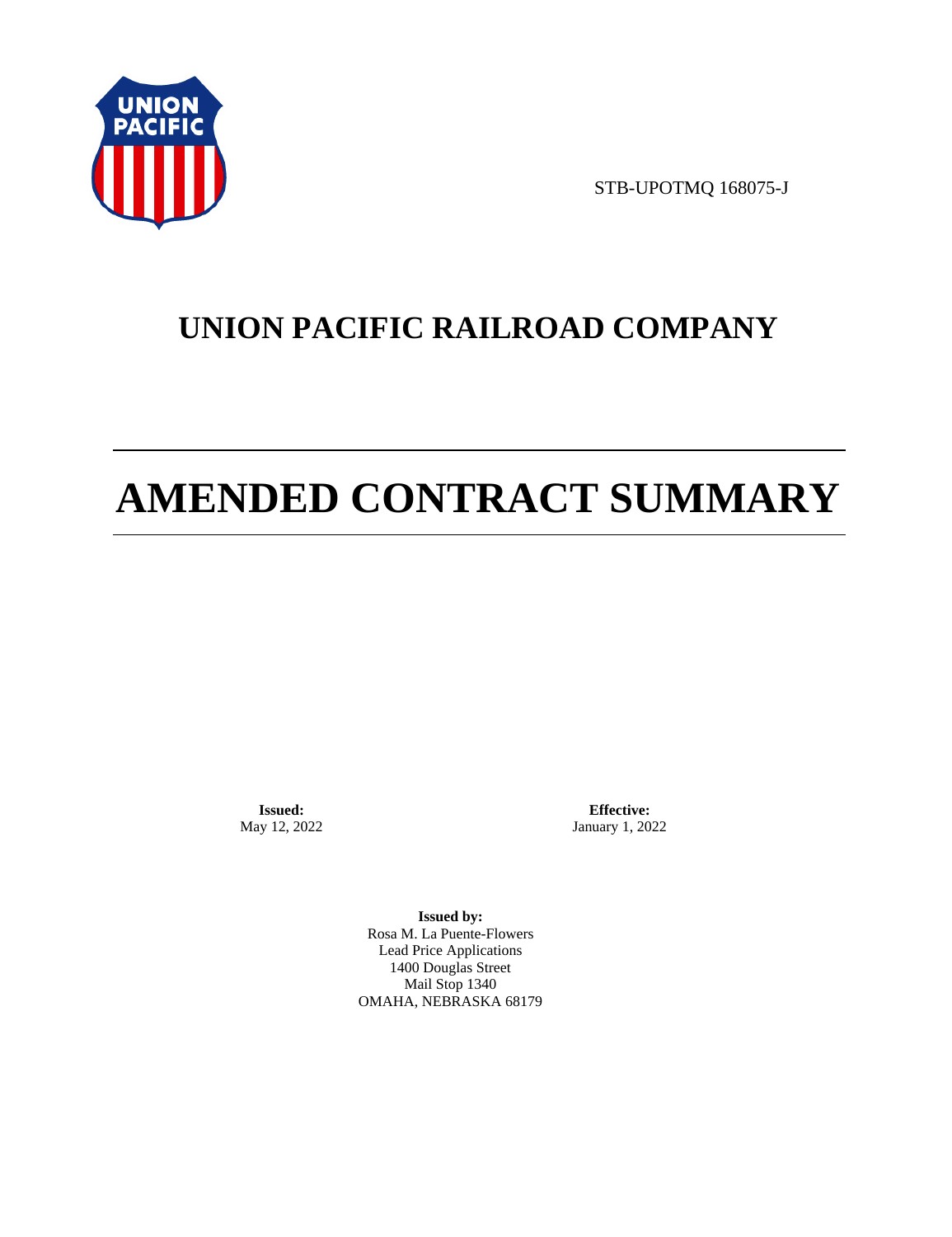

STB-UPOTMQ 168075-J

# **UNION PACIFIC RAILROAD COMPANY**

# **AMENDED CONTRACT SUMMARY**

**Issued:**  May 12, 2022

**Effective:** January 1, 2022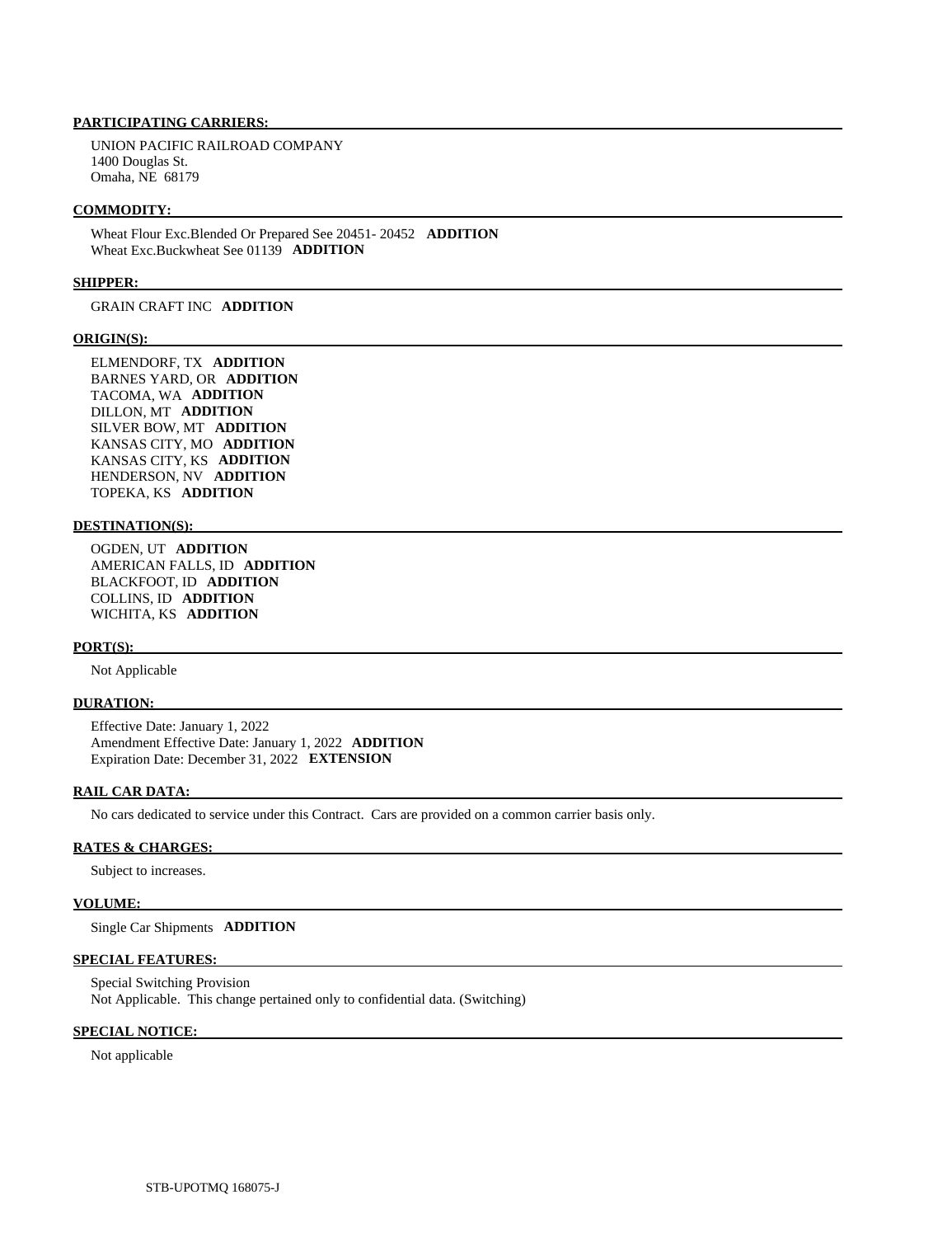UNION PACIFIC RAILROAD COMPANY 1400 Douglas St. Omaha, NE 68179

### **COMMODITY:**

 Wheat Flour Exc.Blended Or Prepared See 20451- 20452 **ADDITION**  Wheat Exc.Buckwheat See 01139 **ADDITION** 

### **SHIPPER:**

GRAIN CRAFT INC **ADDITION** 

### **ORIGIN(S):**

 ELMENDORF, TX **ADDITION**  BARNES YARD, OR **ADDITION**  TACOMA, WA **ADDITION**  DILLON, MT **ADDITION**  SILVER BOW, MT **ADDITION**  KANSAS CITY, MO **ADDITION**  KANSAS CITY, KS **ADDITION**  HENDERSON, NV **ADDITION**  TOPEKA, KS **ADDITION** 

#### **DESTINATION(S):**

 OGDEN, UT **ADDITION**  AMERICAN FALLS, ID **ADDITION**  BLACKFOOT, ID **ADDITION**  COLLINS, ID **ADDITION**  WICHITA, KS **ADDITION** 

### **PORT(S):**

Not Applicable

### **DURATION:**

 Effective Date: January 1, 2022 Amendment Effective Date: January 1, 2022 **ADDITION**  Expiration Date: December 31, 2022 **EXTENSION** 

### **RAIL CAR DATA:**

No cars dedicated to service under this Contract. Cars are provided on a common carrier basis only.

### **RATES & CHARGES:**

Subject to increases.

### **VOLUME:**

Single Car Shipments **ADDITION** 

### **SPECIAL FEATURES:**

 Special Switching Provision Not Applicable. This change pertained only to confidential data. (Switching)

### **SPECIAL NOTICE:**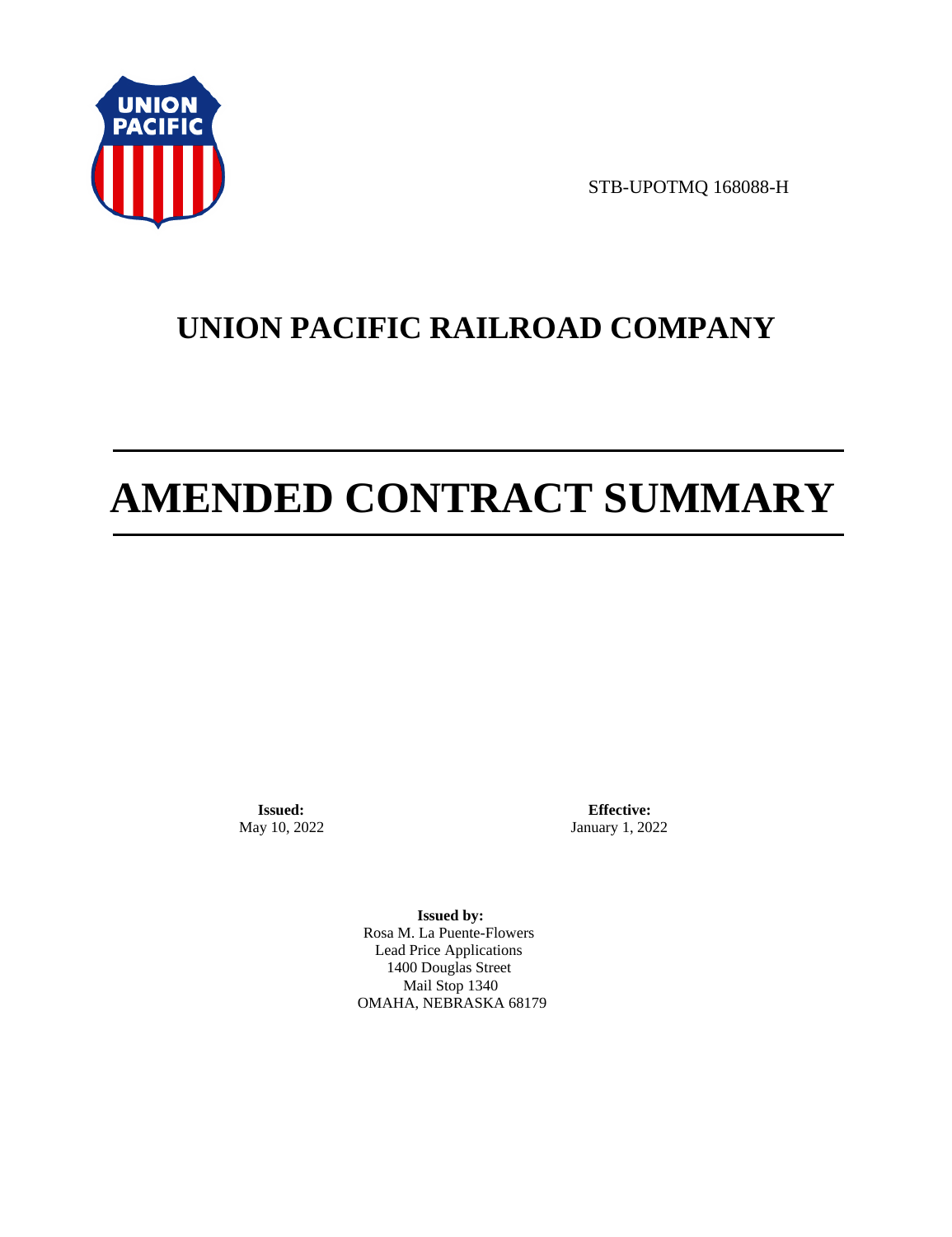

STB-UPOTMQ 168088-H

# **UNION PACIFIC RAILROAD COMPANY**

# **AMENDED CONTRACT SUMMARY**

**Issued:**  May 10, 2022

**Effective:** January 1, 2022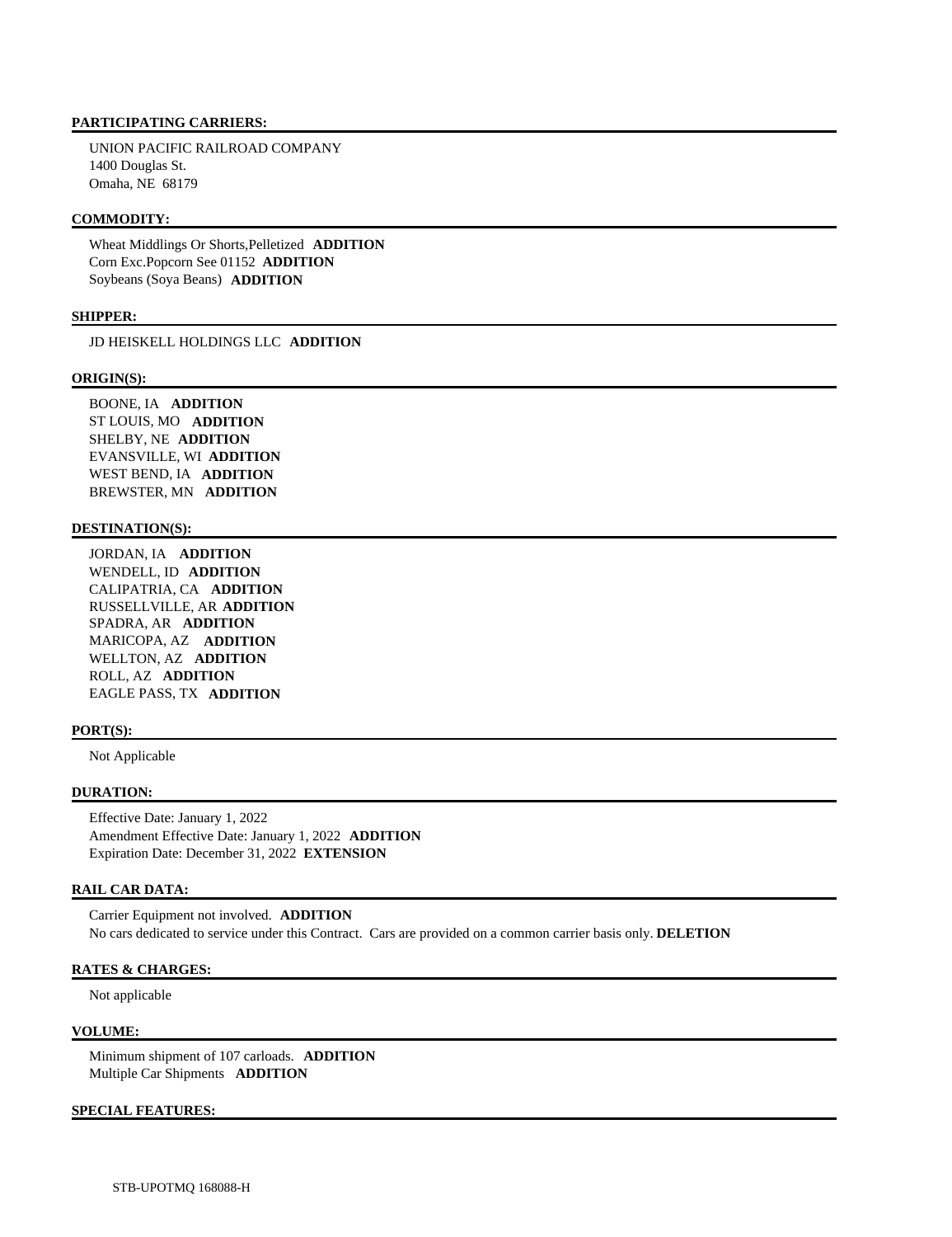UNION PACIFIC RAILROAD COMPANY 1400 Douglas St. Omaha, NE 68179

# **COMMODITY:**

 Wheat Middlings Or Shorts,Pelletized **ADDITION**  Corn Exc.Popcorn See 01152 **ADDITION**  Soybeans (Soya Beans) **ADDITION** 

### **SHIPPER:**

JD HEISKELL HOLDINGS LLC **ADDITION** 

#### **ORIGIN(S):**

 BOONE, IA **ADDITION**  ST LOUIS, MO **ADDITION**  SHELBY, NE **ADDITION**  EVANSVILLE, WI **ADDITION**  WEST BEND, IA **ADDITION**  BREWSTER, MN **ADDITION** 

# **DESTINATION(S):**

 JORDAN, IA **ADDITION**  WENDELL, ID **ADDITION**  CALIPATRIA, CA **ADDITION**  RUSSELLVILLE, AR **ADDITION**  SPADRA, AR **ADDITION**  MARICOPA, AZ **ADDITION**  WELLTON, AZ **ADDITION**  ROLL, AZ **ADDITION**  EAGLE PASS, TX **ADDITION** 

### **PORT(S):**

Not Applicable

# **DURATION:**

 Effective Date: January 1, 2022 Amendment Effective Date: January 1, 2022 **ADDITION**  Expiration Date: December 31, 2022 **EXTENSION** 

### **RAIL CAR DATA:**

 Carrier Equipment not involved. **ADDITION**  No cars dedicated to service under this Contract. Cars are provided on a common carrier basis only. **DELETION** 

### **RATES & CHARGES:**

Not applicable

### **VOLUME:**

 Minimum shipment of 107 carloads. **ADDITION**  Multiple Car Shipments **ADDITION** 

# **SPECIAL FEATURES:**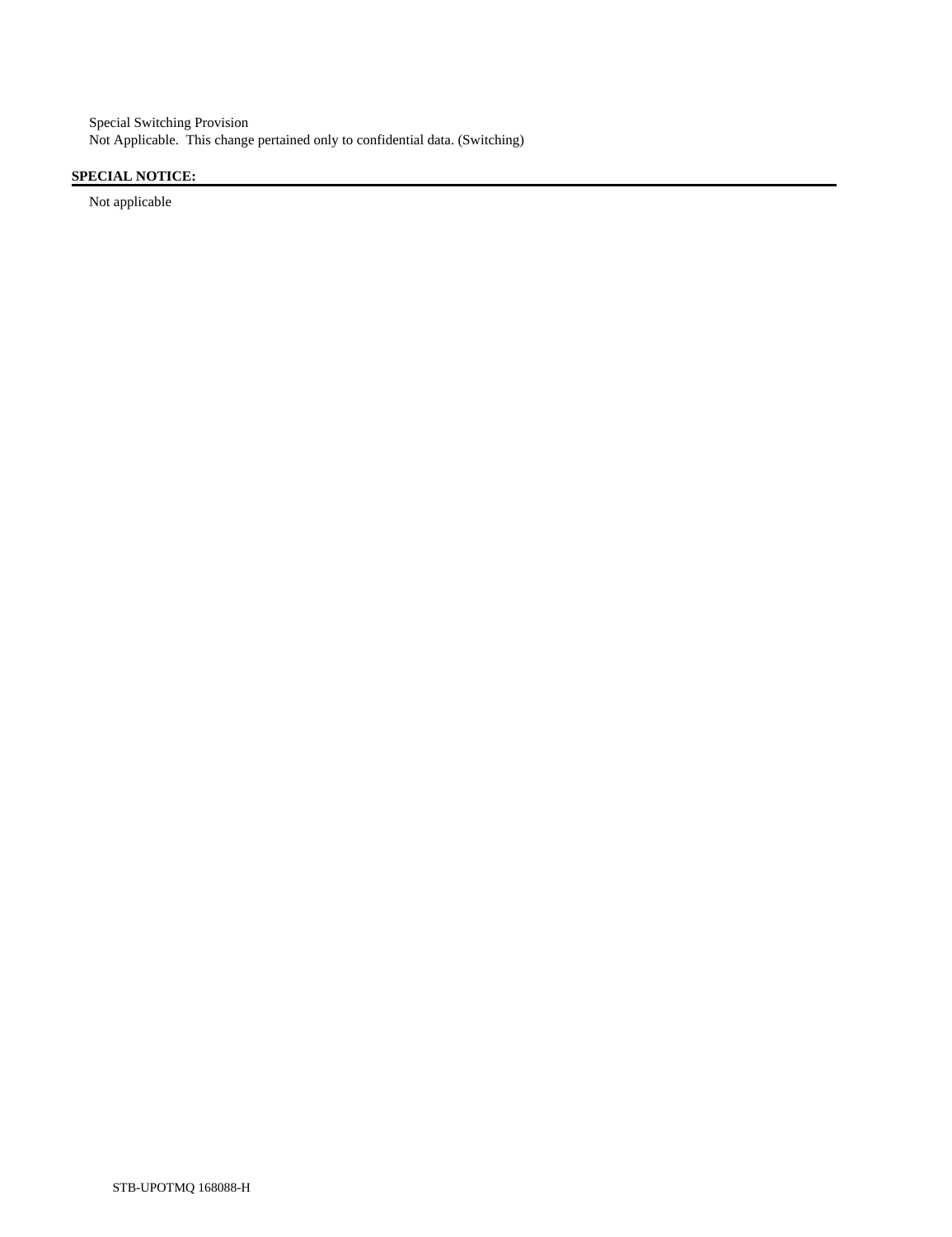Special Switching Provision Not Applicable. This change pertained only to confidential data. (Switching)

# **SPECIAL NOTICE:**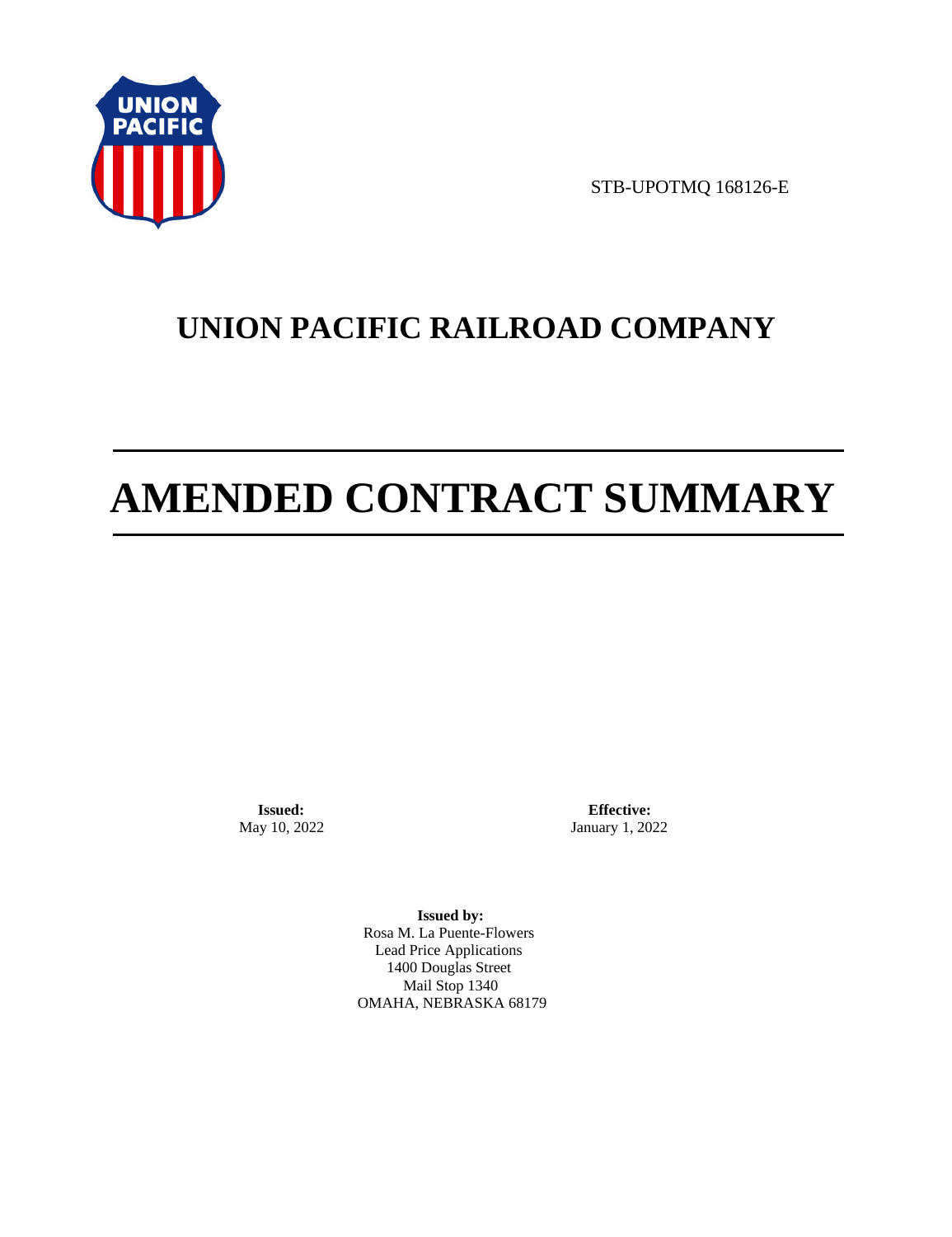

STB-UPOTMQ 168126-E

# **UNION PACIFIC RAILROAD COMPANY**

# **AMENDED CONTRACT SUMMARY**

**Issued:**  May 10, 2022

**Effective:** January 1, 2022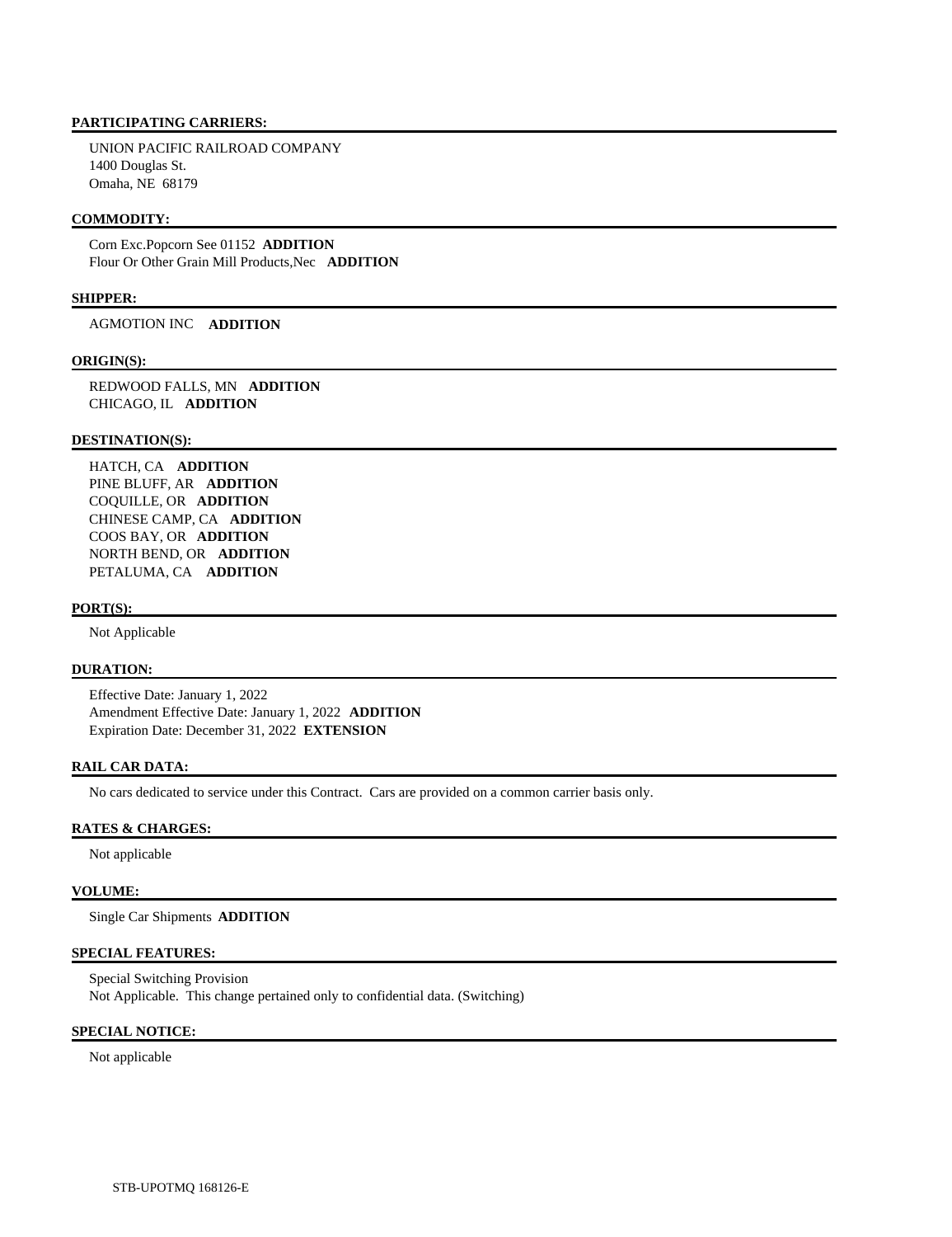UNION PACIFIC RAILROAD COMPANY 1400 Douglas St. Omaha, NE 68179

### **COMMODITY:**

 Corn Exc.Popcorn See 01152 **ADDITION**  Flour Or Other Grain Mill Products,Nec **ADDITION** 

### **SHIPPER:**

AGMOTION INC **ADDITION** 

### **ORIGIN(S):**

 REDWOOD FALLS, MN **ADDITION**  CHICAGO, IL **ADDITION** 

### **DESTINATION(S):**

 HATCH, CA **ADDITION**  PINE BLUFF, AR **ADDITION**  COQUILLE, OR **ADDITION**  CHINESE CAMP, CA **ADDITION**  COOS BAY, OR **ADDITION**  NORTH BEND, OR **ADDITION**  PETALUMA, CA **ADDITION** 

### **PORT(S):**

Not Applicable

# **DURATION:**

 Effective Date: January 1, 2022 Amendment Effective Date: January 1, 2022 **ADDITION**  Expiration Date: December 31, 2022 **EXTENSION** 

# **RAIL CAR DATA:**

No cars dedicated to service under this Contract. Cars are provided on a common carrier basis only.

# **RATES & CHARGES:**

Not applicable

### **VOLUME:**

Single Car Shipments **ADDITION** 

# **SPECIAL FEATURES:**

 Special Switching Provision Not Applicable. This change pertained only to confidential data. (Switching)

# **SPECIAL NOTICE:**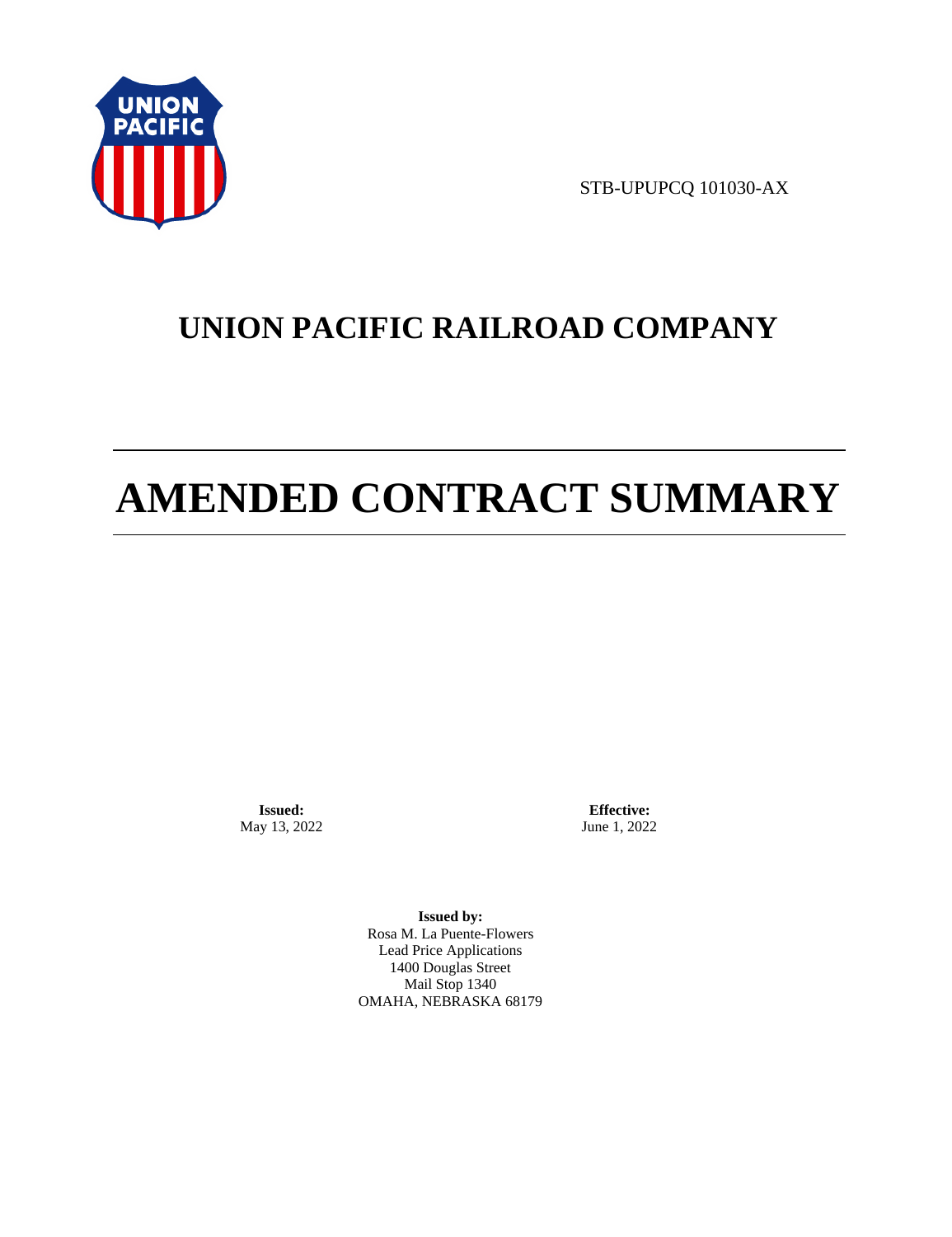

STB-UPUPCQ 101030-AX

# **UNION PACIFIC RAILROAD COMPANY**

# **AMENDED CONTRACT SUMMARY**

**Issued:**  May 13, 2022

**Effective:** June 1, 2022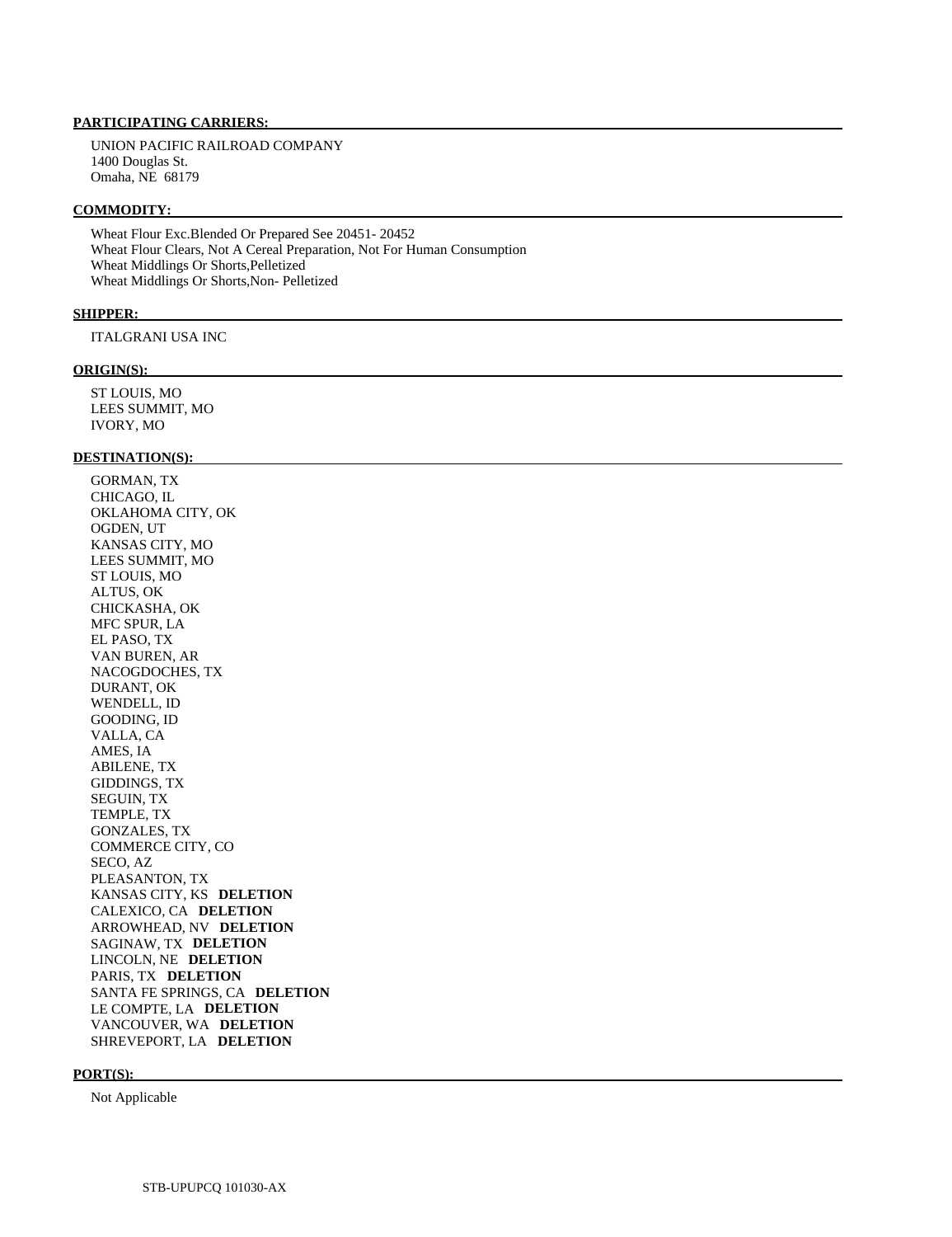UNION PACIFIC RAILROAD COMPANY 1400 Douglas St. Omaha, NE 68179

### **COMMODITY:**

 Wheat Flour Exc.Blended Or Prepared See 20451- 20452 Wheat Flour Clears, Not A Cereal Preparation, Not For Human Consumption Wheat Middlings Or Shorts,Pelletized Wheat Middlings Or Shorts,Non- Pelletized

### **SHIPPER:**

ITALGRANI USA INC

### **ORIGIN(S):**

 ST LOUIS, MO LEES SUMMIT, MO IVORY, MO

### **DESTINATION(S):**

 GORMAN, TX CHICAGO, IL OKLAHOMA CITY, OK OGDEN, UT KANSAS CITY, MO LEES SUMMIT, MO ST LOUIS, MO ALTUS, OK CHICKASHA, OK MFC SPUR, LA EL PASO, TX VAN BUREN, AR NACOGDOCHES, TX DURANT, OK WENDELL, ID GOODING, ID VALLA, CA AMES, IA ABILENE, TX GIDDINGS, TX SEGUIN, TX TEMPLE, TX GONZALES, TX COMMERCE CITY, CO SECO, AZ PLEASANTON, TX KANSAS CITY, KS **DELETION**  CALEXICO, CA **DELETION**  ARROWHEAD, NV **DELETION**  SAGINAW, TX **DELETION**  LINCOLN, NE **DELETION**  PARIS, TX **DELETION**  SANTA FE SPRINGS, CA **DELETION**  LE COMPTE, LA **DELETION**  VANCOUVER, WA **DELETION**  SHREVEPORT, LA **DELETION** 

### **PORT(S):**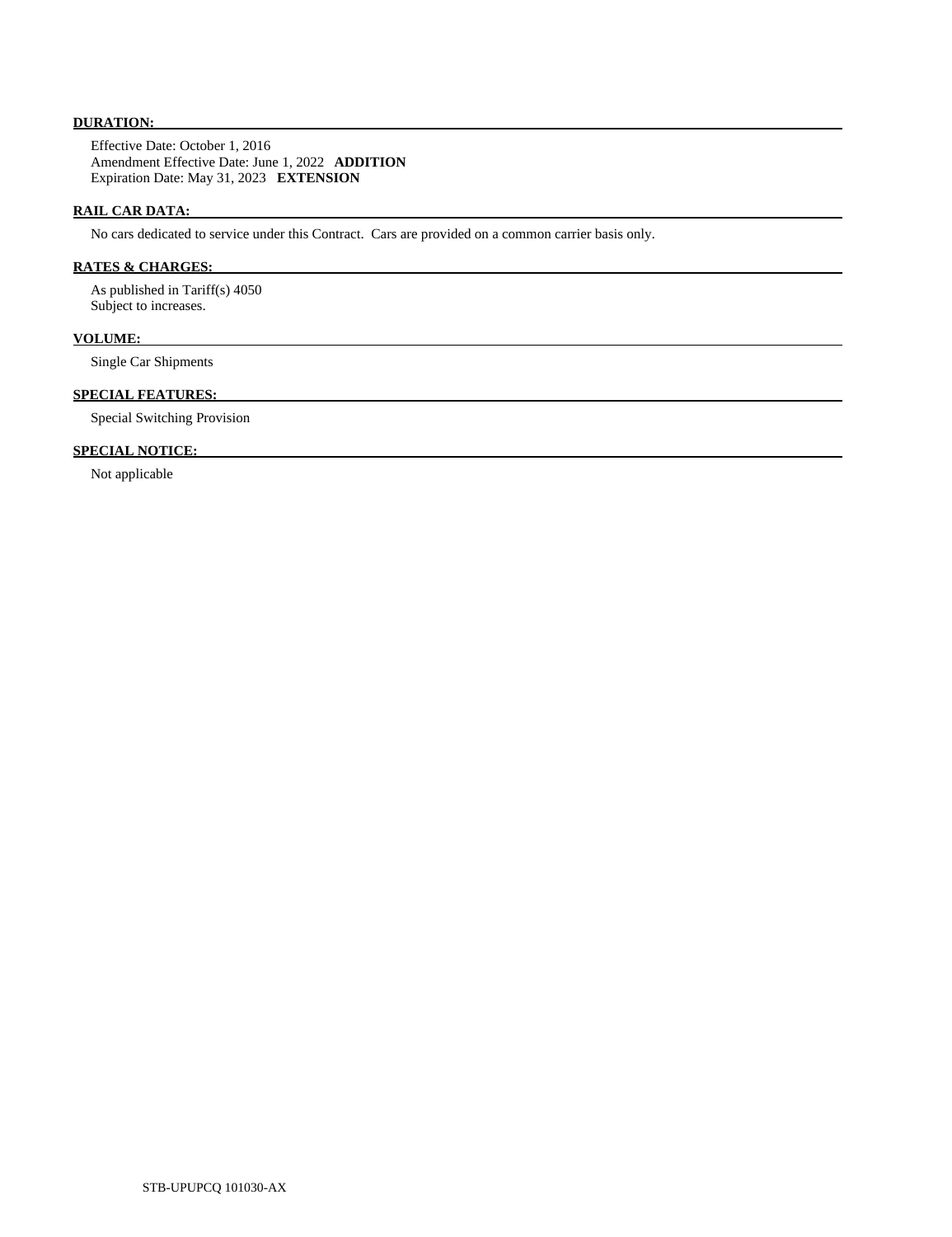# **DURATION:**

 Effective Date: October 1, 2016 Amendment Effective Date: June 1, 2022 **ADDITION**  Expiration Date: May 31, 2023 **EXTENSION** 

# **RAIL CAR DATA:**

No cars dedicated to service under this Contract. Cars are provided on a common carrier basis only.

# **RATES & CHARGES:**

 As published in Tariff(s) 4050 Subject to increases.

# **VOLUME:**

Single Car Shipments

# **SPECIAL FEATURES:**

Special Switching Provision

# **SPECIAL NOTICE:**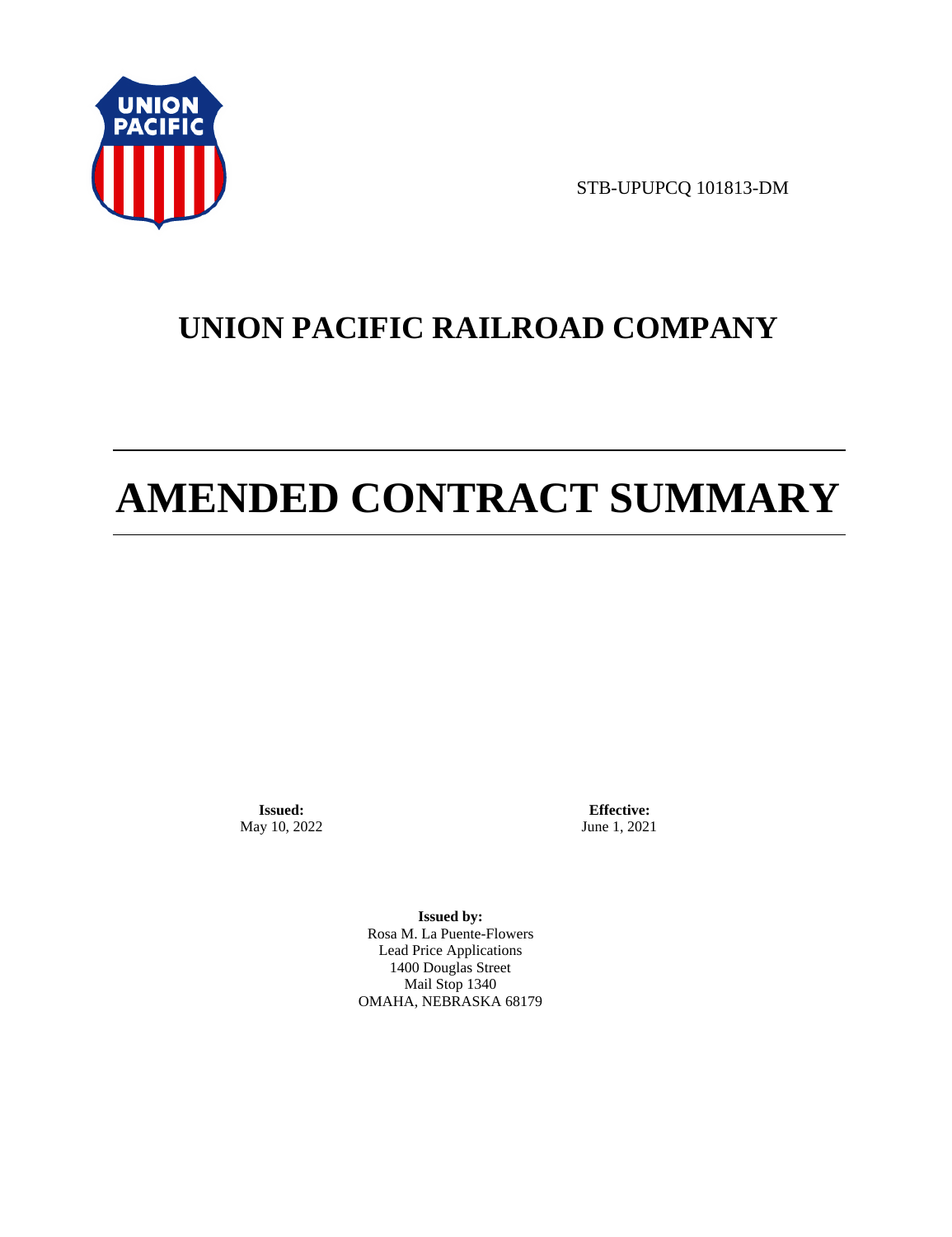

STB-UPUPCQ 101813-DM

# **UNION PACIFIC RAILROAD COMPANY**

# **AMENDED CONTRACT SUMMARY**

**Issued:**  May 10, 2022

**Effective:** June 1, 2021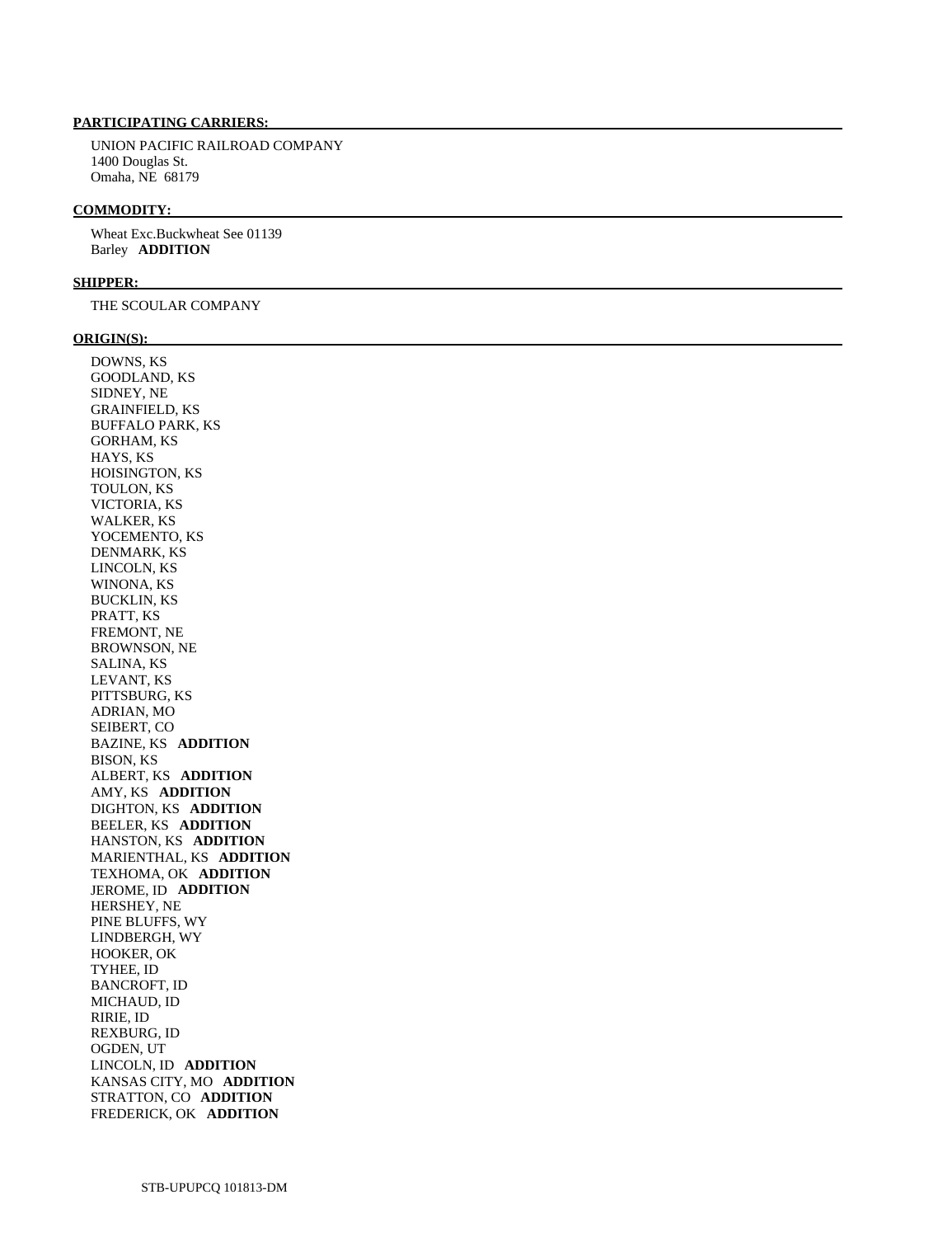UNION PACIFIC RAILROAD COMPANY 1400 Douglas St. Omaha, NE 68179

### **COMMODITY:**

 Wheat Exc.Buckwheat See 01139 Barley **ADDITION** 

### **SHIPPER:**

THE SCOULAR COMPANY

### **ORIGIN(S):**

 DOWNS, KS GOODLAND, KS SIDNEY, NE GRAINFIELD, KS BUFFALO PARK, KS GORHAM, KS HAYS, KS HOISINGTON, KS TOULON, KS VICTORIA, KS WALKER, KS YOCEMENTO, KS DENMARK, KS LINCOLN, KS WINONA, KS BUCKLIN, KS PRATT, KS FREMONT, NE BROWNSON, NE SALINA, KS LEVANT, KS PITTSBURG, KS ADRIAN, MO SEIBERT, CO BAZINE, KS **ADDITION**  BISON, KS ALBERT, KS **ADDITION**  AMY, KS **ADDITION**  DIGHTON, KS **ADDITION**  BEELER, KS **ADDITION**  HANSTON, KS **ADDITION**  MARIENTHAL, KS **ADDITION**  TEXHOMA, OK **ADDITION**  JEROME, ID **ADDITION**  HERSHEY, NE PINE BLUFFS, WY LINDBERGH, WY HOOKER, OK TYHEE, ID BANCROFT, ID MICHAUD, ID RIRIE, ID REXBURG, ID OGDEN, UT LINCOLN, ID **ADDITION**  KANSAS CITY, MO **ADDITION**  STRATTON, CO **ADDITION**  FREDERICK, OK **ADDITION**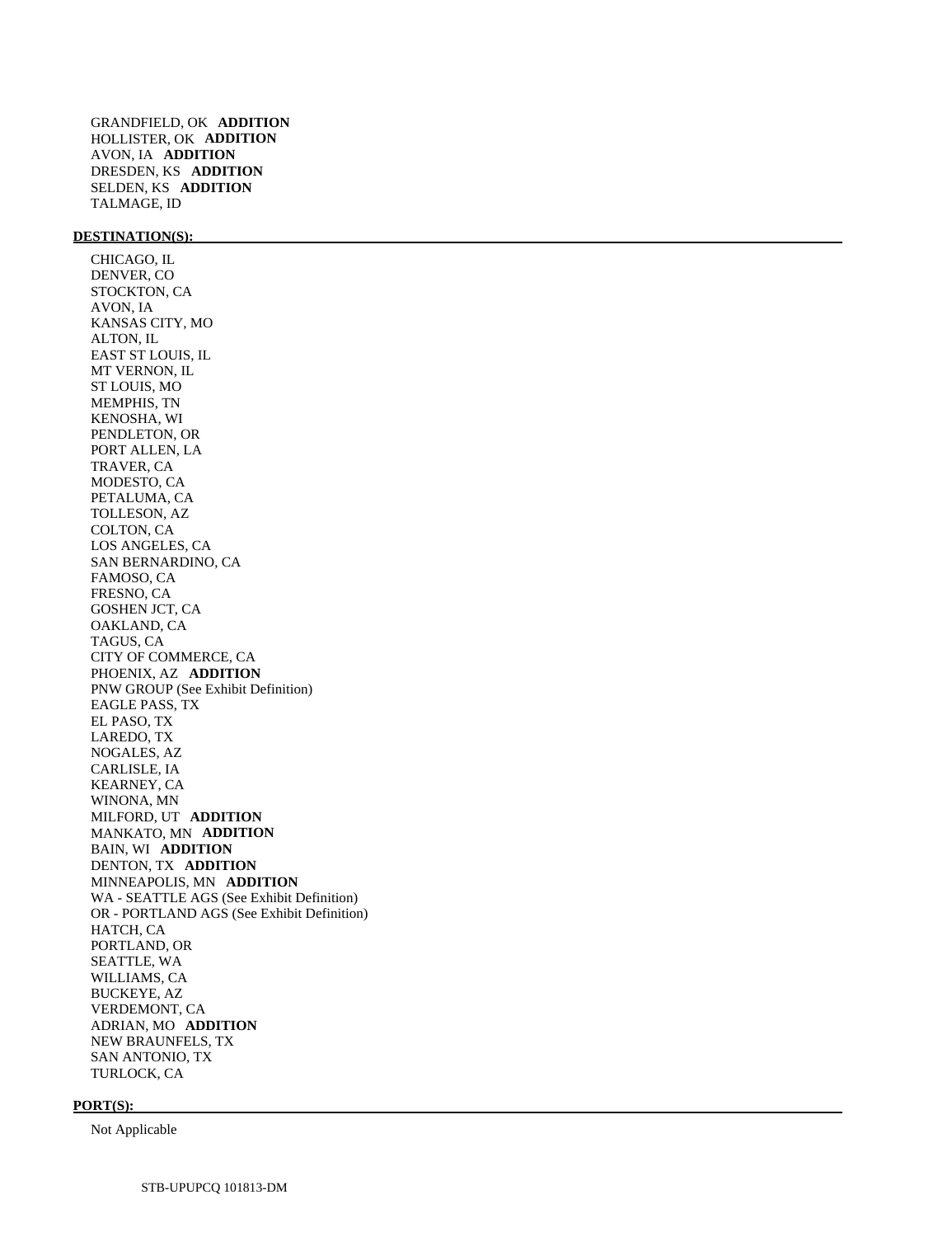GRANDFIELD, OK **ADDITION**  HOLLISTER, OK **ADDITION**  AVON, IA **ADDITION**  DRESDEN, KS **ADDITION**  SELDEN, KS **ADDITION**  TALMAGE, ID

# **DESTINATION(S):**

 CHICAGO, IL DENVER, CO STOCKTON, CA AVON, IA KANSAS CITY, MO ALTON, IL EAST ST LOUIS, IL MT VERNON, IL ST LOUIS, MO MEMPHIS, TN KENOSHA, WI PENDLETON, OR PORT ALLEN, LA TRAVER, CA MODESTO, CA PETALUMA, CA TOLLESON, AZ COLTON, CA LOS ANGELES, CA SAN BERNARDINO, CA FAMOSO, CA FRESNO, CA GOSHEN JCT, CA OAKLAND, CA TAGUS, CA CITY OF COMMERCE, CA PHOENIX, AZ **ADDITION**  PNW GROUP (See Exhibit Definition) EAGLE PASS, TX EL PASO, TX LAREDO, TX NOGALES, AZ CARLISLE, IA KEARNEY, CA WINONA, MN MILFORD, UT **ADDITION**  MANKATO, MN **ADDITION**  BAIN, WI **ADDITION**  DENTON, TX **ADDITION**  MINNEAPOLIS, MN **ADDITION**  WA - SEATTLE AGS (See Exhibit Definition) OR - PORTLAND AGS (See Exhibit Definition) HATCH, CA PORTLAND, OR SEATTLE, WA WILLIAMS, CA BUCKEYE, AZ VERDEMONT, CA ADRIAN, MO **ADDITION**  NEW BRAUNFELS, TX SAN ANTONIO, TX TURLOCK, CA

#### **PORT(S):**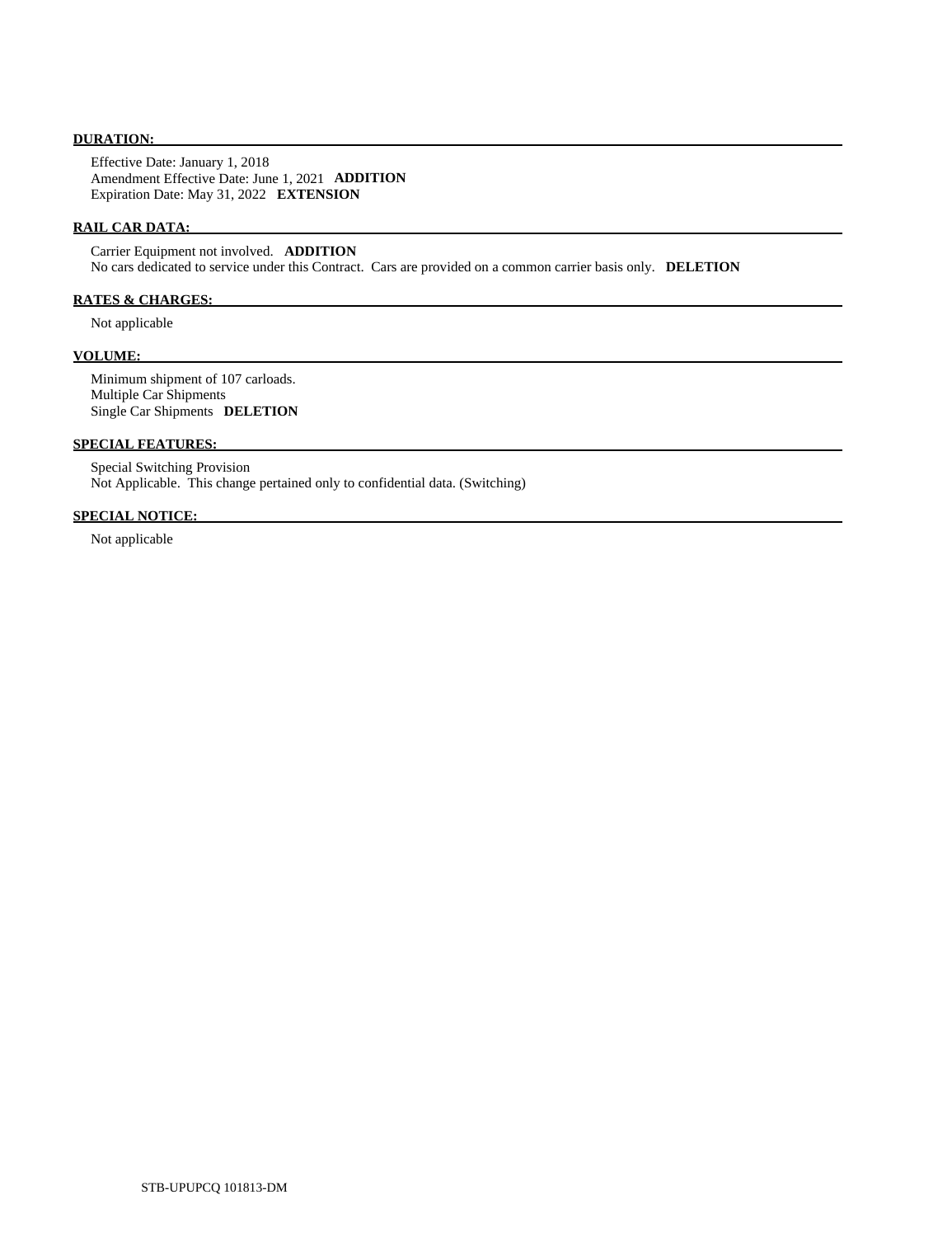# **DURATION:**

 Effective Date: January 1, 2018 Amendment Effective Date: June 1, 2021 **ADDITION**  Expiration Date: May 31, 2022 **EXTENSION** 

# **RAIL CAR DATA:**

 Carrier Equipment not involved. **ADDITION**  No cars dedicated to service under this Contract. Cars are provided on a common carrier basis only. **DELETION** 

# **RATES & CHARGES:**

Not applicable

### **VOLUME:**

 Minimum shipment of 107 carloads. Multiple Car Shipments Single Car Shipments **DELETION** 

# **SPECIAL FEATURES:**

 Special Switching Provision Not Applicable. This change pertained only to confidential data. (Switching)

# **SPECIAL NOTICE:**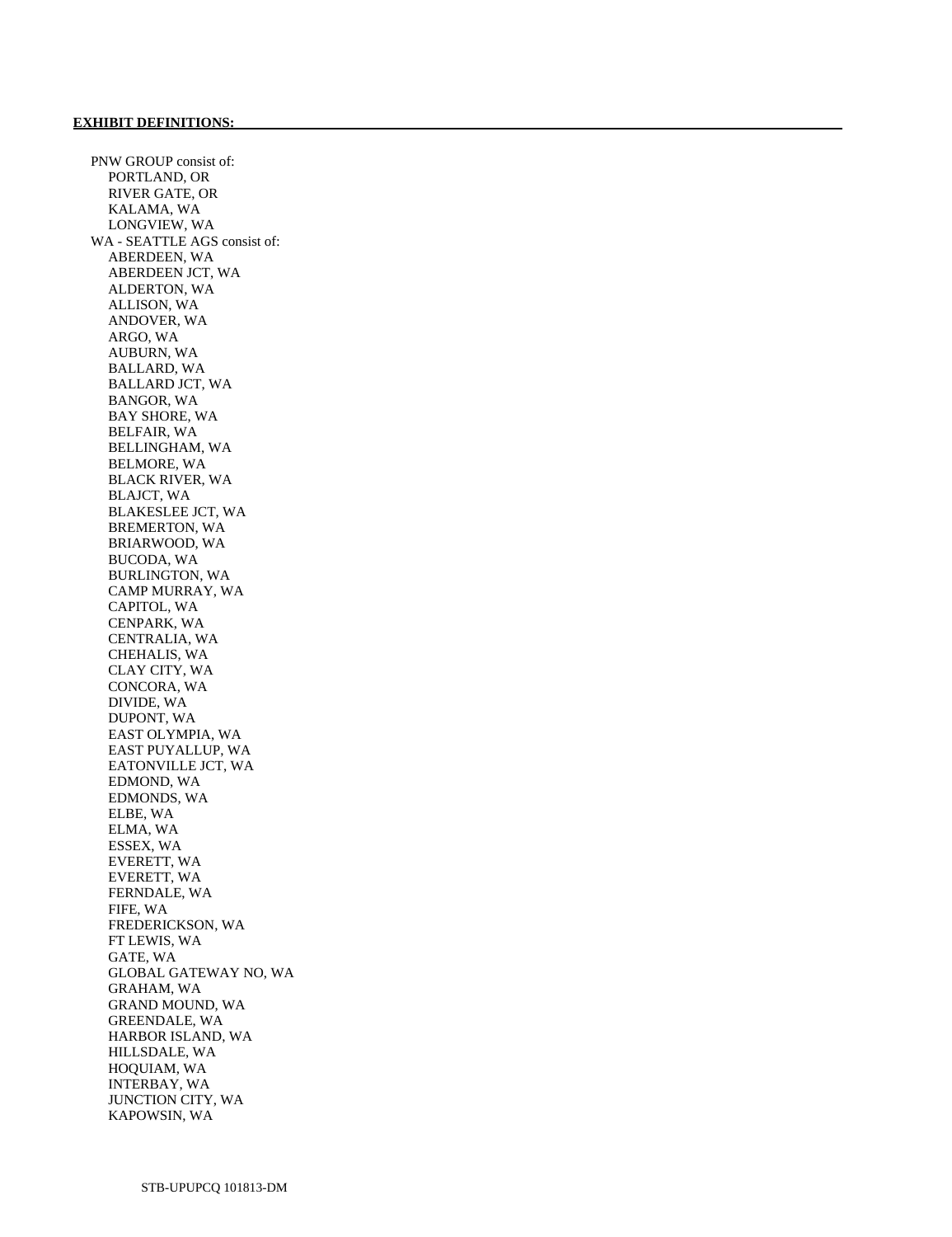PNW GROUP consist of: PORTLAND, OR RIVER GATE, OR KALAMA, WA LONGVIEW, WA WA - SEATTLE AGS consist of: ABERDEEN, WA ABERDEEN JCT, WA ALDERTON, WA ALLISON, WA ANDOVER, WA ARGO, WA AUBURN, WA BALLARD, WA BALLARD JCT, WA BANGOR, WA BAY SHORE, WA BELFAIR, WA BELLINGHAM, WA BELMORE, WA BLACK RIVER, WA BLAJCT, WA BLAKESLEE JCT, WA BREMERTON, WA BRIARWOOD, WA BUCODA, WA BURLINGTON, WA CAMP MURRAY, WA CAPITOL, WA CENPARK, WA CENTRALIA, WA CHEHALIS, WA CLAY CITY, WA CONCORA, WA DIVIDE, WA DUPONT, WA EAST OLYMPIA, WA EAST PUYALLUP, WA EATONVILLE JCT, WA EDMOND, WA EDMONDS, WA ELBE, WA ELMA, WA ESSEX, WA EVERETT, WA EVERETT, WA FERNDALE, WA FIFE, WA FREDERICKSON, WA FT LEWIS, WA GATE, WA GLOBAL GATEWAY NO, WA GRAHAM, WA GRAND MOUND, WA GREENDALE, WA HARBOR ISLAND, WA HILLSDALE, WA HOQUIAM, WA INTERBAY, WA JUNCTION CITY, WA KAPOWSIN, WA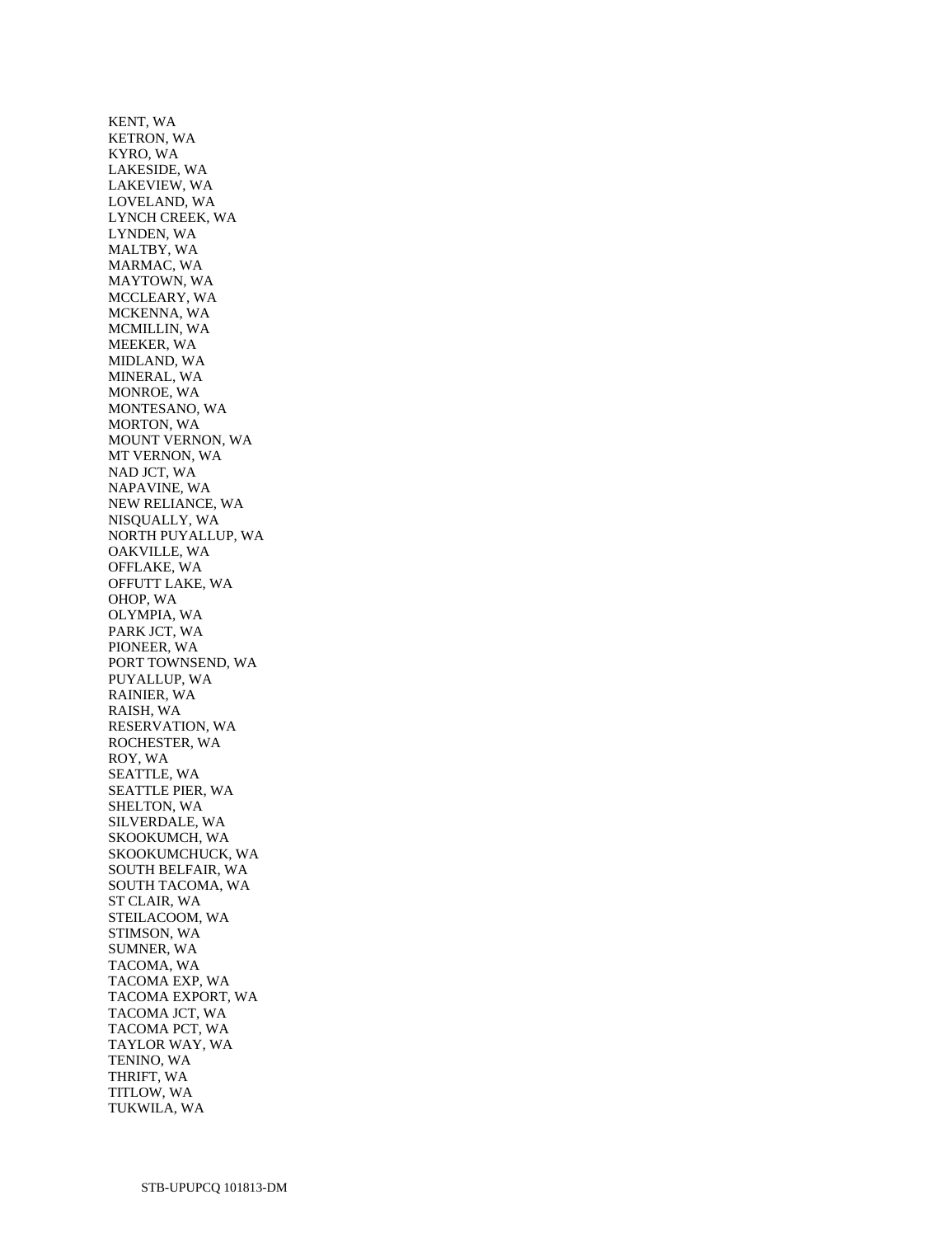KENT, WA KETRON, WA KYRO, WA LAKESIDE, WA LAKEVIEW, WA LOVELAND, WA LYNCH CREEK, WA LYNDEN, WA MALTBY, WA MARMAC, WA MAYTOWN, WA MCCLEARY, WA MCKENNA, WA MCMILLIN, WA MEEKER, WA MIDLAND, WA MINERAL, WA MONROE, WA MONTESANO, WA MORTON, WA MOUNT VERNON, WA MT VERNON, WA NAD JCT, WA NAPAVINE, WA NEW RELIANCE, WA NISQUALLY, WA NORTH PUYALLUP, WA OAKVILLE, WA OFFLAKE, WA OFFUTT LAKE, WA OHOP, WA OLYMPIA, WA PARK JCT, WA PIONEER, WA PORT TOWNSEND, WA PUYALLUP, WA RAINIER, WA RAISH, WA RESERVATION, WA ROCHESTER, WA ROY, WA SEATTLE, WA SEATTLE PIER, WA SHELTON, WA SILVERDALE, WA SKOOKUMCH, WA SKOOKUMCHUCK, WA SOUTH BELFAIR, WA SOUTH TACOMA, WA ST CLAIR, WA STEILACOOM, WA STIMSON, WA SUMNER, WA TACOMA, WA TACOMA EXP, WA TACOMA EXPORT, WA TACOMA JCT, WA TACOMA PCT, WA TAYLOR WAY, WA TENINO, WA THRIFT, WA TITLOW, WA TUKWILA, WA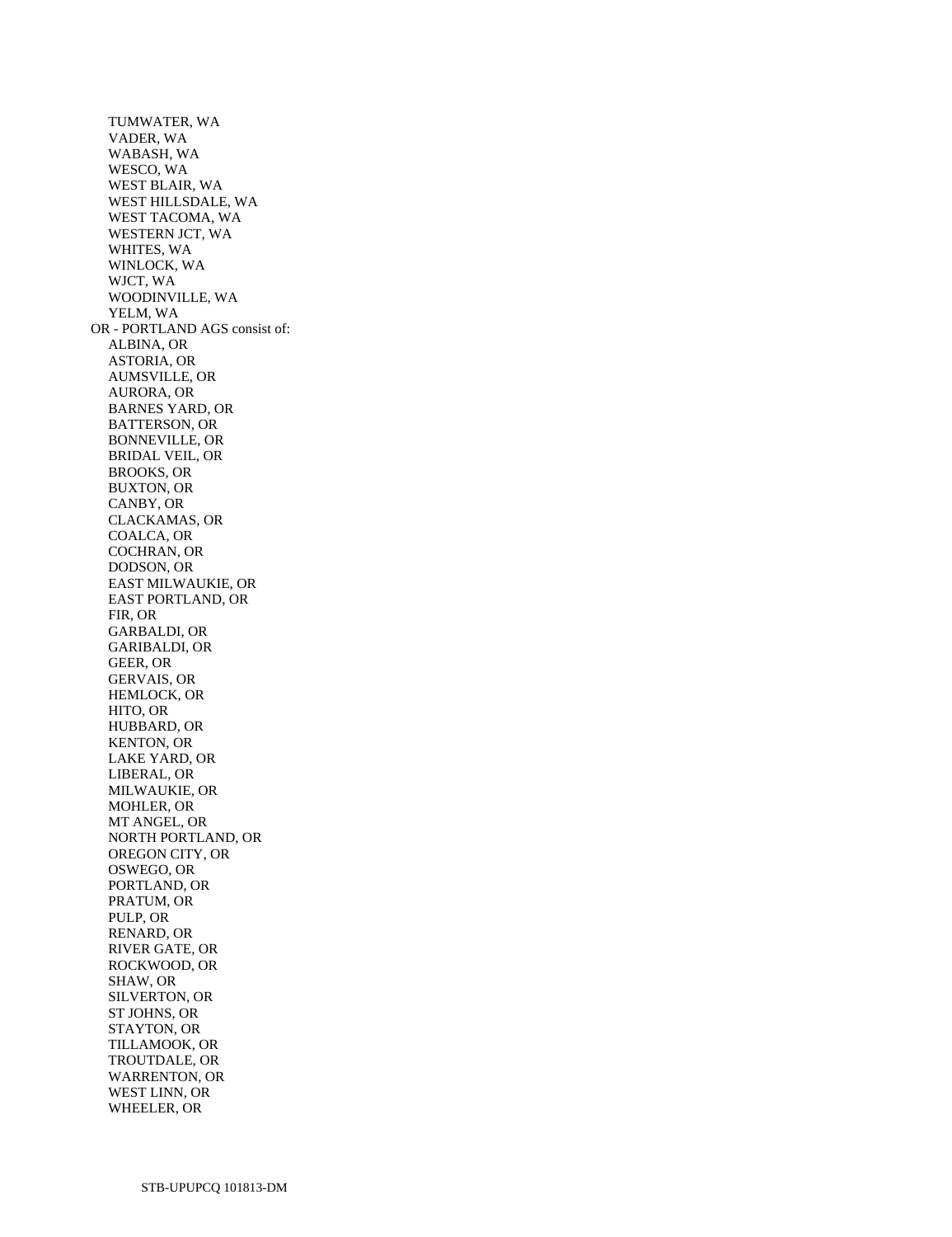TUMWATER, WA VADER, WA WABASH, WA WESCO, WA WEST BLAIR, WA WEST HILLSDALE, WA WEST TACOMA, WA WESTERN JCT, WA WHITES, WA WINLOCK, WA WJCT, WA WOODINVILLE, WA YELM, WA OR - PORTLAND AGS consist of: ALBINA, OR ASTORIA, OR AUMSVILLE, OR AURORA, OR BARNES YARD, OR BATTERSON, OR BONNEVILLE, OR BRIDAL VEIL, OR BROOKS, OR BUXTON, OR CANBY, OR CLACKAMAS, OR COALCA, OR COCHRAN, OR DODSON, OR EAST MILWAUKIE, OR EAST PORTLAND, OR FIR, OR GARBALDI, OR GARIBALDI, OR GEER, OR GERVAIS, OR HEMLOCK, OR HITO, OR HUBBARD, OR KENTON, OR LAKE YARD, OR LIBERAL, OR MILWAUKIE, OR MOHLER, OR MT ANGEL, OR NORTH PORTLAND, OR OREGON CITY, OR OSWEGO, OR PORTLAND, OR PRATUM, OR PULP, OR RENARD, OR RIVER GATE, OR ROCKWOOD, OR SHAW, OR SILVERTON, OR ST JOHNS, OR STAYTON, OR TILLAMOOK, OR TROUTDALE, OR WARRENTON, OR WEST LINN, OR WHEELER, OR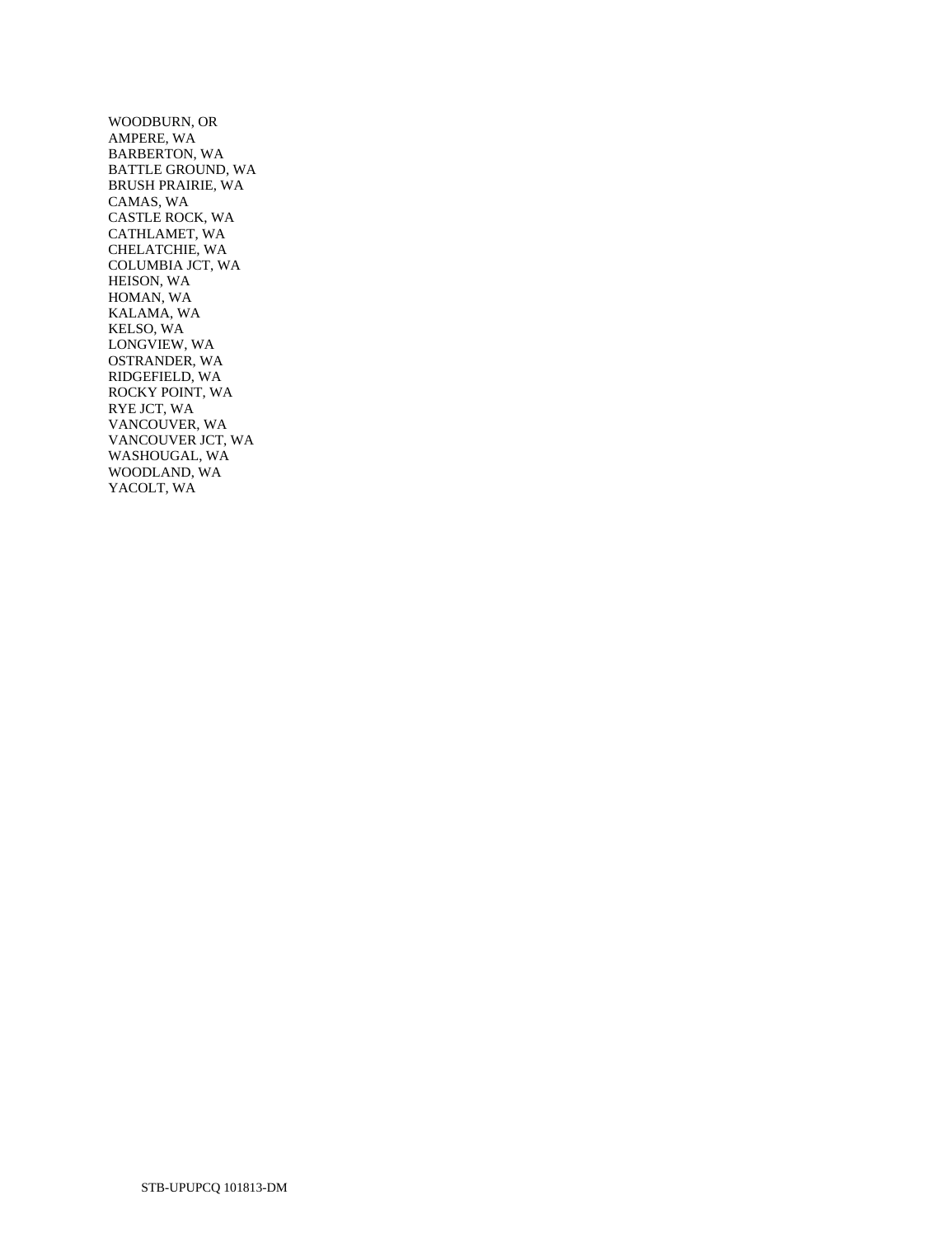WOODBURN, OR AMPERE, WA BARBERTON, WA BATTLE GROUND, WA BRUSH PRAIRIE, WA CAMAS, WA CASTLE ROCK, WA CATHLAMET, WA CHELATCHIE, WA COLUMBIA JCT, WA HEISON, WA HOMAN, WA KALAMA, WA KELSO, WA LONGVIEW, WA OSTRANDER, WA RIDGEFIELD, WA ROCKY POINT, WA RYE JCT, WA VANCOUVER, WA VANCOUVER JCT, WA WASHOUGAL, WA WOODLAND, WA YACOLT, WA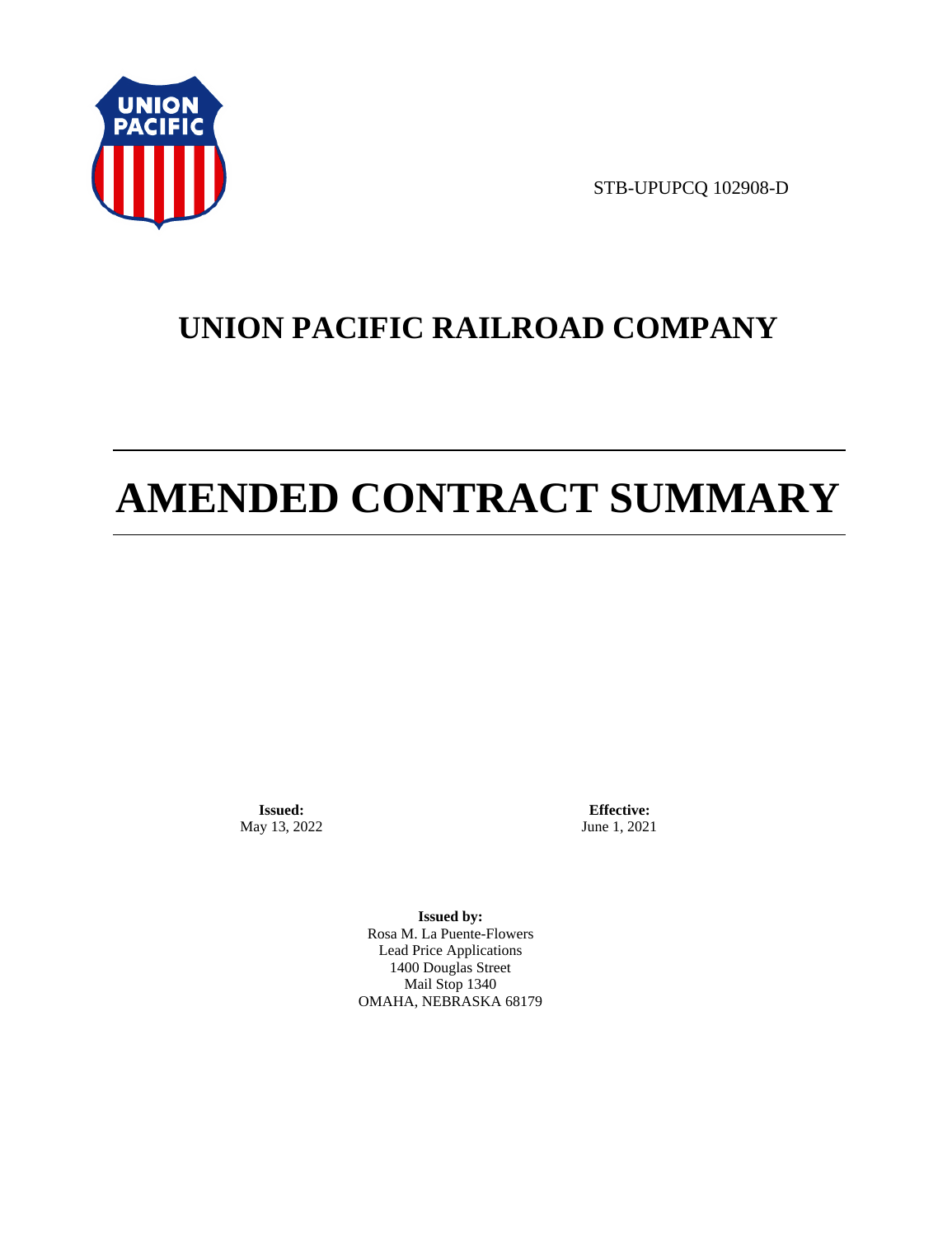

STB-UPUPCQ 102908-D

# **UNION PACIFIC RAILROAD COMPANY**

# **AMENDED CONTRACT SUMMARY**

**Issued:**  May 13, 2022

**Effective:** June 1, 2021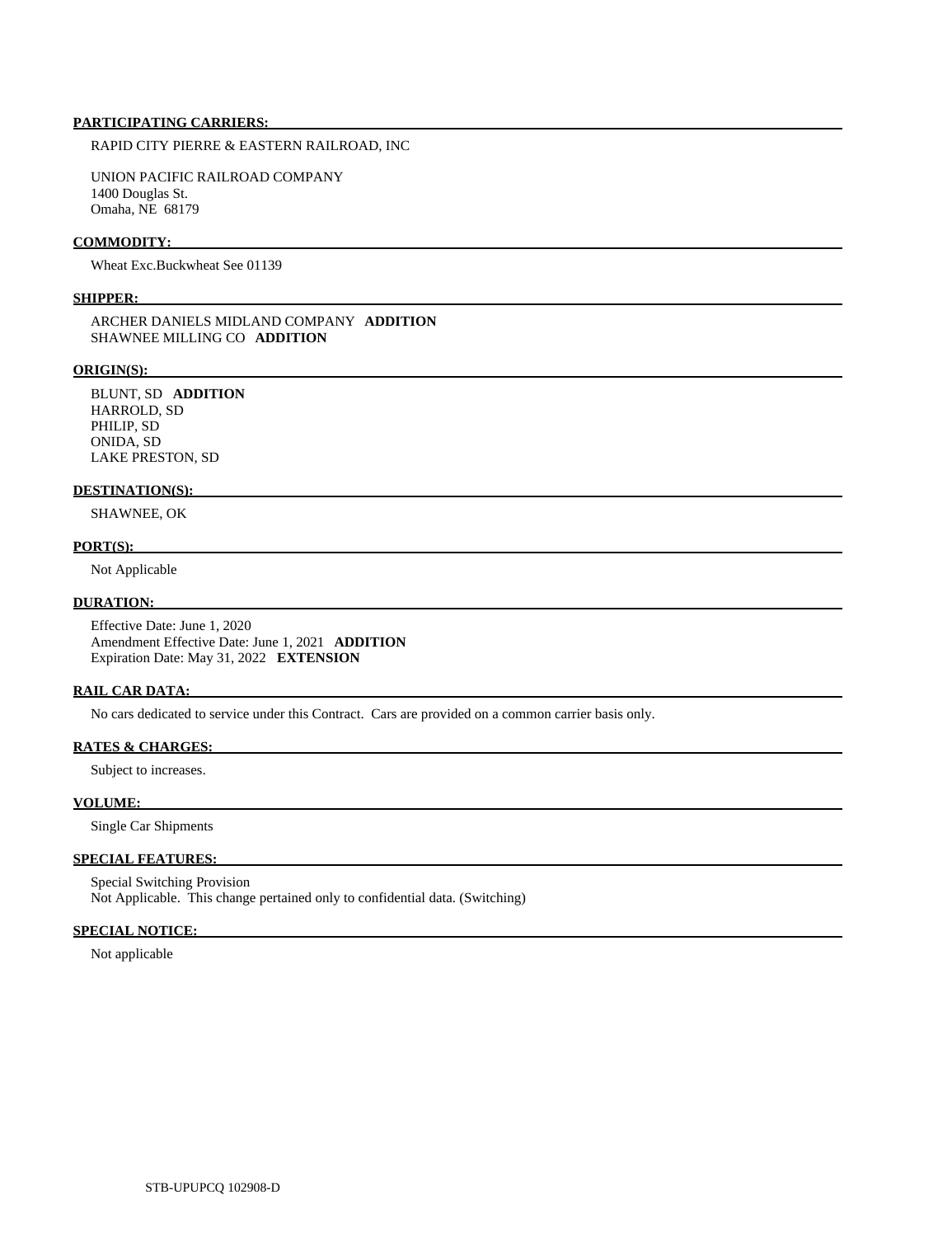RAPID CITY PIERRE & EASTERN RAILROAD, INC

 UNION PACIFIC RAILROAD COMPANY 1400 Douglas St. Omaha, NE 68179

# **COMMODITY:**

Wheat Exc.Buckwheat See 01139

### **SHIPPER:**

 ARCHER DANIELS MIDLAND COMPANY **ADDITION**  SHAWNEE MILLING CO **ADDITION** 

### **ORIGIN(S):**

 BLUNT, SD **ADDITION**  HARROLD, SD PHILIP, SD ONIDA, SD LAKE PRESTON, SD

### **DESTINATION(S):**

SHAWNEE, OK

### **PORT(S):**

Not Applicable

### **DURATION:**

 Effective Date: June 1, 2020 Amendment Effective Date: June 1, 2021 **ADDITION**  Expiration Date: May 31, 2022 **EXTENSION** 

### **RAIL CAR DATA:**

No cars dedicated to service under this Contract. Cars are provided on a common carrier basis only.

### **RATES & CHARGES:**

Subject to increases.

### **VOLUME:**

Single Car Shipments

# **SPECIAL FEATURES:**

 Special Switching Provision Not Applicable. This change pertained only to confidential data. (Switching)

# **SPECIAL NOTICE:**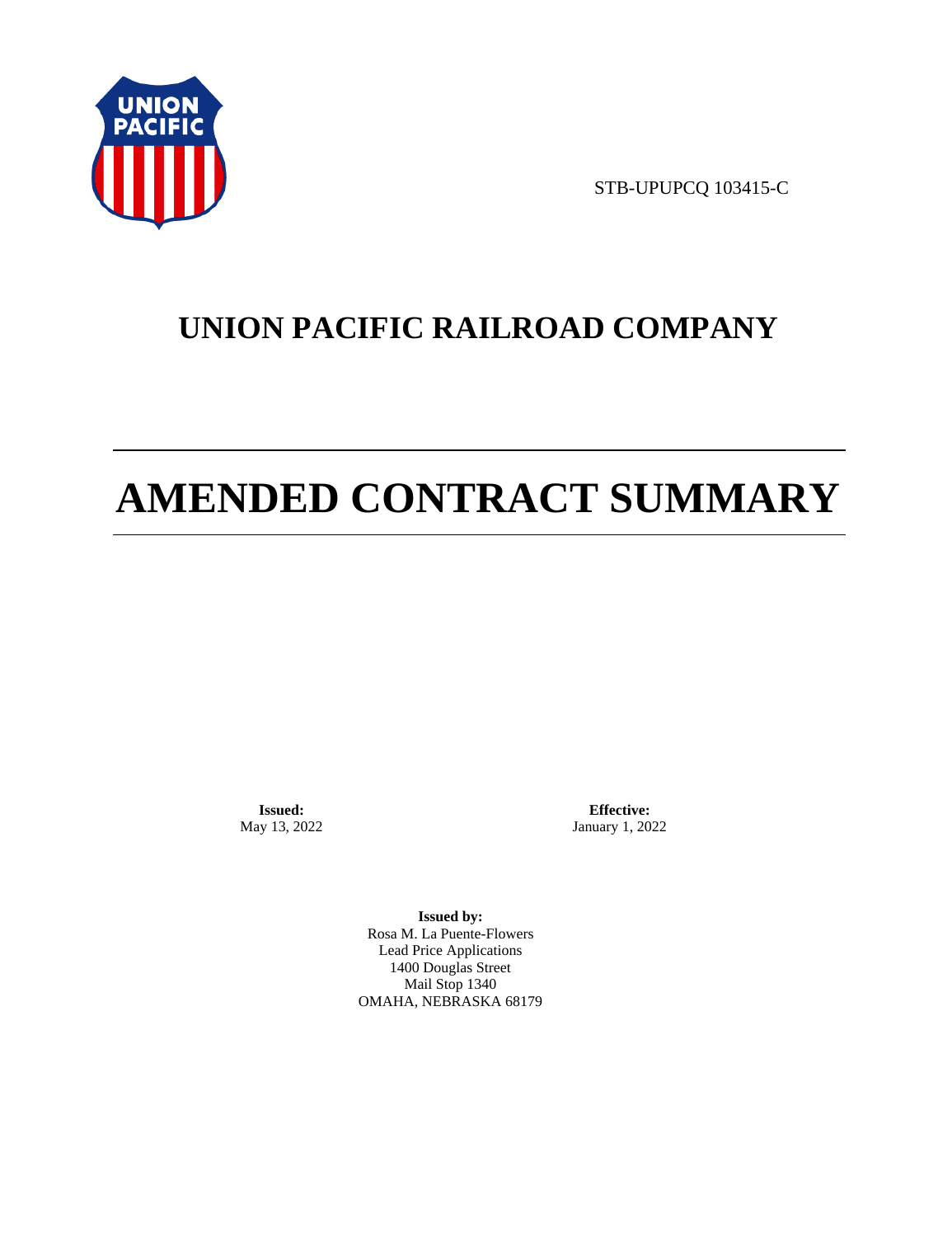

STB-UPUPCQ 103415-C

# **UNION PACIFIC RAILROAD COMPANY**

# **AMENDED CONTRACT SUMMARY**

**Issued:**  May 13, 2022

**Effective:** January 1, 2022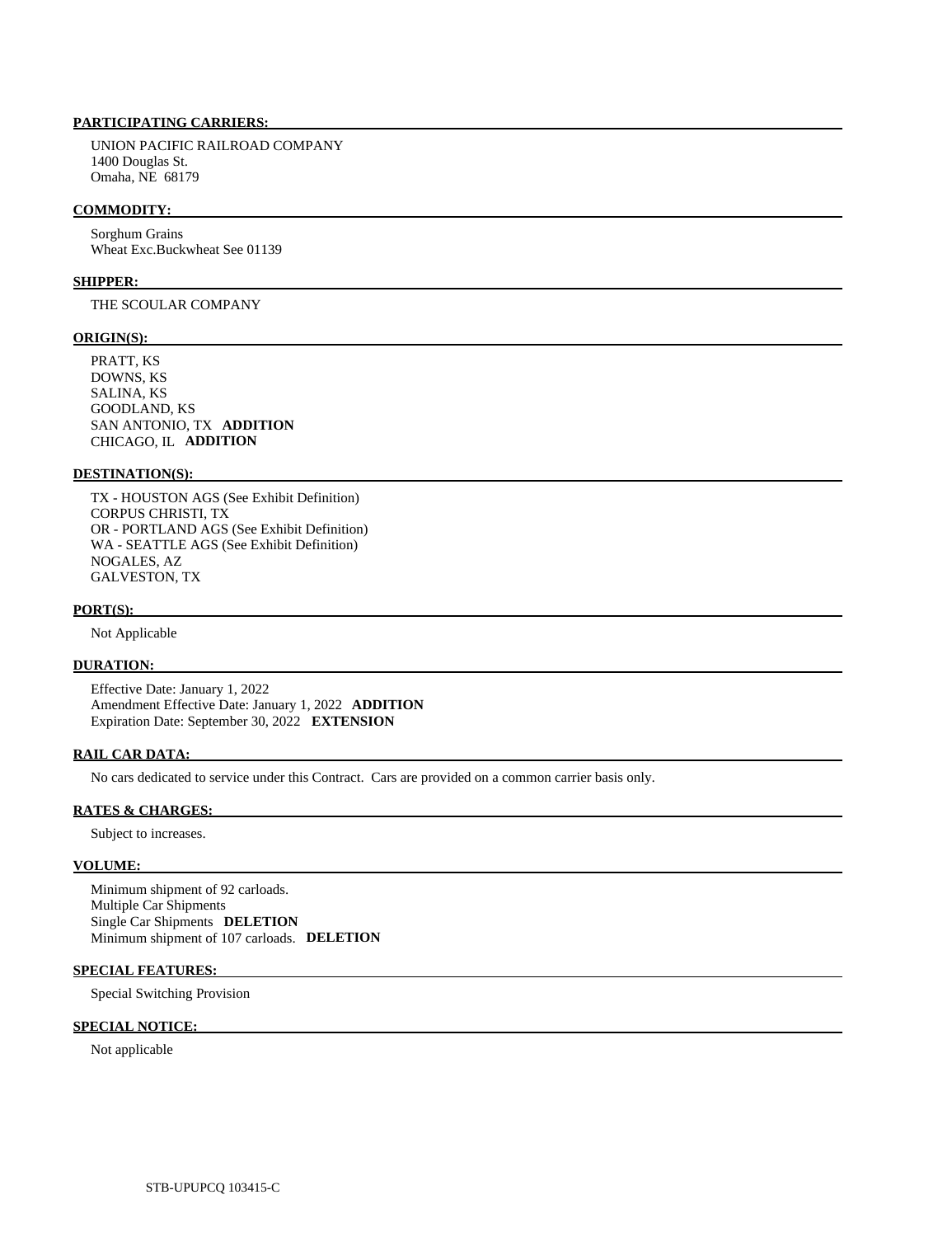UNION PACIFIC RAILROAD COMPANY 1400 Douglas St. Omaha, NE 68179

### **COMMODITY:**

 Sorghum Grains Wheat Exc.Buckwheat See 01139

# **SHIPPER:**

THE SCOULAR COMPANY

### **ORIGIN(S):**

 PRATT, KS DOWNS, KS SALINA, KS GOODLAND, KS SAN ANTONIO, TX **ADDITION**  CHICAGO, IL **ADDITION** 

### **DESTINATION(S):**

 TX - HOUSTON AGS (See Exhibit Definition) CORPUS CHRISTI, TX OR - PORTLAND AGS (See Exhibit Definition) WA - SEATTLE AGS (See Exhibit Definition) NOGALES, AZ GALVESTON, TX

### **PORT(S):**

Not Applicable

# **DURATION:**

 Effective Date: January 1, 2022 Amendment Effective Date: January 1, 2022 **ADDITION**  Expiration Date: September 30, 2022 **EXTENSION** 

### **RAIL CAR DATA:**

No cars dedicated to service under this Contract. Cars are provided on a common carrier basis only.

### **RATES & CHARGES:**

Subject to increases.

### **VOLUME:**

 Minimum shipment of 92 carloads. Multiple Car Shipments Single Car Shipments **DELETION**  Minimum shipment of 107 carloads. **DELETION** 

# **SPECIAL FEATURES:**

Special Switching Provision

### **SPECIAL NOTICE:**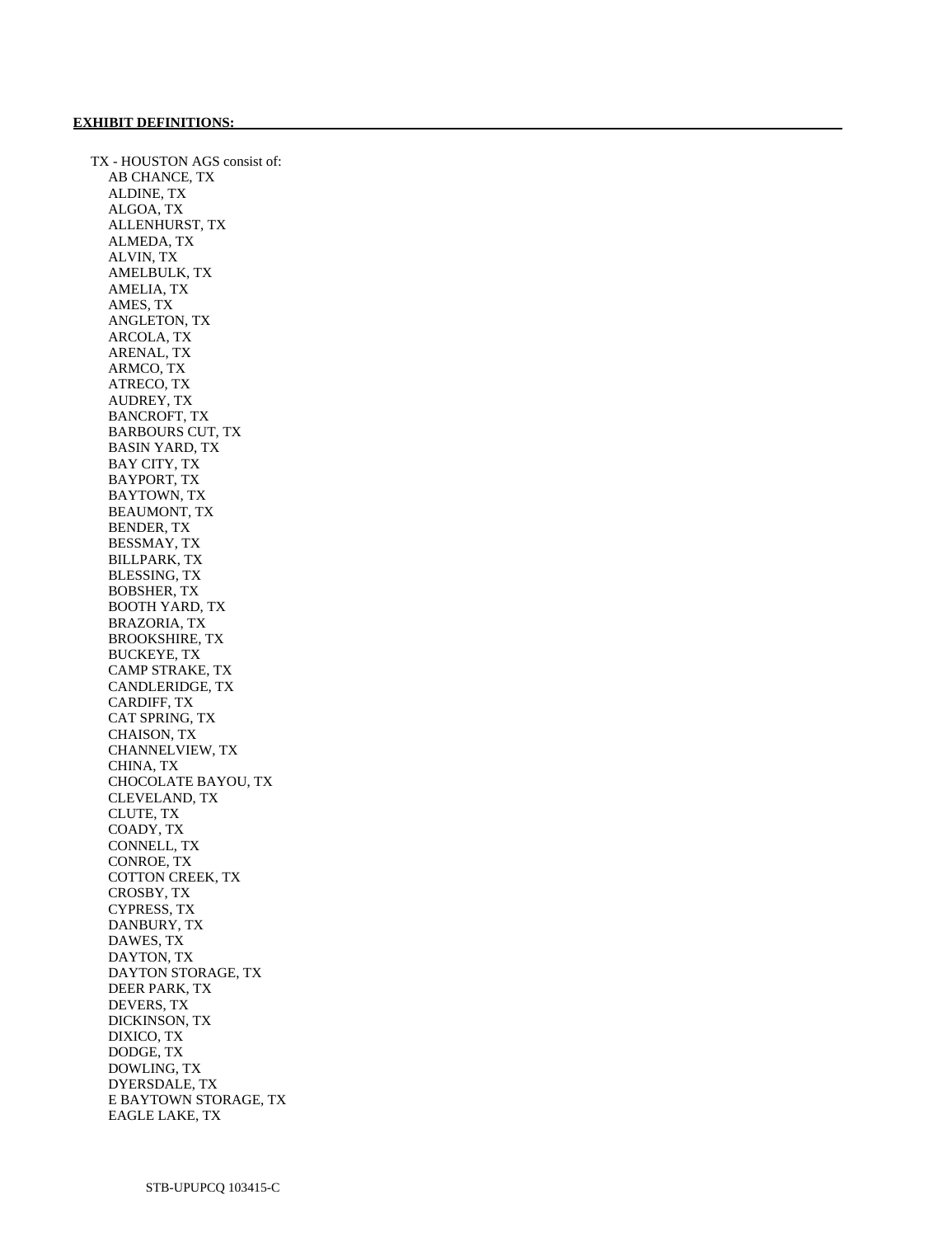TX - HOUSTON AGS consist of: AB CHANCE, TX ALDINE, TX ALGOA, TX ALLENHURST, TX ALMEDA, TX ALVIN, TX AMELBULK, TX AMELIA, TX AMES, TX ANGLETON, TX ARCOLA, TX ARENAL, TX ARMCO, TX ATRECO, TX AUDREY, TX BANCROFT, TX BARBOURS CUT, TX BASIN YARD, TX BAY CITY, TX BAYPORT, TX BAYTOWN, TX BEAUMONT, TX BENDER, TX BESSMAY, TX BILLPARK, TX BLESSING, TX BOBSHER, TX BOOTH YARD, TX BRAZORIA, TX BROOKSHIRE, TX BUCKEYE, TX CAMP STRAKE, TX CANDLERIDGE, TX CARDIFF, TX CAT SPRING, TX CHAISON, TX CHANNELVIEW, TX CHINA, TX CHOCOLATE BAYOU, TX CLEVELAND, TX CLUTE, TX COADY, TX CONNELL, TX CONROE, TX COTTON CREEK, TX CROSBY, TX CYPRESS, TX DANBURY, TX DAWES, TX DAYTON, TX DAYTON STORAGE, TX DEER PARK, TX DEVERS, TX DICKINSON, TX DIXICO, TX DODGE, TX DOWLING, TX DYERSDALE, TX E BAYTOWN STORAGE, TX EAGLE LAKE, TX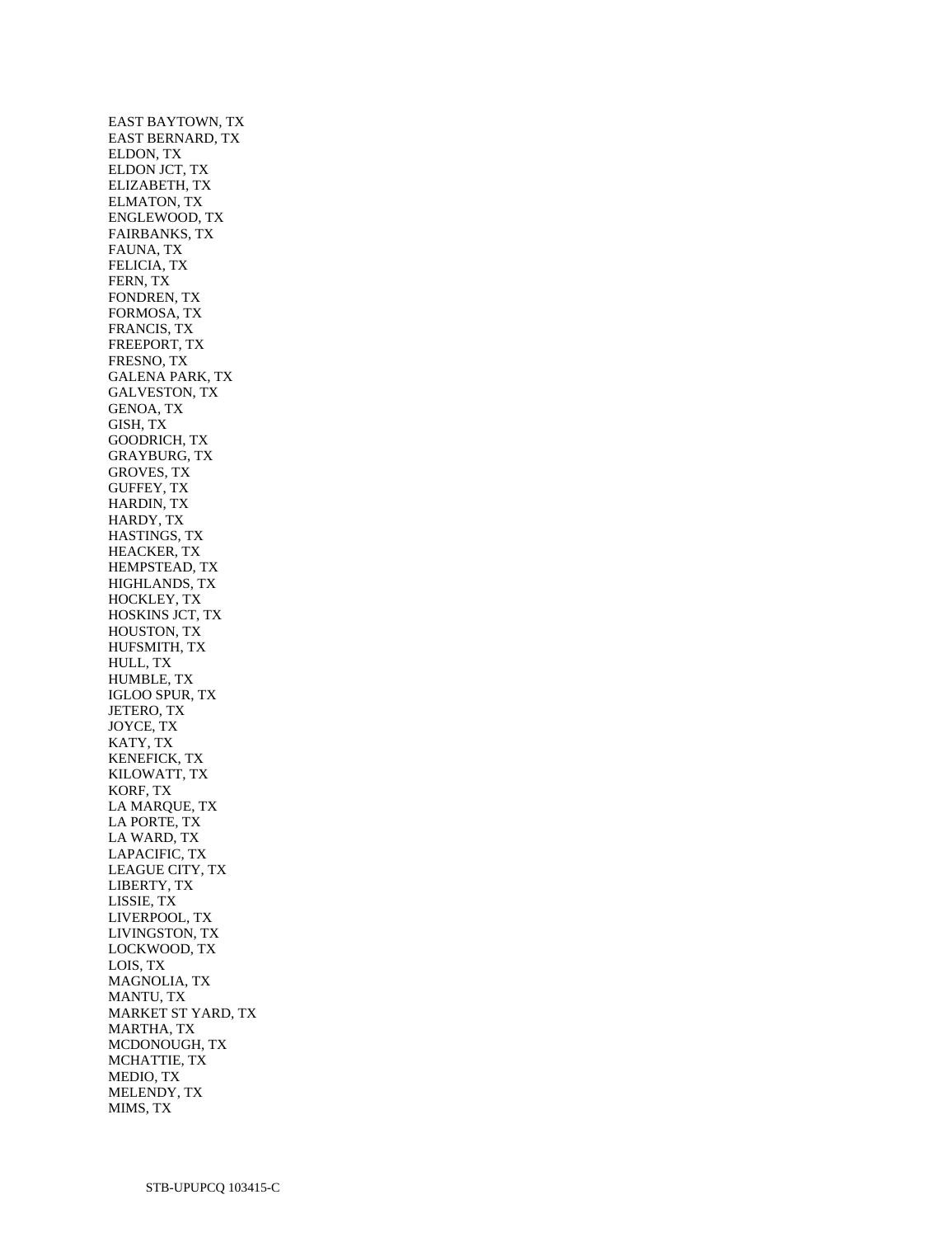EAST BAYTOWN, TX EAST BERNARD, TX ELDON, TX ELDON JCT, TX ELIZABETH, TX ELMATON, TX ENGLEWOOD, TX FAIRBANKS, TX FAUNA, TX FELICIA, TX FERN, TX FONDREN, TX FORMOSA, TX FRANCIS, TX FREEPORT, TX FRESNO, TX GALENA PARK, TX GALVESTON, TX GENOA, TX GISH, TX GOODRICH, TX GRAYBURG, TX GROVES, TX GUFFEY, TX HARDIN, TX HARDY, TX HASTINGS, TX HEACKER, TX HEMPSTEAD, TX HIGHLANDS, TX HOCKLEY, TX HOSKINS JCT, TX HOUSTON, TX HUFSMITH, TX HULL, TX HUMBLE, TX IGLOO SPUR, TX JETERO, TX JOYCE, TX KATY, TX KENEFICK, TX KILOWATT, TX KORF, TX LA MARQUE, TX LA PORTE, TX LA WARD, TX LAPACIFIC, TX LEAGUE CITY, TX LIBERTY, TX LISSIE, TX LIVERPOOL, TX LIVINGSTON, TX LOCKWOOD, TX LOIS, TX MAGNOLIA, TX MANTU, TX MARKET ST YARD, TX MARTHA, TX MCDONOUGH, TX MCHATTIE, TX MEDIO, TX MELENDY, TX MIMS, TX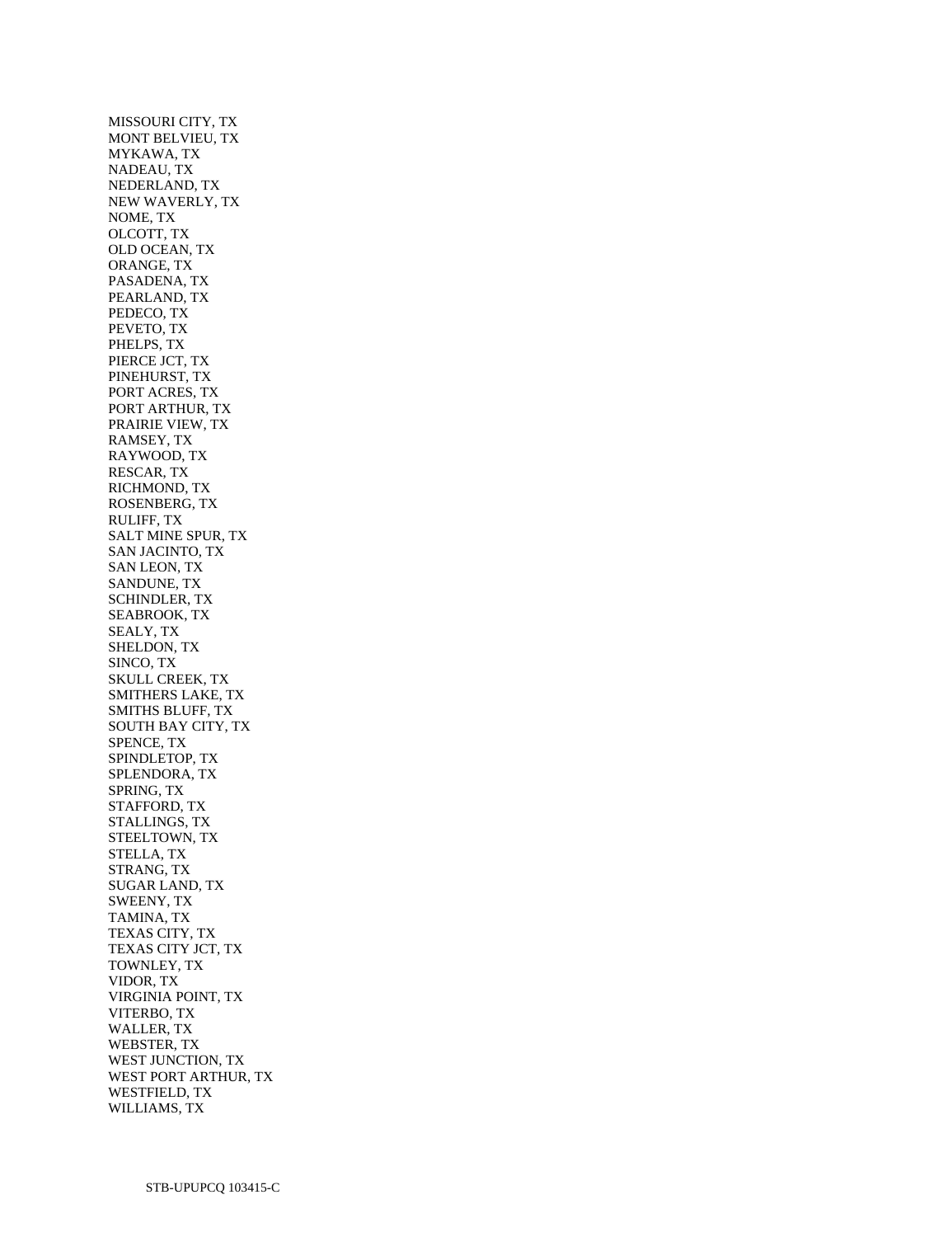MISSOURI CITY, TX MONT BELVIEU, TX MYKAWA, TX NADEAU, TX NEDERLAND, TX NEW WAVERLY, TX NOME, TX OLCOTT, TX OLD OCEAN, TX ORANGE, TX PASADENA, TX PEARLAND, TX PEDECO, TX PEVETO, TX PHELPS, TX PIERCE JCT, TX PINEHURST, TX PORT ACRES, TX PORT ARTHUR, TX PRAIRIE VIEW, TX RAMSEY, TX RAYWOOD, TX RESCAR, TX RICHMOND, TX ROSENBERG, TX RULIFF, TX SALT MINE SPUR, TX SAN JACINTO, TX SAN LEON, TX SANDUNE, TX SCHINDLER, TX SEABROOK, TX SEALY, TX SHELDON, TX SINCO, TX SKULL CREEK, TX SMITHERS LAKE, TX SMITHS BLUFF, TX SOUTH BAY CITY, TX SPENCE, TX SPINDLETOP, TX SPLENDORA, TX SPRING, TX STAFFORD, TX STALLINGS, TX STEELTOWN, TX STELLA, TX STRANG, TX SUGAR LAND, TX SWEENY, TX TAMINA, TX TEXAS CITY, TX TEXAS CITY JCT, TX TOWNLEY, TX VIDOR, TX VIRGINIA POINT, TX VITERBO, TX WALLER, TX WEBSTER, TX WEST JUNCTION, TX WEST PORT ARTHUR, TX WESTFIELD, TX WILLIAMS, TX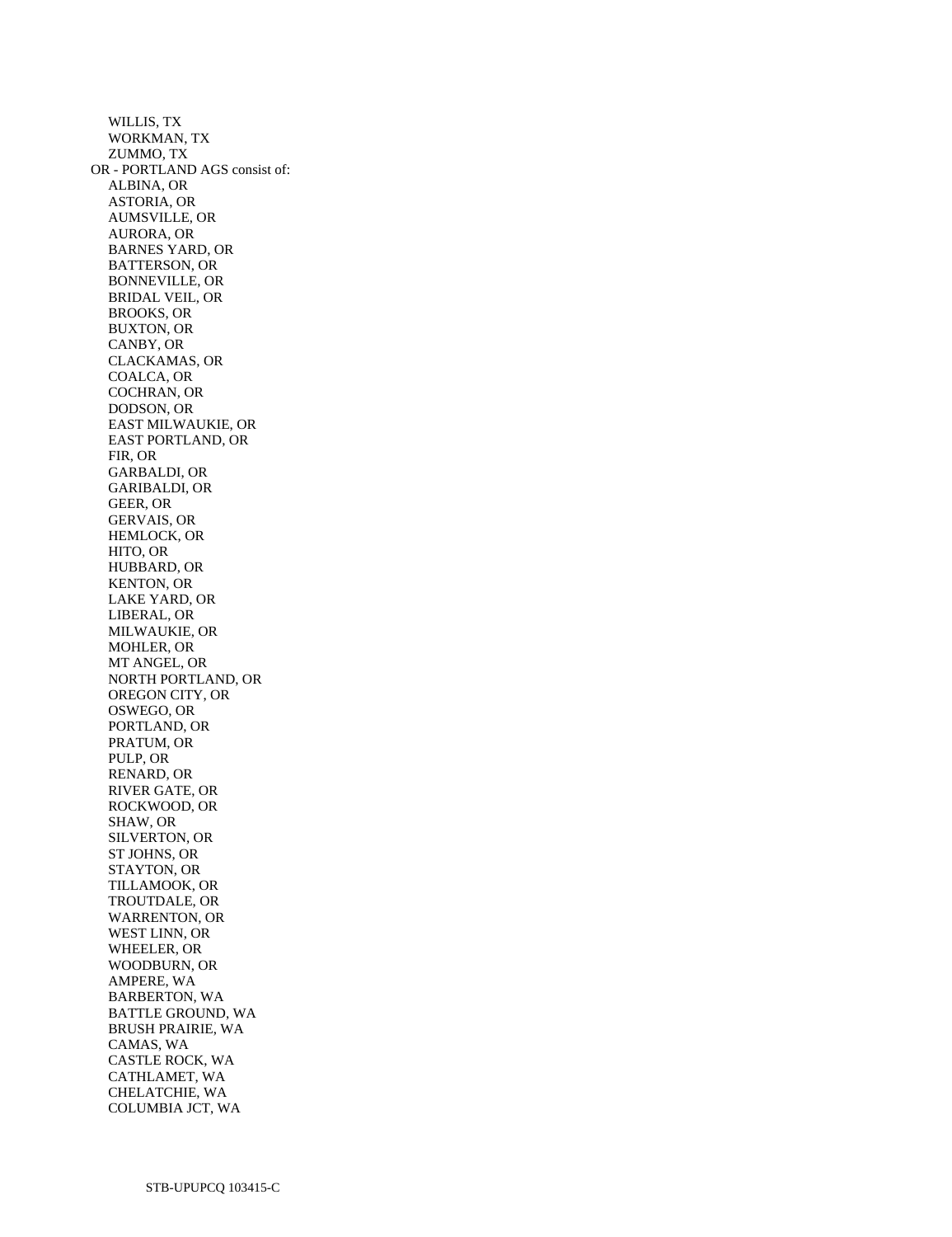WILLIS, TX WORKMAN, TX ZUMMO, TX OR - PORTLAND AGS consist of: ALBINA, OR ASTORIA, OR AUMSVILLE, OR AURORA, OR BARNES YARD, OR BATTERSON, OR BONNEVILLE, OR BRIDAL VEIL, OR BROOKS, OR BUXTON, OR CANBY, OR CLACKAMAS, OR COALCA, OR COCHRAN, OR DODSON, OR EAST MILWAUKIE, OR EAST PORTLAND, OR FIR, OR GARBALDI, OR GARIBALDI, OR GEER, OR GERVAIS, OR HEMLOCK, OR HITO, OR HUBBARD, OR KENTON, OR LAKE YARD, OR LIBERAL, OR MILWAUKIE, OR MOHLER, OR MT ANGEL, OR NORTH PORTLAND, OR OREGON CITY, OR OSWEGO, OR PORTLAND, OR PRATUM, OR PULP, OR RENARD, OR RIVER GATE, OR ROCKWOOD, OR SHAW, OR SILVERTON, OR ST JOHNS, OR STAYTON, OR TILLAMOOK, OR TROUTDALE, OR WARRENTON, OR WEST LINN, OR WHEELER, OR WOODBURN, OR AMPERE, WA BARBERTON, WA BATTLE GROUND, WA BRUSH PRAIRIE, WA CAMAS, WA CASTLE ROCK, WA CATHLAMET, WA CHELATCHIE, WA COLUMBIA JCT, WA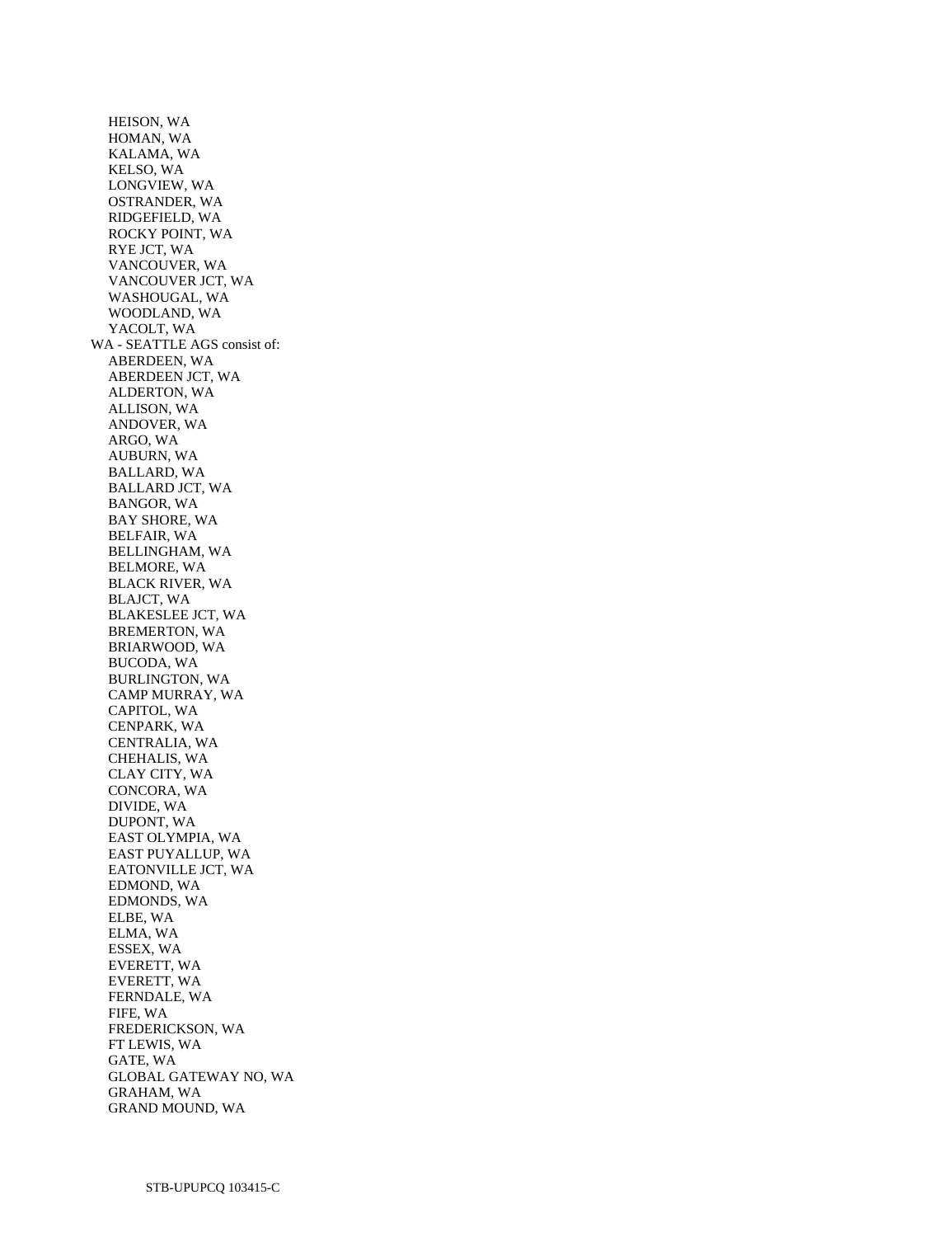HEISON, WA HOMAN, WA KALAMA, WA KELSO, WA LONGVIEW, WA OSTRANDER, WA RIDGEFIELD, WA ROCKY POINT, WA RYE JCT, WA VANCOUVER, WA VANCOUVER JCT, WA WASHOUGAL, WA WOODLAND, WA YACOLT, WA WA - SEATTLE AGS consist of: ABERDEEN, WA ABERDEEN JCT, WA ALDERTON, WA ALLISON, WA ANDOVER, WA ARGO, WA AUBURN, WA BALLARD, WA BALLARD JCT, WA BANGOR, WA BAY SHORE, WA BELFAIR, WA BELLINGHAM, WA BELMORE, WA BLACK RIVER, WA BLAJCT, WA BLAKESLEE JCT, WA BREMERTON, WA BRIARWOOD, WA BUCODA, WA BURLINGTON, WA CAMP MURRAY, WA CAPITOL, WA CENPARK, WA CENTRALIA, WA CHEHALIS, WA CLAY CITY, WA CONCORA, WA DIVIDE, WA DUPONT, WA EAST OLYMPIA, WA EAST PUYALLUP, WA EATONVILLE JCT, WA EDMOND, WA EDMONDS, WA ELBE, WA ELMA, WA ESSEX, WA EVERETT, WA EVERETT, WA FERNDALE, WA FIFE, WA FREDERICKSON, WA FT LEWIS, WA GATE, WA GLOBAL GATEWAY NO, WA GRAHAM, WA GRAND MOUND, WA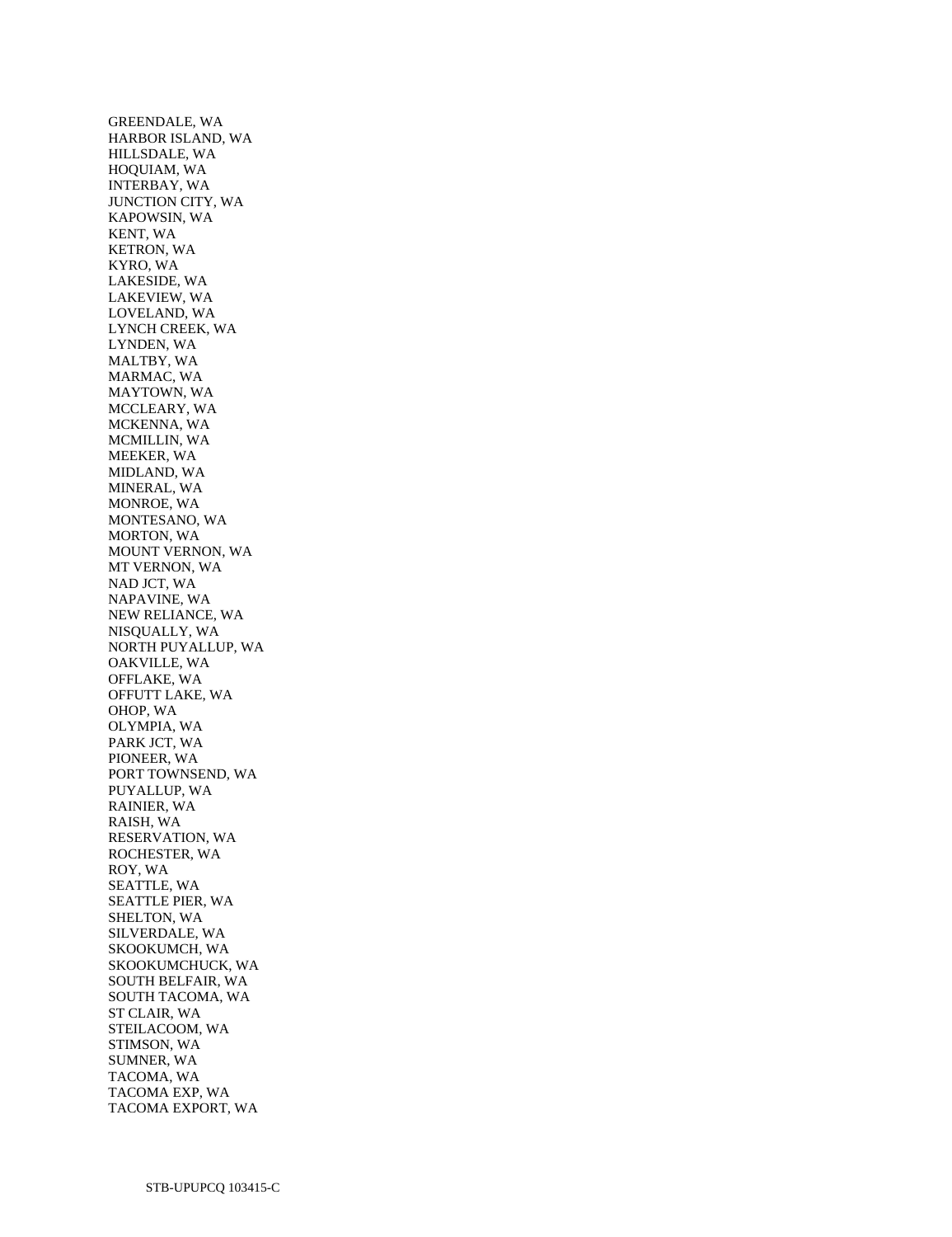GREENDALE, WA HARBOR ISLAND, WA HILLSDALE, WA HOQUIAM, WA INTERBAY, WA JUNCTION CITY, WA KAPOWSIN, WA KENT, WA KETRON, WA KYRO, WA LAKESIDE, WA LAKEVIEW, WA LOVELAND, WA LYNCH CREEK, WA LYNDEN, WA MALTBY, WA MARMAC, WA MAYTOWN, WA MCCLEARY, WA MCKENNA, WA MCMILLIN, WA MEEKER, WA MIDLAND, WA MINERAL, WA MONROE, WA MONTESANO, WA MORTON, WA MOUNT VERNON, WA MT VERNON, WA NAD JCT, WA NAPAVINE, WA NEW RELIANCE, WA NISQUALLY, WA NORTH PUYALLUP, WA OAKVILLE, WA OFFLAKE, WA OFFUTT LAKE, WA OHOP, WA OLYMPIA, WA PARK JCT, WA PIONEER, WA PORT TOWNSEND, WA PUYALLUP, WA RAINIER, WA RAISH, WA RESERVATION, WA ROCHESTER, WA ROY, WA SEATTLE, WA SEATTLE PIER, WA SHELTON, WA SILVERDALE, WA SKOOKUMCH, WA SKOOKUMCHUCK, WA SOUTH BELFAIR, WA SOUTH TACOMA, WA ST CLAIR, WA STEILACOOM, WA STIMSON, WA SUMNER, WA TACOMA, WA TACOMA EXP, WA TACOMA EXPORT, WA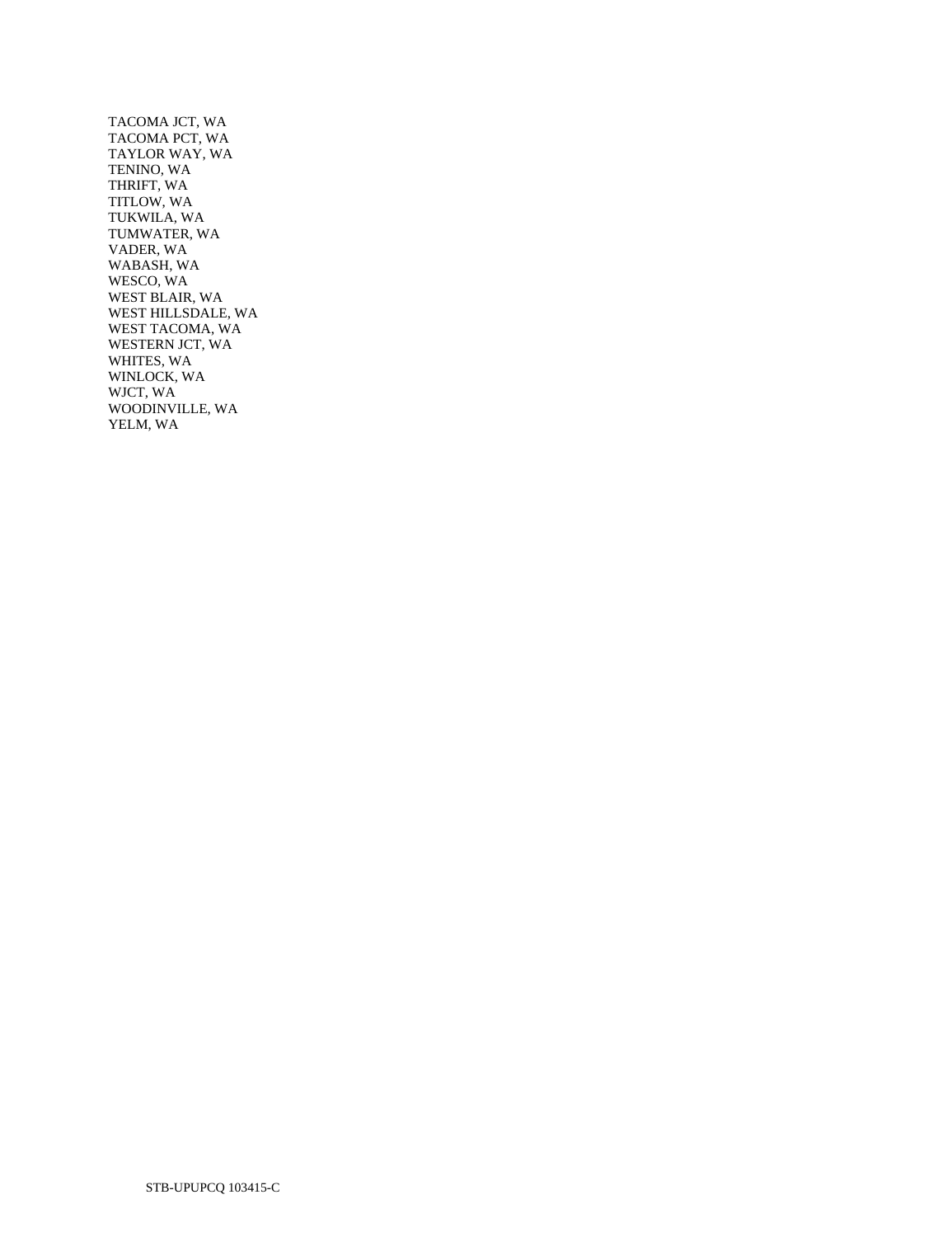TACOMA JCT, WA TACOMA PCT, WA TAYLOR WAY, WA TENINO, WA THRIFT, WA TITLOW, WA TUKWILA, WA TUMWATER, WA VADER, WA WABASH, WA WESCO, WA WEST BLAIR, WA WEST HILLSDALE, WA WEST TACOMA, WA WESTERN JCT, WA WHITES, WA WINLOCK, WA WJCT, WA WOODINVILLE, WA YELM, WA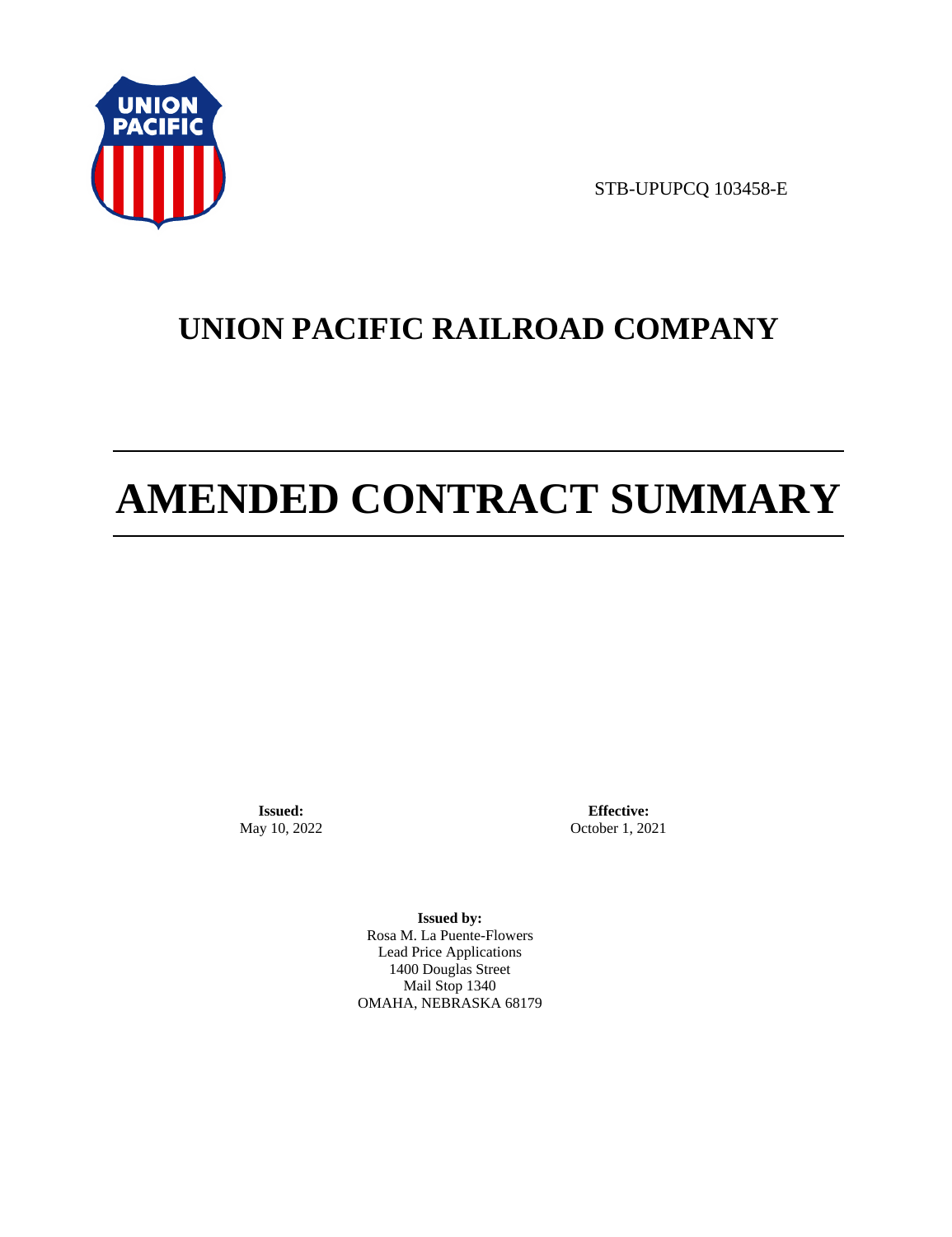

STB-UPUPCQ 103458-E

# **UNION PACIFIC RAILROAD COMPANY**

# **AMENDED CONTRACT SUMMARY**

**Issued:**  May 10, 2022

**Effective:** October 1, 2021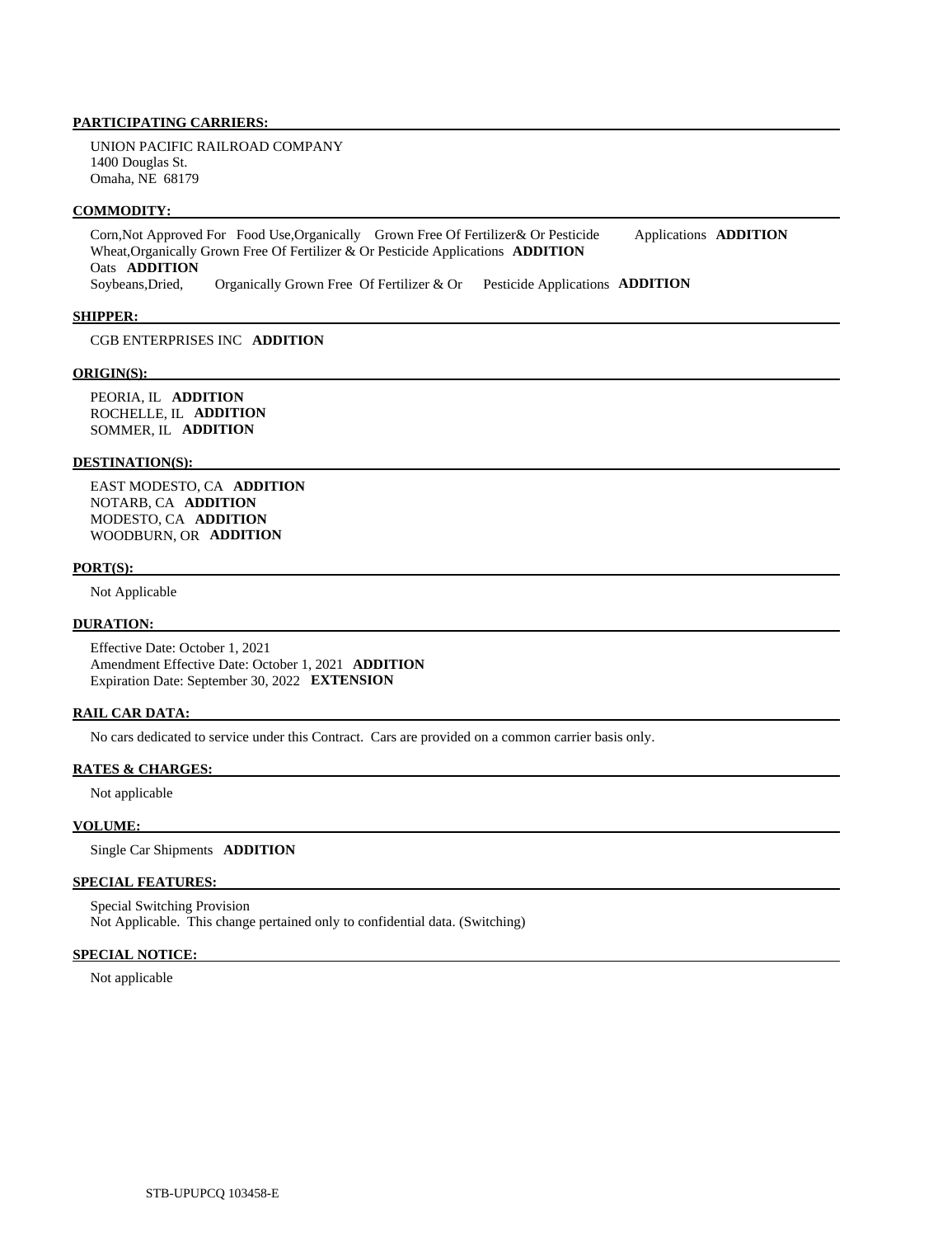UNION PACIFIC RAILROAD COMPANY 1400 Douglas St. Omaha, NE 68179

### **COMMODITY:**

 Corn,Not Approved For Food Use,Organically Grown Free Of Fertilizer& Or Pesticide Applications **ADDITION**  Wheat,Organically Grown Free Of Fertilizer & Or Pesticide Applications **ADDITION**  Oats **ADDITION**  Soybeans,Dried, Organically Grown Free Of Fertilizer & Or Pesticide Applications **ADDITION** 

### **SHIPPER:**

CGB ENTERPRISES INC **ADDITION** 

### **ORIGIN(S):**

 PEORIA, IL **ADDITION**  ROCHELLE, IL **ADDITION**  SOMMER, IL **ADDITION** 

### **DESTINATION(S):**

 EAST MODESTO, CA **ADDITION**  NOTARB, CA **ADDITION**  MODESTO, CA **ADDITION**  WOODBURN, OR **ADDITION** 

#### **PORT(S):**

Not Applicable

### **DURATION:**

 Effective Date: October 1, 2021 Amendment Effective Date: October 1, 2021 **ADDITION**  Expiration Date: September 30, 2022 **EXTENSION** 

### **RAIL CAR DATA:**

No cars dedicated to service under this Contract. Cars are provided on a common carrier basis only.

#### **RATES & CHARGES:**

Not applicable

### **VOLUME:**

Single Car Shipments **ADDITION** 

### **SPECIAL FEATURES:**

 Special Switching Provision Not Applicable. This change pertained only to confidential data. (Switching)

### **SPECIAL NOTICE:**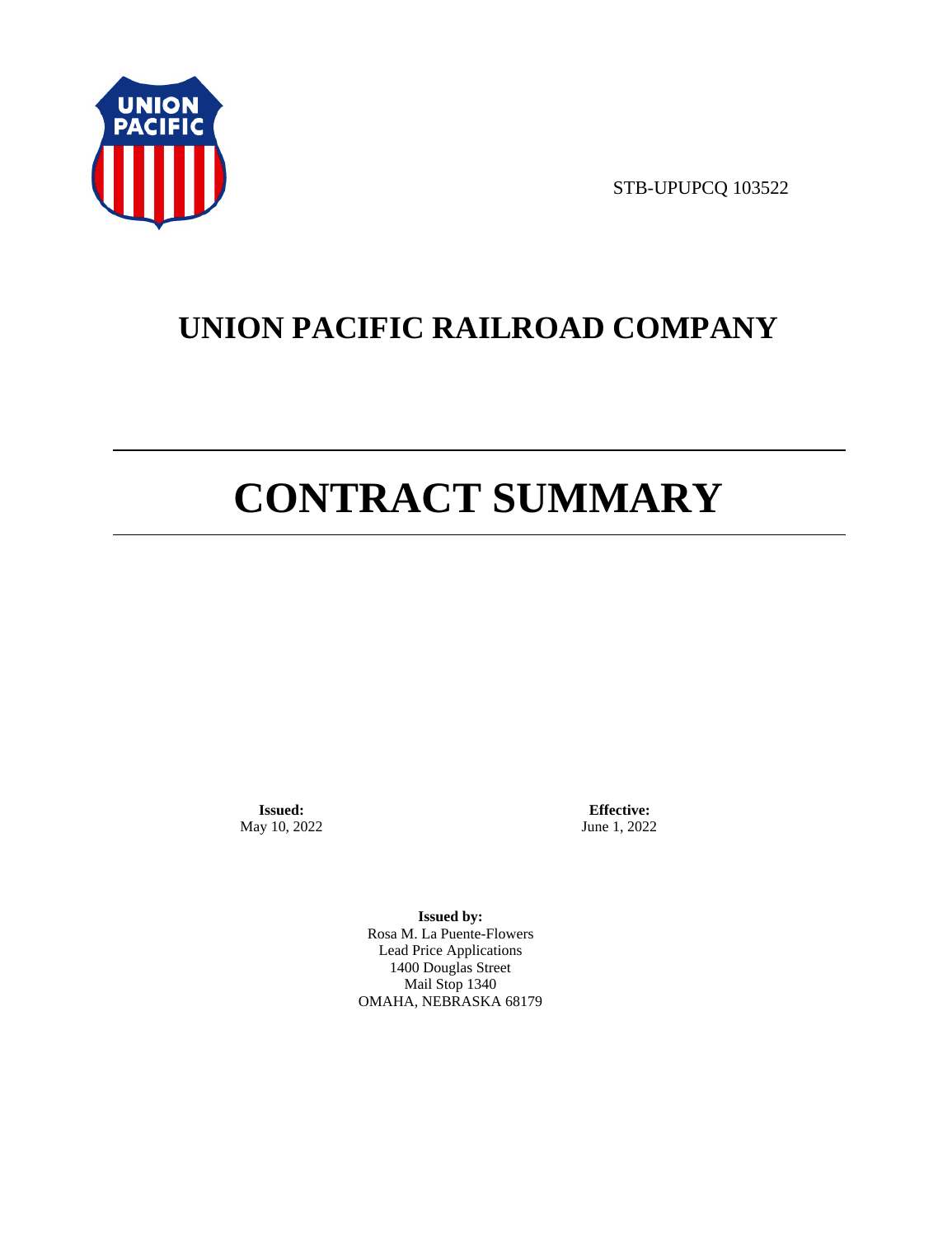

STB-UPUPCQ 103522

# **UNION PACIFIC RAILROAD COMPANY**

# **CONTRACT SUMMARY**

**Issued:**  May 10, 2022

**Effective:** June 1, 2022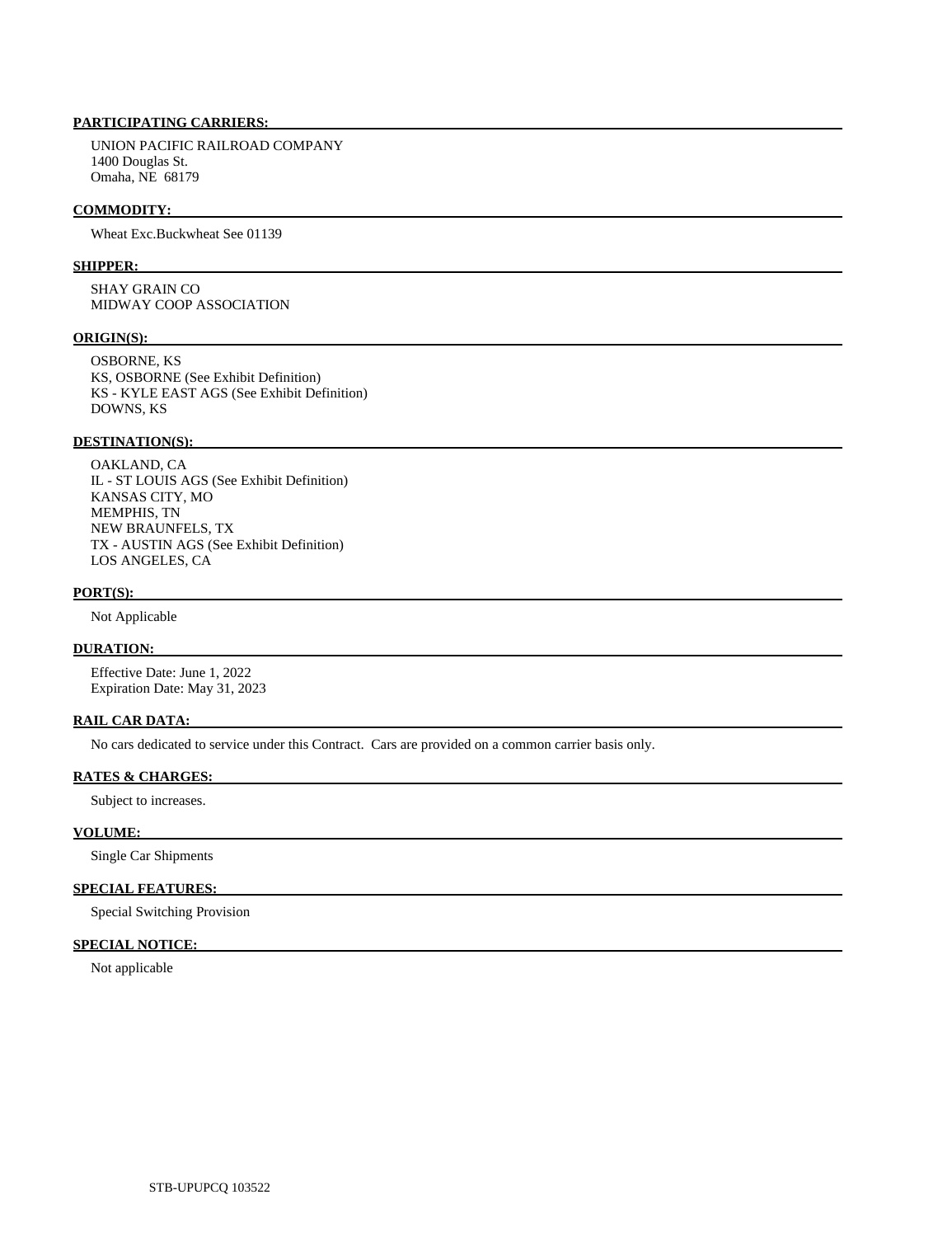UNION PACIFIC RAILROAD COMPANY 1400 Douglas St. Omaha, NE 68179

### **COMMODITY:**

Wheat Exc.Buckwheat See 01139

### **SHIPPER:**

 SHAY GRAIN CO MIDWAY COOP ASSOCIATION

### **ORIGIN(S):**

 OSBORNE, KS KS, OSBORNE (See Exhibit Definition) KS - KYLE EAST AGS (See Exhibit Definition) DOWNS, KS

### **DESTINATION(S):**

 OAKLAND, CA IL - ST LOUIS AGS (See Exhibit Definition) KANSAS CITY, MO MEMPHIS, TN NEW BRAUNFELS, TX TX - AUSTIN AGS (See Exhibit Definition) LOS ANGELES, CA

#### **PORT(S):**

Not Applicable

# **DURATION:**

 Effective Date: June 1, 2022 Expiration Date: May 31, 2023

### **RAIL CAR DATA:**

No cars dedicated to service under this Contract. Cars are provided on a common carrier basis only.

# **RATES & CHARGES:**

Subject to increases.

# **VOLUME:**

Single Car Shipments

# **SPECIAL FEATURES:**

Special Switching Provision

# **SPECIAL NOTICE:**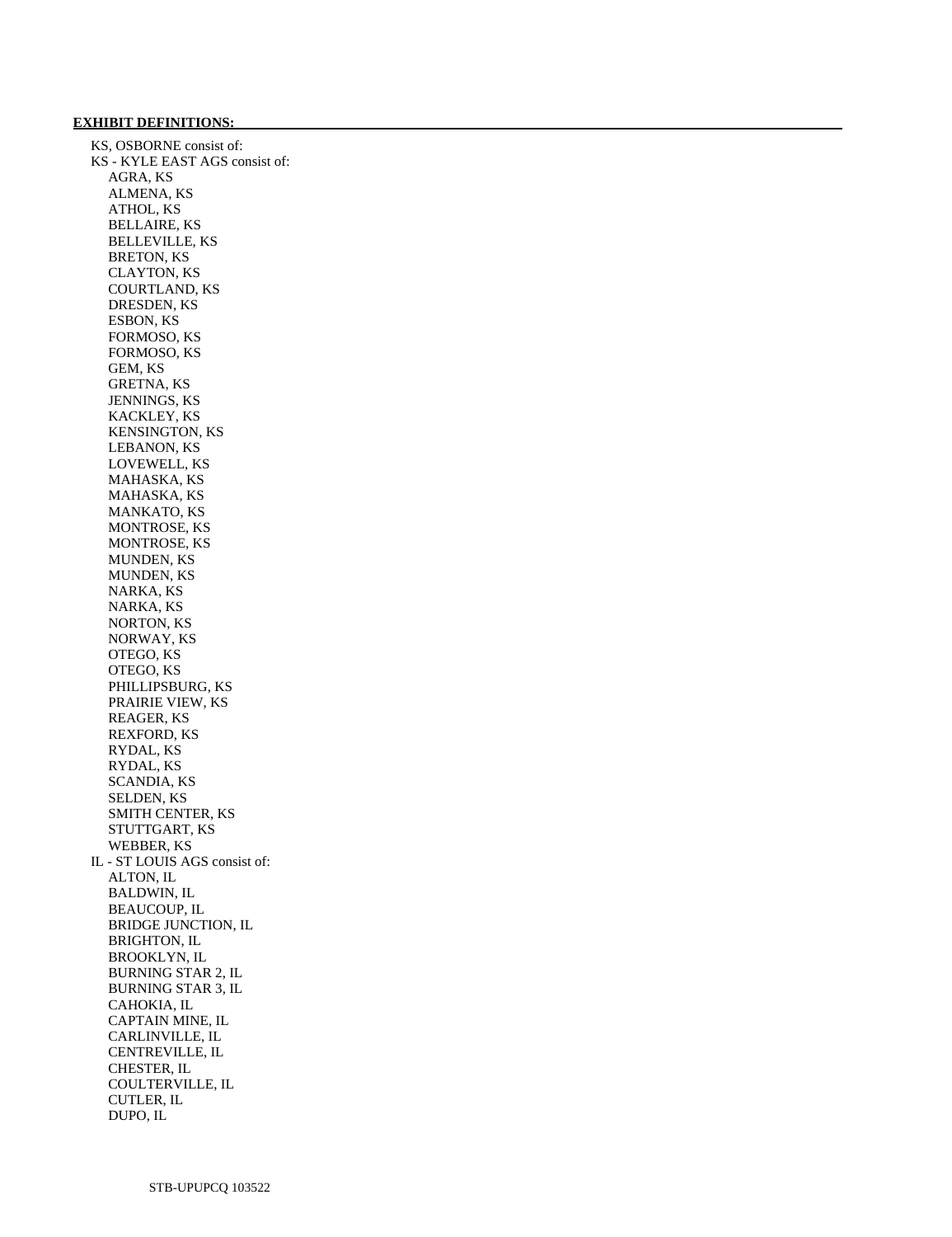### **EXHIBIT DEFINITIONS:**

 KS, OSBORNE consist of: KS - KYLE EAST AGS consist of: AGRA, KS ALMENA, KS ATHOL, KS BELLAIRE, KS BELLEVILLE, KS BRETON, KS CLAYTON, KS COURTLAND, KS DRESDEN, KS ESBON, KS FORMOSO, KS FORMOSO, KS GEM, KS GRETNA, KS JENNINGS, KS KACKLEY, KS KENSINGTON, KS LEBANON, KS LOVEWELL, KS MAHASKA, KS MAHASKA, KS MANKATO, KS MONTROSE, KS MONTROSE, KS MUNDEN, KS MUNDEN, KS NARKA, KS NARKA, KS NORTON, KS NORWAY, KS OTEGO, KS OTEGO, KS PHILLIPSBURG, KS PRAIRIE VIEW, KS REAGER, KS REXFORD, KS RYDAL, KS RYDAL, KS SCANDIA, KS SELDEN, KS SMITH CENTER, KS STUTTGART, KS WEBBER, KS IL - ST LOUIS AGS consist of: ALTON, IL BALDWIN, IL BEAUCOUP, IL BRIDGE JUNCTION, IL BRIGHTON, IL BROOKLYN, IL BURNING STAR 2, IL BURNING STAR 3, IL CAHOKIA, IL CAPTAIN MINE, IL CARLINVILLE, IL CENTREVILLE, IL CHESTER, IL COULTERVILLE, IL CUTLER, IL DUPO, IL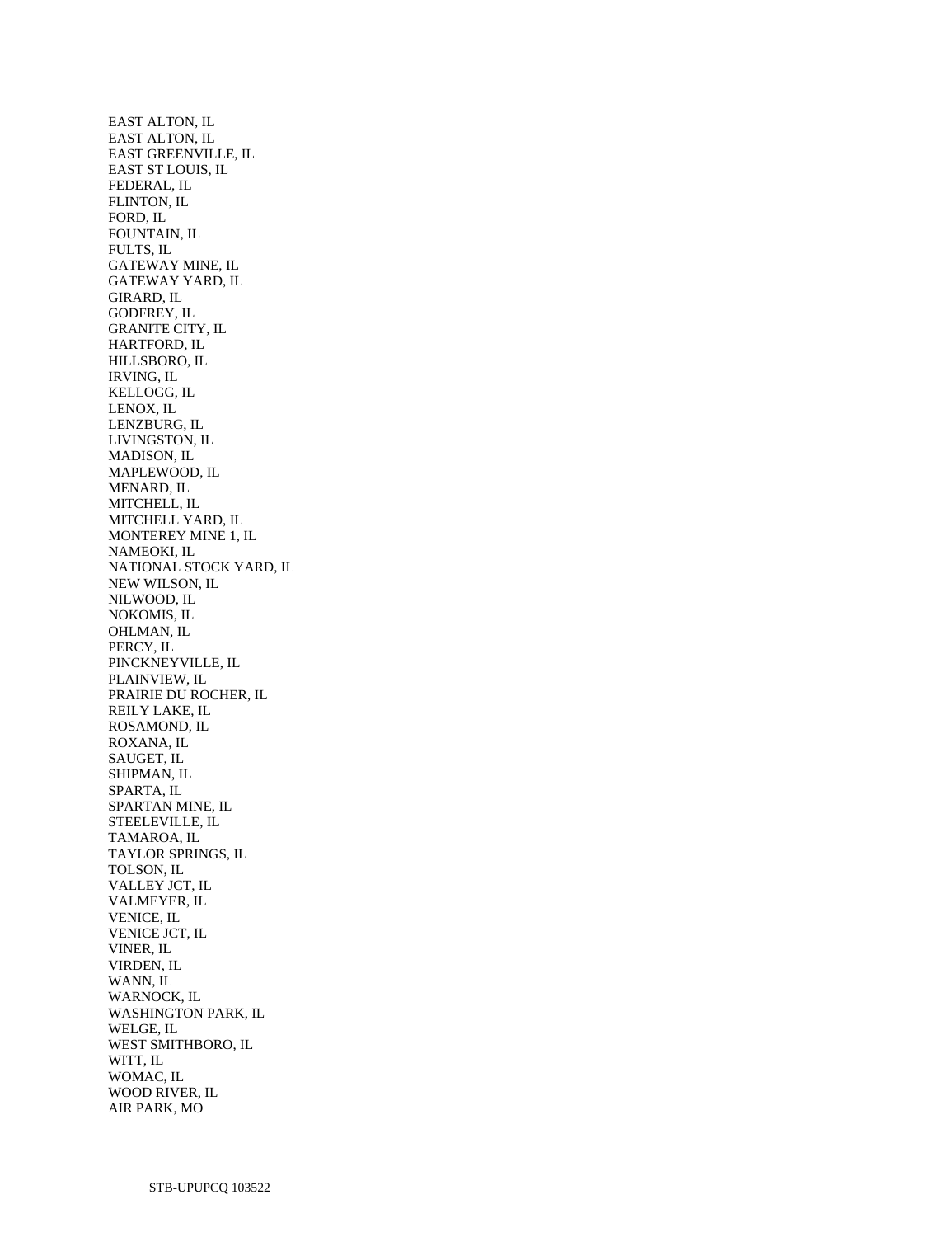EAST ALTON, IL EAST ALTON, IL EAST GREENVILLE, IL EAST ST LOUIS, IL FEDERAL, IL FLINTON, IL FORD, IL FOUNTAIN, IL FULTS, IL GATEWAY MINE, IL GATEWAY YARD, IL GIRARD, IL GODFREY, IL GRANITE CITY, IL HARTFORD, IL HILLSBORO, IL IRVING, IL KELLOGG, IL LENOX, IL LENZBURG, IL LIVINGSTON, IL MADISON, IL MAPLEWOOD, IL MENARD, IL MITCHELL, IL MITCHELL YARD, IL MONTEREY MINE 1, IL NAMEOKI, IL NATIONAL STOCK YARD, IL NEW WILSON, IL NILWOOD, IL NOKOMIS, IL OHLMAN, IL PERCY, IL PINCKNEYVILLE, IL PLAINVIEW, IL PRAIRIE DU ROCHER, IL REILY LAKE, IL ROSAMOND, IL ROXANA, IL SAUGET, IL SHIPMAN, IL SPARTA, IL SPARTAN MINE, IL STEELEVILLE, IL TAMAROA, IL TAYLOR SPRINGS, IL TOLSON, IL VALLEY JCT, IL VALMEYER, IL VENICE, IL VENICE JCT, IL VINER, IL VIRDEN, IL WANN, IL WARNOCK, IL WASHINGTON PARK, IL WELGE, IL WEST SMITHBORO, IL WITT, IL WOMAC, IL WOOD RIVER, IL AIR PARK, MO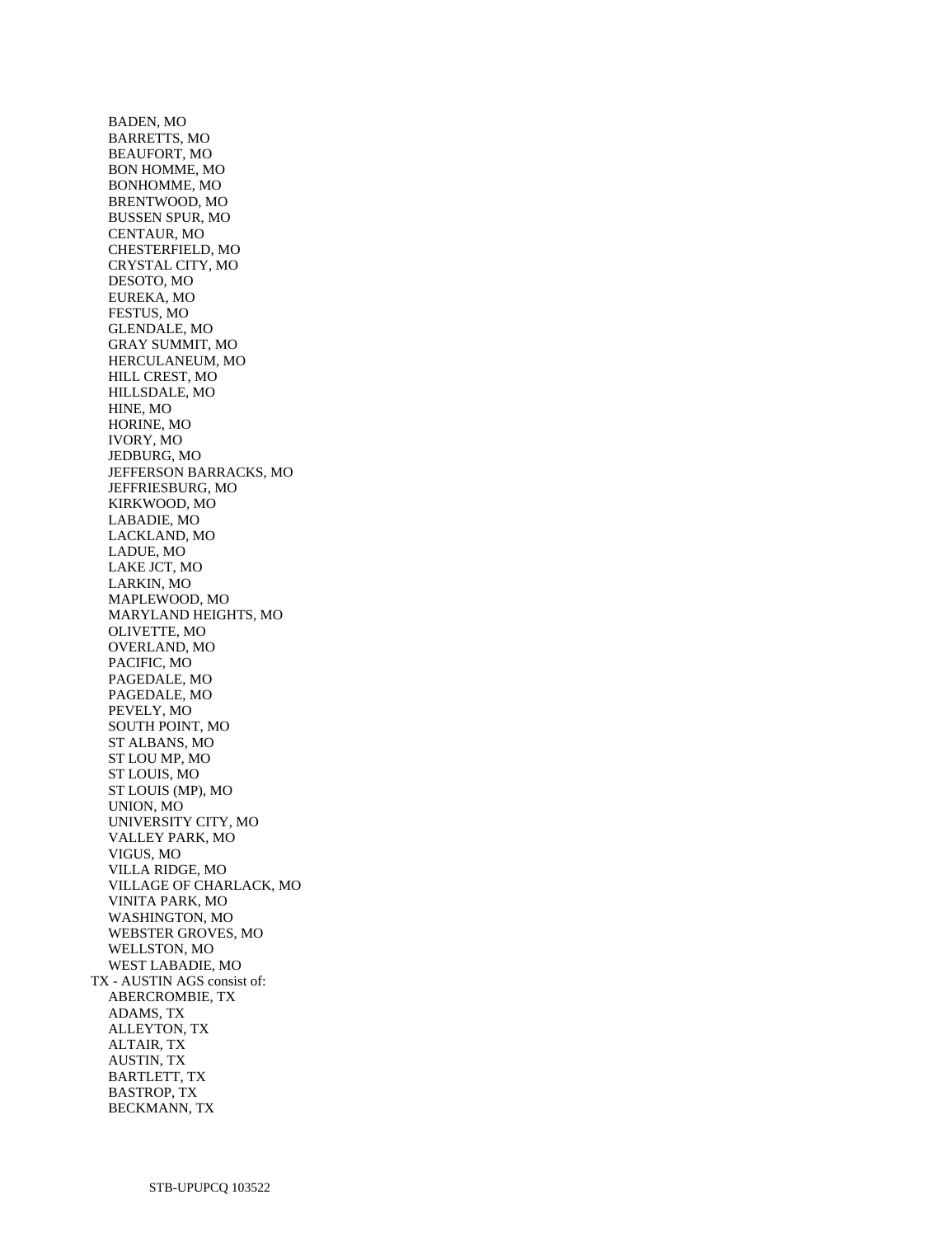BADEN, MO BARRETTS, MO BEAUFORT, MO BON HOMME, MO BONHOMME, MO BRENTWOOD, MO BUSSEN SPUR, MO CENTAUR, MO CHESTERFIELD, MO CRYSTAL CITY, MO DESOTO, MO EUREKA, MO FESTUS, MO GLENDALE, MO GRAY SUMMIT, MO HERCULANEUM, MO HILL CREST, MO HILLSDALE, MO HINE, MO HORINE, MO IVORY, MO JEDBURG, MO JEFFERSON BARRACKS, MO JEFFRIESBURG, MO KIRKWOOD, MO LABADIE, MO LACKLAND, MO LADUE, MO LAKE JCT, MO LARKIN, MO MAPLEWOOD, MO MARYLAND HEIGHTS, MO OLIVETTE, MO OVERLAND, MO PACIFIC, MO PAGEDALE, MO PAGEDALE, MO PEVELY, MO SOUTH POINT, MO ST ALBANS, MO ST LOU MP, MO ST LOUIS, MO ST LOUIS (MP), MO UNION, MO UNIVERSITY CITY, MO VALLEY PARK, MO VIGUS, MO VILLA RIDGE, MO VILLAGE OF CHARLACK, MO VINITA PARK, MO WASHINGTON, MO WEBSTER GROVES, MO WELLSTON, MO WEST LABADIE, MO TX - AUSTIN AGS consist of: ABERCROMBIE, TX ADAMS, TX ALLEYTON, TX ALTAIR, TX AUSTIN, TX BARTLETT, TX BASTROP, TX BECKMANN, TX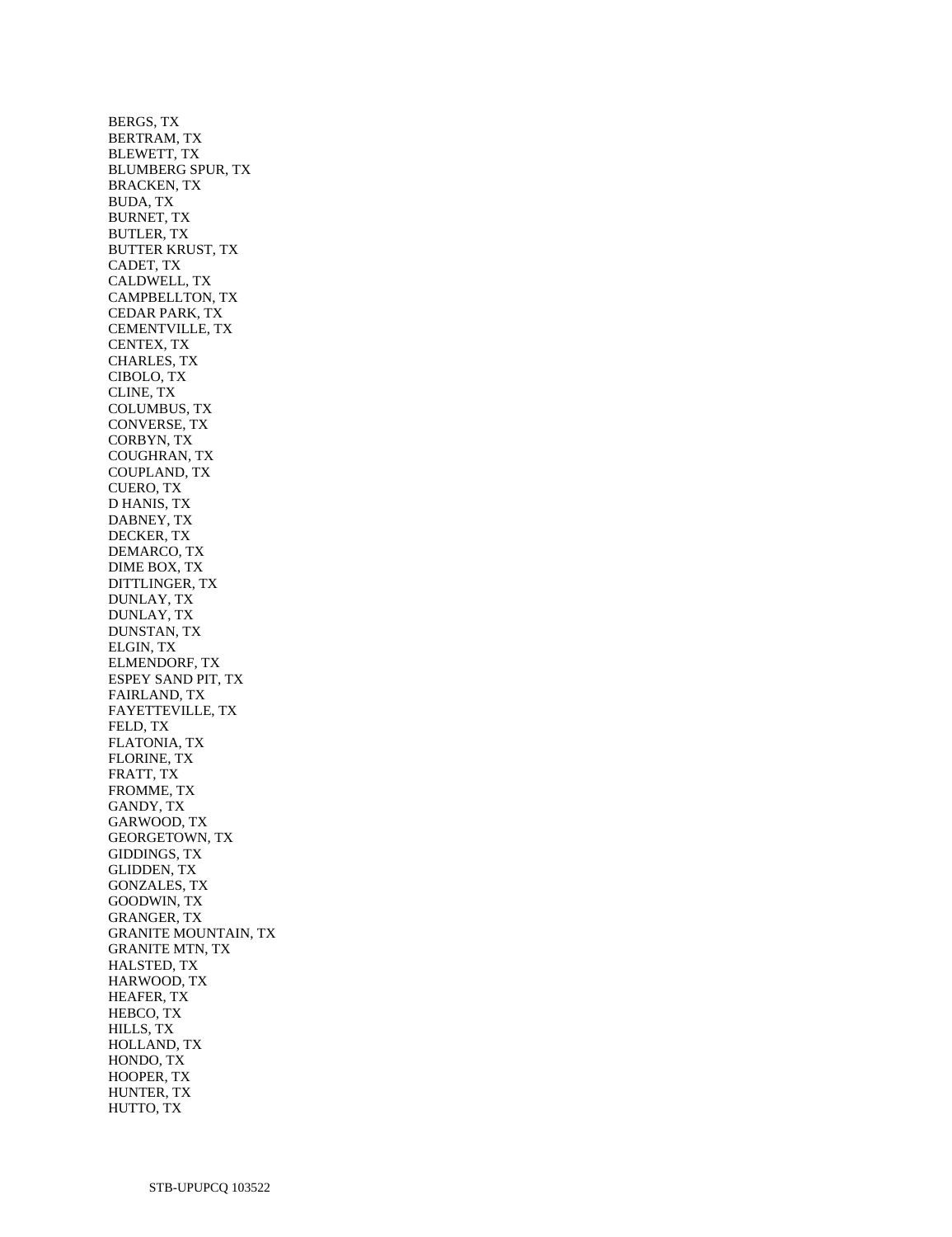BERGS, TX BERTRAM, TX BLEWETT, TX BLUMBERG SPUR, TX BRACKEN, TX BUDA, TX BURNET, TX BUTLER, TX BUTTER KRUST, TX CADET, TX CALDWELL, TX CAMPBELLTON, TX CEDAR PARK, TX CEMENTVILLE, TX CENTEX, TX CHARLES, TX CIBOLO, TX CLINE, TX COLUMBUS, TX CONVERSE, TX CORBYN, TX COUGHRAN, TX COUPLAND, TX CUERO, TX D HANIS, TX DABNEY, TX DECKER, TX DEMARCO, TX DIME BOX, TX DITTLINGER, TX DUNLAY, TX DUNLAY, TX DUNSTAN, TX ELGIN, TX ELMENDORF, TX ESPEY SAND PIT, TX FAIRLAND, TX FAYETTEVILLE, TX FELD, TX FLATONIA, TX FLORINE, TX FRATT, TX FROMME, TX GANDY, TX GARWOOD, TX GEORGETOWN, TX GIDDINGS, TX GLIDDEN, TX GONZALES, TX GOODWIN, TX GRANGER, TX GRANITE MOUNTAIN, TX GRANITE MTN, TX HALSTED, TX HARWOOD, TX HEAFER, TX HEBCO, TX HILLS, TX HOLLAND, TX HONDO, TX HOOPER, TX HUNTER, TX HUTTO, TX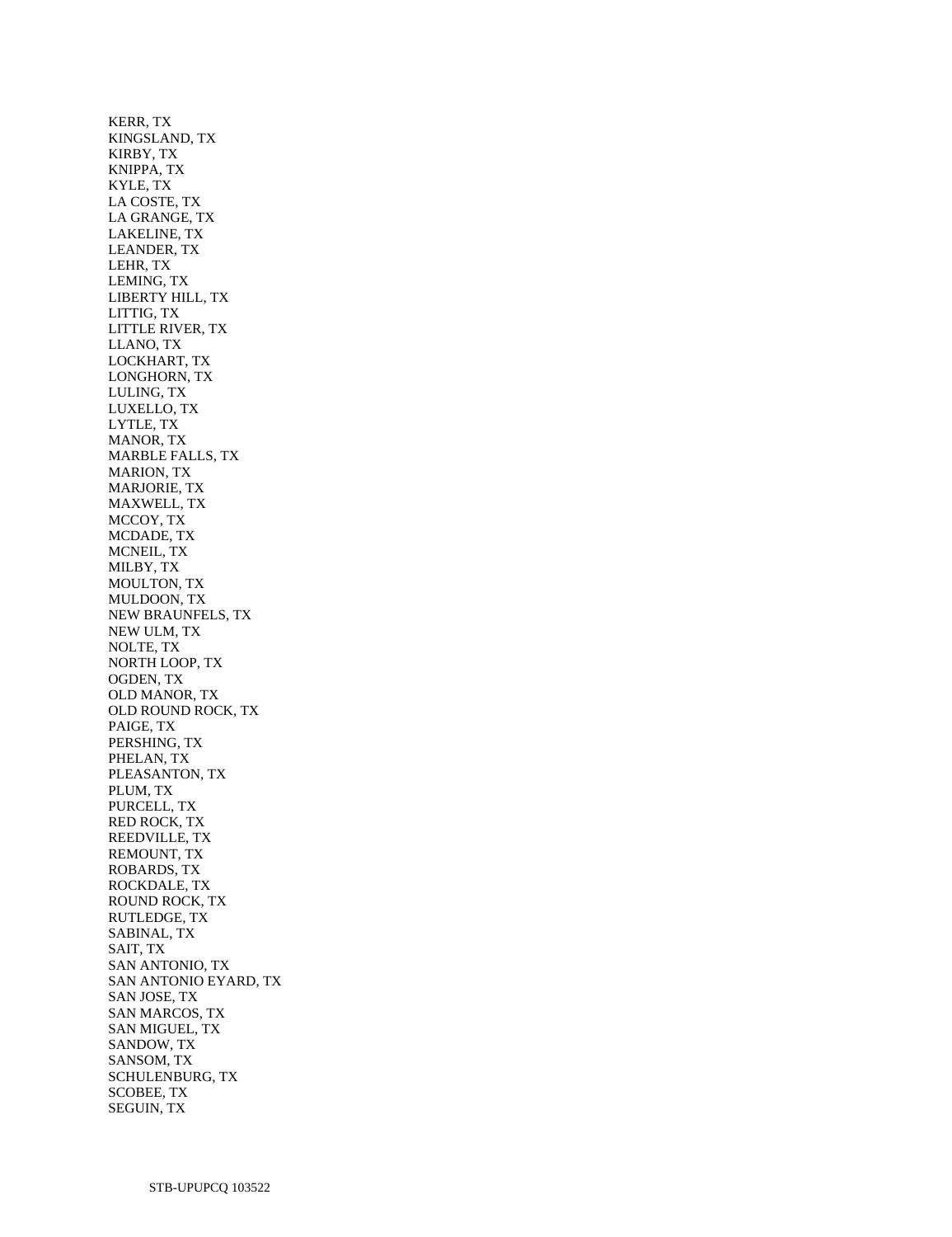KERR, TX KINGSLAND, TX KIRBY, TX KNIPPA, TX KYLE, TX LA COSTE, TX LA GRANGE, TX LAKELINE, TX LEANDER, TX LEHR, TX LEMING, TX LIBERTY HILL, TX LITTIG, TX LITTLE RIVER, TX LLANO, TX LOCKHART, TX LONGHORN, TX LULING, TX LUXELLO, TX LYTLE, TX MANOR, TX MARBLE FALLS, TX MARION, TX MARJORIE, TX MAXWELL, TX MCCOY, TX MCDADE, TX MCNEIL, TX MILBY, TX MOULTON, TX MULDOON, TX NEW BRAUNFELS, TX NEW ULM, TX NOLTE, TX NORTH LOOP, TX OGDEN, TX OLD MANOR, TX OLD ROUND ROCK, TX PAIGE, TX PERSHING, TX PHELAN, TX PLEASANTON, TX PLUM, TX PURCELL, TX RED ROCK, TX REEDVILLE, TX REMOUNT, TX ROBARDS, TX ROCKDALE, TX ROUND ROCK, TX RUTLEDGE, TX SABINAL, TX SAIT, TX SAN ANTONIO, TX SAN ANTONIO EYARD, TX SAN JOSE, TX SAN MARCOS, TX SAN MIGUEL, TX SANDOW, TX SANSOM, TX SCHULENBURG, TX SCOBEE, TX SEGUIN, TX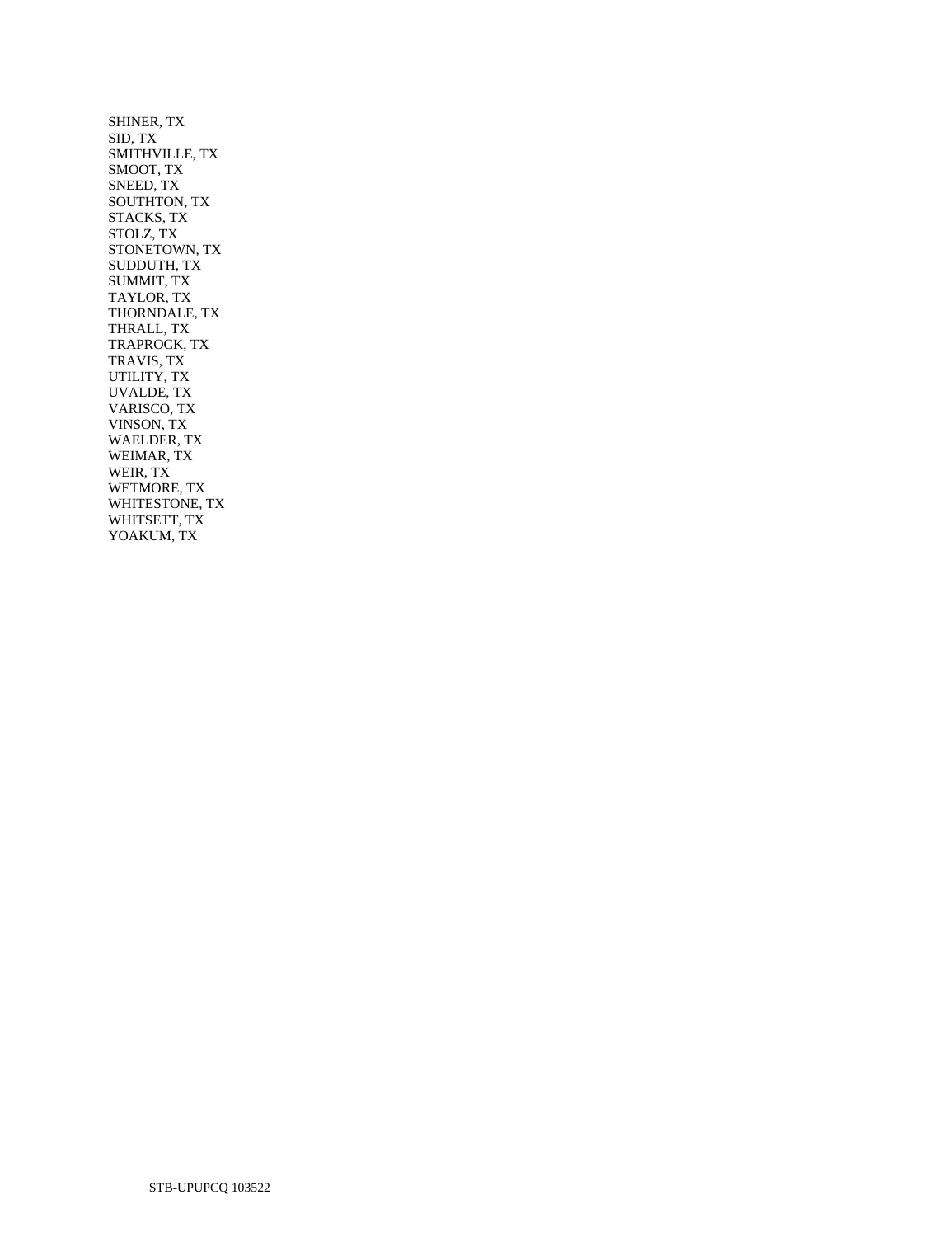SHINER, TX SID, TX SMITHVILLE, TX SMOOT, TX SNEED, TX SOUTHTON, TX STACKS, TX STOLZ, TX STONETOWN, TX SUDDUTH, TX SUMMIT, TX TAYLOR, TX THORNDALE, TX THRALL, TX TRAPROCK, TX TRAVIS, TX UTILITY, TX UVALDE, TX VARISCO, TX VINSON, TX WAELDER, TX WEIMAR, TX WEIR, TX WETMORE, TX WHITESTONE, TX WHITSETT, TX YOAKUM, TX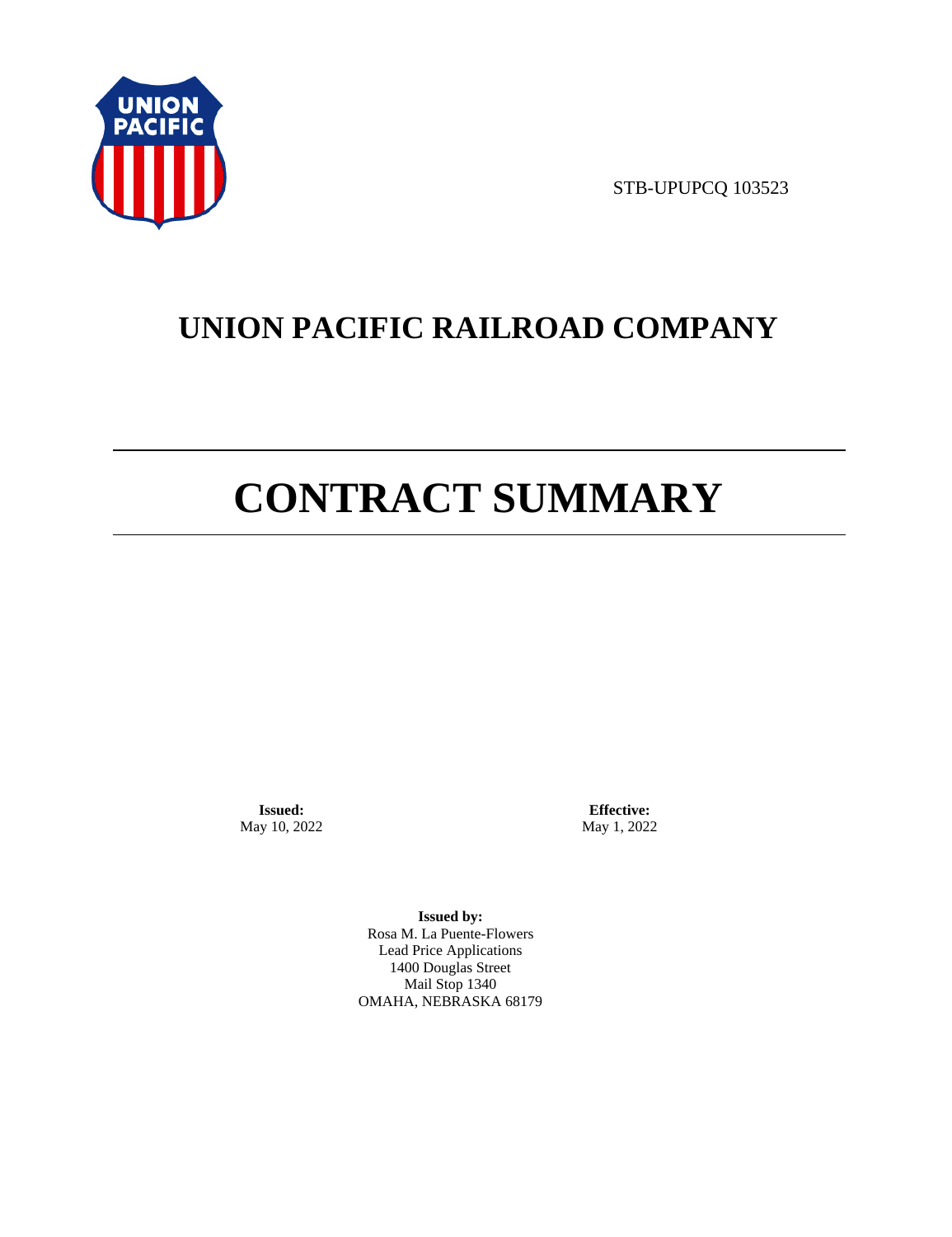

STB-UPUPCQ 103523

# **UNION PACIFIC RAILROAD COMPANY**

# **CONTRACT SUMMARY**

**Issued:**  May 10, 2022

**Effective:** May 1, 2022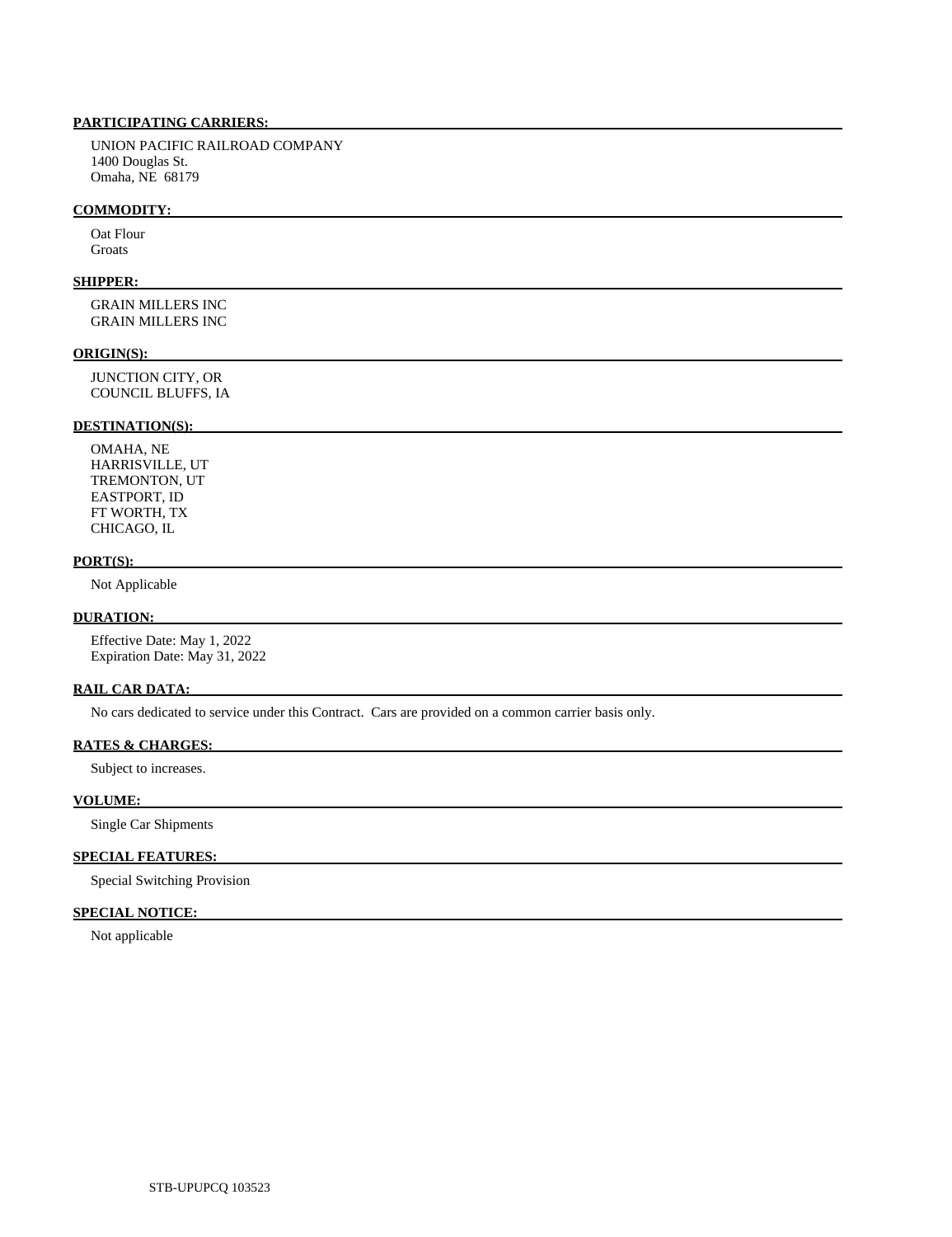UNION PACIFIC RAILROAD COMPANY 1400 Douglas St. Omaha, NE 68179

### **COMMODITY:**

 Oat Flour Groats

# **SHIPPER:**

 GRAIN MILLERS INC GRAIN MILLERS INC

### **ORIGIN(S):**

 JUNCTION CITY, OR COUNCIL BLUFFS, IA

# **DESTINATION(S):**

 OMAHA, NE HARRISVILLE, UT TREMONTON, UT EASTPORT, ID FT WORTH, TX CHICAGO, IL

# **PORT(S):**

Not Applicable

# **DURATION:**

 Effective Date: May 1, 2022 Expiration Date: May 31, 2022

# **RAIL CAR DATA:**

No cars dedicated to service under this Contract. Cars are provided on a common carrier basis only.

## **RATES & CHARGES:**

Subject to increases.

# **VOLUME:**

Single Car Shipments

# **SPECIAL FEATURES:**

Special Switching Provision

# **SPECIAL NOTICE:**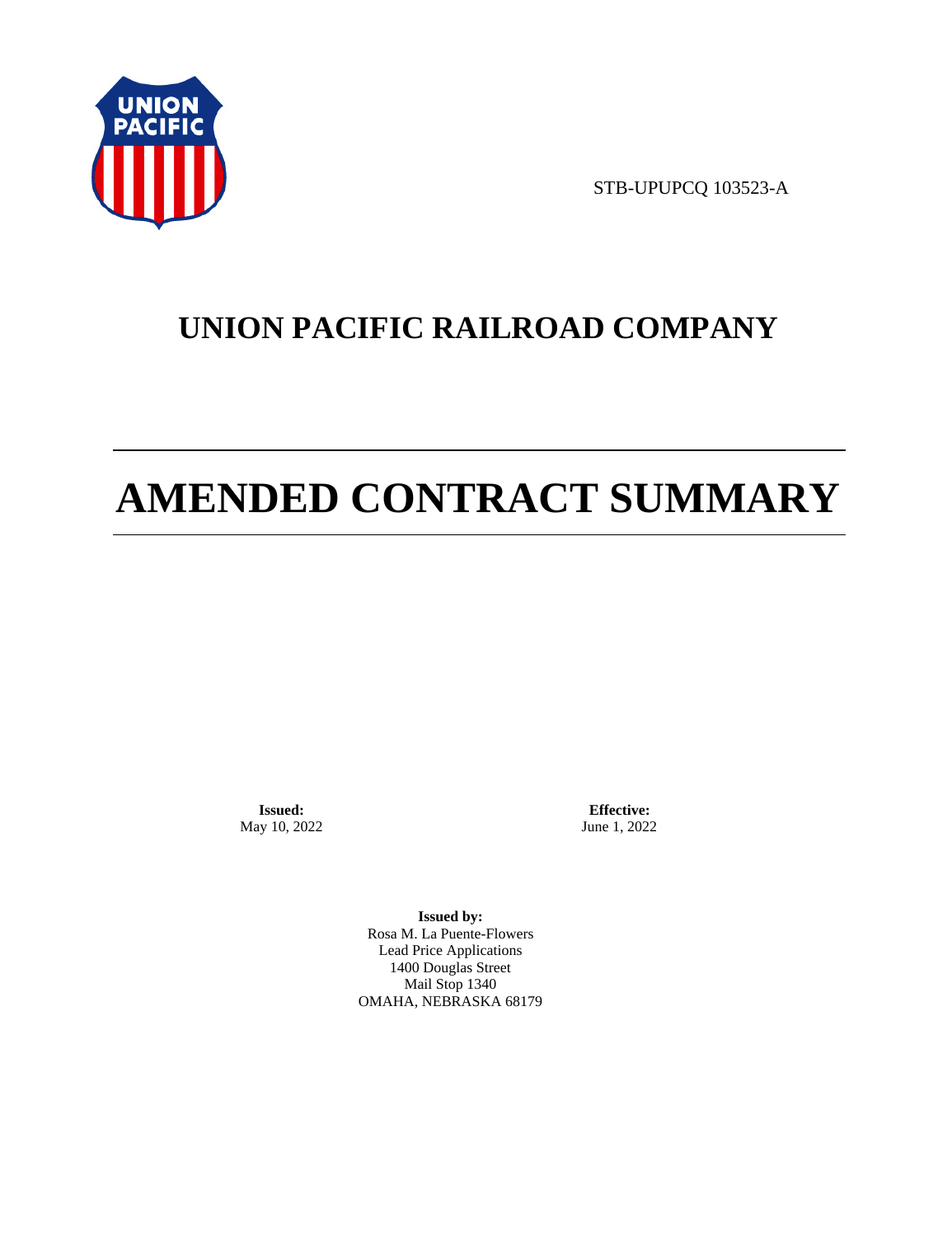

STB-UPUPCQ 103523-A

# **UNION PACIFIC RAILROAD COMPANY**

# **AMENDED CONTRACT SUMMARY**

**Issued:**  May 10, 2022

**Effective:** June 1, 2022